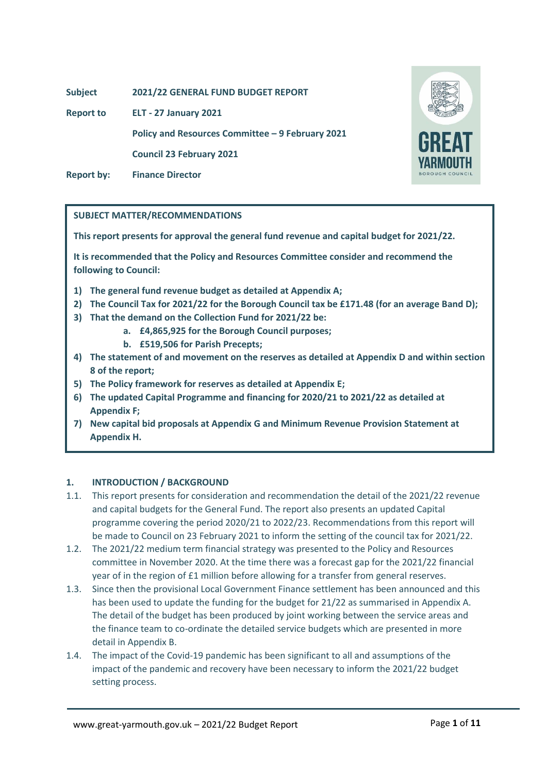**Subject 2021/22 GENERAL FUND BUDGET REPORT**

**Report to ELT - 27 January 2021**

**Policy and Resources Committee – 9 February 2021**

**Council 23 February 2021**

**Report by: Finance Director**



# **SUBJECT MATTER/RECOMMENDATIONS**

**This report presents for approval the general fund revenue and capital budget for 2021/22.** 

**It is recommended that the Policy and Resources Committee consider and recommend the following to Council:**

- **1) The general fund revenue budget as detailed at Appendix A;**
- **2) The Council Tax for 2021/22 for the Borough Council tax be £171.48 (for an average Band D);**
- **3) That the demand on the Collection Fund for 2021/22 be:**
	- **a. £4,865,925 for the Borough Council purposes;**
	- **b. £519,506 for Parish Precepts;**
- **4) The statement of and movement on the reserves as detailed at Appendix D and within section 8 of the report;**
- **5) The Policy framework for reserves as detailed at Appendix E;**
- **6) The updated Capital Programme and financing for 2020/21 to 2021/22 as detailed at Appendix F;**
- **7) New capital bid proposals at Appendix G and Minimum Revenue Provision Statement at Appendix H.**

# **1. INTRODUCTION / BACKGROUND**

- 1.1. This report presents for consideration and recommendation the detail of the 2021/22 revenue and capital budgets for the General Fund. The report also presents an updated Capital programme covering the period 2020/21 to 2022/23. Recommendations from this report will be made to Council on 23 February 2021 to inform the setting of the council tax for 2021/22.
- 1.2. The 2021/22 medium term financial strategy was presented to the Policy and Resources committee in November 2020. At the time there was a forecast gap for the 2021/22 financial year of in the region of £1 million before allowing for a transfer from general reserves.
- 1.3. Since then the provisional Local Government Finance settlement has been announced and this has been used to update the funding for the budget for 21/22 as summarised in Appendix A. The detail of the budget has been produced by joint working between the service areas and the finance team to co-ordinate the detailed service budgets which are presented in more detail in Appendix B.
- 1.4. The impact of the Covid-19 pandemic has been significant to all and assumptions of the impact of the pandemic and recovery have been necessary to inform the 2021/22 budget setting process.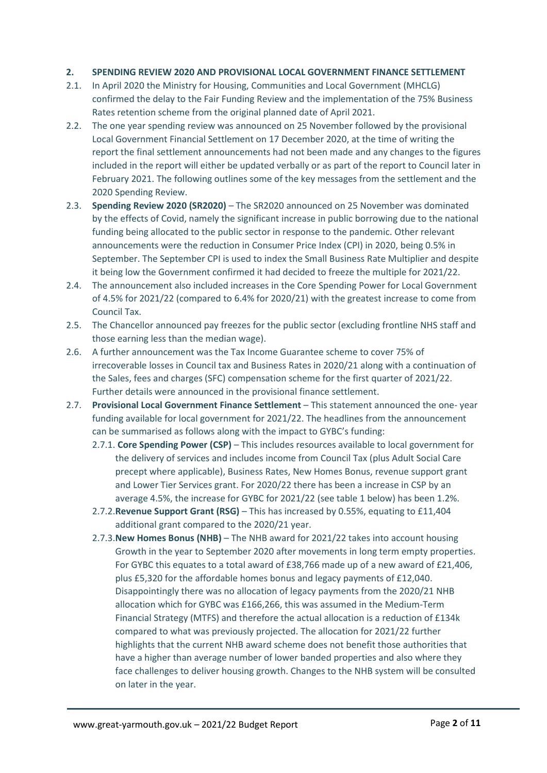# **2. SPENDING REVIEW 2020 AND PROVISIONAL LOCAL GOVERNMENT FINANCE SETTLEMENT**

- 2.1. In April 2020 the Ministry for Housing, Communities and Local Government (MHCLG) confirmed the delay to the Fair Funding Review and the implementation of the 75% Business Rates retention scheme from the original planned date of April 2021.
- 2.2. The one year spending review was announced on 25 November followed by the provisional Local Government Financial Settlement on 17 December 2020, at the time of writing the report the final settlement announcements had not been made and any changes to the figures included in the report will either be updated verbally or as part of the report to Council later in February 2021. The following outlines some of the key messages from the settlement and the 2020 Spending Review.
- 2.3. **Spending Review 2020 (SR2020)** The SR2020 announced on 25 November was dominated by the effects of Covid, namely the significant increase in public borrowing due to the national funding being allocated to the public sector in response to the pandemic. Other relevant announcements were the reduction in Consumer Price Index (CPI) in 2020, being 0.5% in September. The September CPI is used to index the Small Business Rate Multiplier and despite it being low the Government confirmed it had decided to freeze the multiple for 2021/22.
- 2.4. The announcement also included increases in the Core Spending Power for Local Government of 4.5% for 2021/22 (compared to 6.4% for 2020/21) with the greatest increase to come from Council Tax.
- 2.5. The Chancellor announced pay freezes for the public sector (excluding frontline NHS staff and those earning less than the median wage).
- 2.6. A further announcement was the Tax Income Guarantee scheme to cover 75% of irrecoverable losses in Council tax and Business Rates in 2020/21 along with a continuation of the Sales, fees and charges (SFC) compensation scheme for the first quarter of 2021/22. Further details were announced in the provisional finance settlement.
- 2.7. **Provisional Local Government Finance Settlement** This statement announced the one- year funding available for local government for 2021/22. The headlines from the announcement can be summarised as follows along with the impact to GYBC's funding:
	- 2.7.1. **Core Spending Power (CSP)** This includes resources available to local government for the delivery of services and includes income from Council Tax (plus Adult Social Care precept where applicable), Business Rates, New Homes Bonus, revenue support grant and Lower Tier Services grant. For 2020/22 there has been a increase in CSP by an average 4.5%, the increase for GYBC for 2021/22 (see table 1 below) has been 1.2%.
	- 2.7.2.**Revenue Support Grant (RSG)** This has increased by 0.55%, equating to £11,404 additional grant compared to the 2020/21 year.
	- 2.7.3.**New Homes Bonus (NHB)**  The NHB award for 2021/22 takes into account housing Growth in the year to September 2020 after movements in long term empty properties. For GYBC this equates to a total award of £38,766 made up of a new award of £21,406, plus £5,320 for the affordable homes bonus and legacy payments of £12,040. Disappointingly there was no allocation of legacy payments from the 2020/21 NHB allocation which for GYBC was £166,266, this was assumed in the Medium-Term Financial Strategy (MTFS) and therefore the actual allocation is a reduction of £134k compared to what was previously projected. The allocation for 2021/22 further highlights that the current NHB award scheme does not benefit those authorities that have a higher than average number of lower banded properties and also where they face challenges to deliver housing growth. Changes to the NHB system will be consulted on later in the year.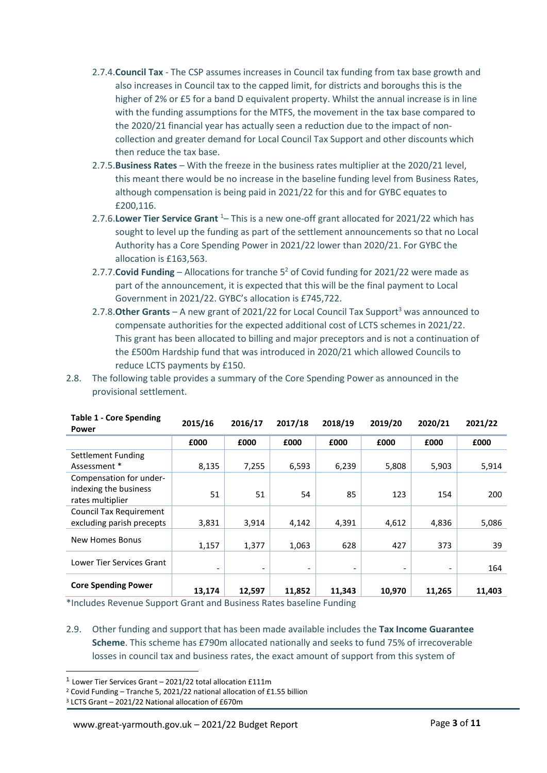- 2.7.4.**Council Tax** The CSP assumes increases in Council tax funding from tax base growth and also increases in Council tax to the capped limit, for districts and boroughs this is the higher of 2% or £5 for a band D equivalent property. Whilst the annual increase is in line with the funding assumptions for the MTFS, the movement in the tax base compared to the 2020/21 financial year has actually seen a reduction due to the impact of noncollection and greater demand for Local Council Tax Support and other discounts which then reduce the tax base.
- 2.7.5.**Business Rates** With the freeze in the business rates multiplier at the 2020/21 level, this meant there would be no increase in the baseline funding level from Business Rates, although compensation is being paid in 2021/22 for this and for GYBC equates to £200,116.
- 2.7.6.**Lower Tier Service Grant** <sup>1</sup> This is a new one-off grant allocated for 2021/22 which has sought to level up the funding as part of the settlement announcements so that no Local Authority has a Core Spending Power in 2021/22 lower than 2020/21. For GYBC the allocation is £163,563.
- 2.7.7. **Covid Funding** Allocations for tranche 5<sup>2</sup> of Covid funding for 2021/22 were made as part of the announcement, it is expected that this will be the final payment to Local Government in 2021/22. GYBC's allocation is £745,722.
- 2.7.8. Other Grants A new grant of 2021/22 for Local Council Tax Support<sup>3</sup> was announced to compensate authorities for the expected additional cost of LCTS schemes in 2021/22. This grant has been allocated to billing and major preceptors and is not a continuation of the £500m Hardship fund that was introduced in 2020/21 which allowed Councils to reduce LCTS payments by £150.
- 2.8. The following table provides a summary of the Core Spending Power as announced in the provisional settlement.

| Table 1 - Core Spending<br>Power                                     | 2015/16 | 2016/17                  | 2017/18                  | 2018/19 | 2019/20 | 2020/21                  | 2021/22 |
|----------------------------------------------------------------------|---------|--------------------------|--------------------------|---------|---------|--------------------------|---------|
|                                                                      | £000    | £000                     | £000                     | £000    | £000    | £000                     | £000    |
| Settlement Funding                                                   |         |                          |                          |         |         |                          |         |
| Assessment *                                                         | 8,135   | 7,255                    | 6,593                    | 6,239   | 5,808   | 5,903                    | 5,914   |
| Compensation for under-<br>indexing the business<br>rates multiplier | 51      | 51                       | 54                       | 85      | 123     | 154                      | 200     |
| <b>Council Tax Requirement</b>                                       |         |                          |                          |         |         |                          |         |
| excluding parish precepts                                            | 3,831   | 3,914                    | 4,142                    | 4,391   | 4,612   | 4,836                    | 5,086   |
| <b>New Homes Bonus</b>                                               | 1,157   | 1,377                    | 1,063                    | 628     | 427     | 373                      | 39      |
| Lower Tier Services Grant                                            | -       | $\overline{\phantom{a}}$ | $\overline{\phantom{a}}$ | -       | -       | $\overline{\phantom{a}}$ | 164     |
| <b>Core Spending Power</b>                                           | 13,174  | 12,597                   | 11,852                   | 11,343  | 10,970  | 11,265                   | 11,403  |

# **Table 1 - Core Spending**

\*Includes Revenue Support Grant and Business Rates baseline Funding

2.9. Other funding and support that has been made available includes the **Tax Income Guarantee Scheme**. This scheme has £790m allocated nationally and seeks to fund 75% of irrecoverable losses in council tax and business rates, the exact amount of support from this system of

<sup>1</sup> Lower Tier Services Grant – 2021/22 total allocation £111m

<sup>2</sup> Covid Funding – Tranche 5, 2021/22 national allocation of £1.55 billion

<sup>3</sup> LCTS Grant – 2021/22 National allocation of £670m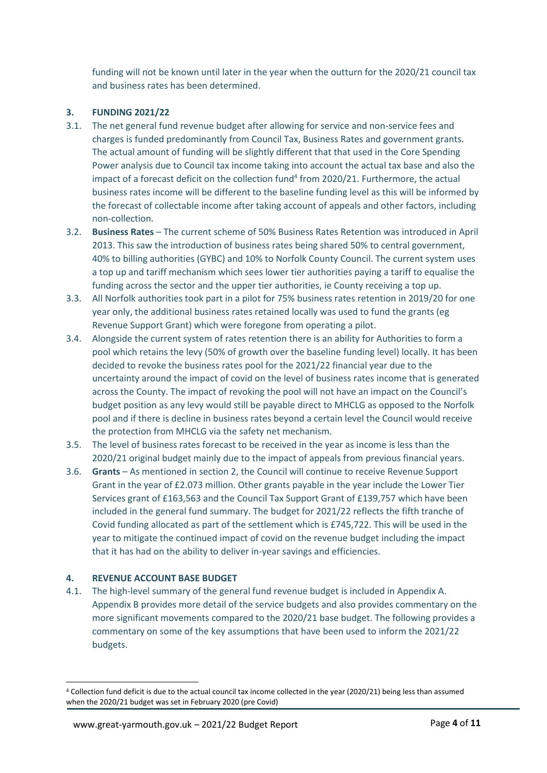funding will not be known until later in the year when the outturn for the 2020/21 council tax and business rates has been determined.

# **3. FUNDING 2021/22**

- 3.1. The net general fund revenue budget after allowing for service and non-service fees and charges is funded predominantly from Council Tax, Business Rates and government grants. The actual amount of funding will be slightly different that that used in the Core Spending Power analysis due to Council tax income taking into account the actual tax base and also the impact of a forecast deficit on the collection fund<sup>4</sup> from 2020/21. Furthermore, the actual business rates income will be different to the baseline funding level as this will be informed by the forecast of collectable income after taking account of appeals and other factors, including non-collection.
- 3.2. **Business Rates** The current scheme of 50% Business Rates Retention was introduced in April 2013. This saw the introduction of business rates being shared 50% to central government, 40% to billing authorities (GYBC) and 10% to Norfolk County Council. The current system uses a top up and tariff mechanism which sees lower tier authorities paying a tariff to equalise the funding across the sector and the upper tier authorities, ie County receiving a top up.
- 3.3. All Norfolk authorities took part in a pilot for 75% business rates retention in 2019/20 for one year only, the additional business rates retained locally was used to fund the grants (eg Revenue Support Grant) which were foregone from operating a pilot.
- 3.4. Alongside the current system of rates retention there is an ability for Authorities to form a pool which retains the levy (50% of growth over the baseline funding level) locally. It has been decided to revoke the business rates pool for the 2021/22 financial year due to the uncertainty around the impact of covid on the level of business rates income that is generated across the County. The impact of revoking the pool will not have an impact on the Council's budget position as any levy would still be payable direct to MHCLG as opposed to the Norfolk pool and if there is decline in business rates beyond a certain level the Council would receive the protection from MHCLG via the safety net mechanism.
- 3.5. The level of business rates forecast to be received in the year as income is less than the 2020/21 original budget mainly due to the impact of appeals from previous financial years.
- 3.6. **Grants** As mentioned in section 2, the Council will continue to receive Revenue Support Grant in the year of £2.073 million. Other grants payable in the year include the Lower Tier Services grant of £163,563 and the Council Tax Support Grant of £139,757 which have been included in the general fund summary. The budget for 2021/22 reflects the fifth tranche of Covid funding allocated as part of the settlement which is £745,722. This will be used in the year to mitigate the continued impact of covid on the revenue budget including the impact that it has had on the ability to deliver in-year savings and efficiencies.

# **4. REVENUE ACCOUNT BASE BUDGET**

4.1. The high-level summary of the general fund revenue budget is included in Appendix A. Appendix B provides more detail of the service budgets and also provides commentary on the more significant movements compared to the 2020/21 base budget. The following provides a commentary on some of the key assumptions that have been used to inform the 2021/22 budgets.

<sup>4</sup> Collection fund deficit is due to the actual council tax income collected in the year (2020/21) being less than assumed when the 2020/21 budget was set in February 2020 (pre Covid)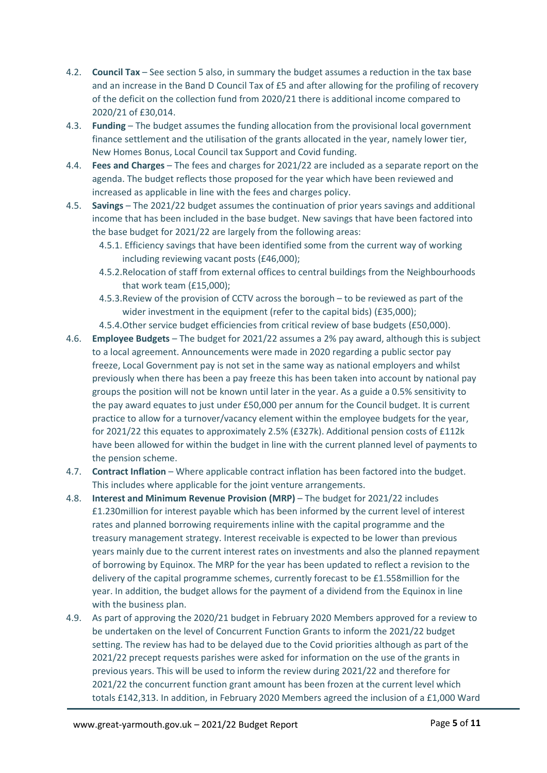- 4.2. **Council Tax** See section 5 also, in summary the budget assumes a reduction in the tax base and an increase in the Band D Council Tax of £5 and after allowing for the profiling of recovery of the deficit on the collection fund from 2020/21 there is additional income compared to 2020/21 of £30,014.
- 4.3. **Funding** The budget assumes the funding allocation from the provisional local government finance settlement and the utilisation of the grants allocated in the year, namely lower tier, New Homes Bonus, Local Council tax Support and Covid funding.
- 4.4. **Fees and Charges** The fees and charges for 2021/22 are included as a separate report on the agenda. The budget reflects those proposed for the year which have been reviewed and increased as applicable in line with the fees and charges policy.
- 4.5. **Savings** The 2021/22 budget assumes the continuation of prior years savings and additional income that has been included in the base budget. New savings that have been factored into the base budget for 2021/22 are largely from the following areas:
	- 4.5.1. Efficiency savings that have been identified some from the current way of working including reviewing vacant posts (£46,000);
	- 4.5.2.Relocation of staff from external offices to central buildings from the Neighbourhoods that work team (£15,000);
	- 4.5.3.Review of the provision of CCTV across the borough to be reviewed as part of the wider investment in the equipment (refer to the capital bids) (£35,000);
	- 4.5.4.Other service budget efficiencies from critical review of base budgets (£50,000).
- 4.6. **Employee Budgets** The budget for 2021/22 assumes a 2% pay award, although this is subject to a local agreement. Announcements were made in 2020 regarding a public sector pay freeze, Local Government pay is not set in the same way as national employers and whilst previously when there has been a pay freeze this has been taken into account by national pay groups the position will not be known until later in the year. As a guide a 0.5% sensitivity to the pay award equates to just under £50,000 per annum for the Council budget. It is current practice to allow for a turnover/vacancy element within the employee budgets for the year, for 2021/22 this equates to approximately 2.5% (£327k). Additional pension costs of £112k have been allowed for within the budget in line with the current planned level of payments to the pension scheme.
- 4.7. **Contract Inflation** Where applicable contract inflation has been factored into the budget. This includes where applicable for the joint venture arrangements.
- 4.8. **Interest and Minimum Revenue Provision (MRP)** The budget for 2021/22 includes £1.230million for interest payable which has been informed by the current level of interest rates and planned borrowing requirements inline with the capital programme and the treasury management strategy. Interest receivable is expected to be lower than previous years mainly due to the current interest rates on investments and also the planned repayment of borrowing by Equinox. The MRP for the year has been updated to reflect a revision to the delivery of the capital programme schemes, currently forecast to be £1.558million for the year. In addition, the budget allows for the payment of a dividend from the Equinox in line with the business plan.
- 4.9. As part of approving the 2020/21 budget in February 2020 Members approved for a review to be undertaken on the level of Concurrent Function Grants to inform the 2021/22 budget setting. The review has had to be delayed due to the Covid priorities although as part of the 2021/22 precept requests parishes were asked for information on the use of the grants in previous years. This will be used to inform the review during 2021/22 and therefore for 2021/22 the concurrent function grant amount has been frozen at the current level which totals £142,313. In addition, in February 2020 Members agreed the inclusion of a £1,000 Ward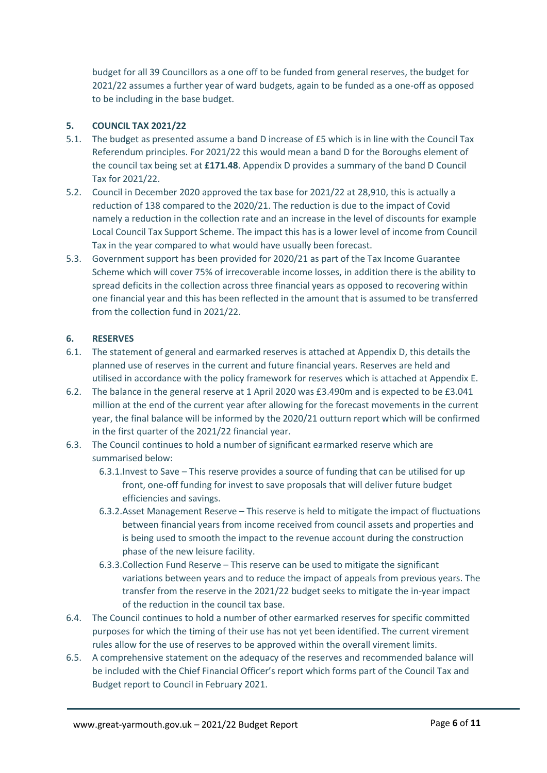budget for all 39 Councillors as a one off to be funded from general reserves, the budget for 2021/22 assumes a further year of ward budgets, again to be funded as a one-off as opposed to be including in the base budget.

# **5. COUNCIL TAX 2021/22**

- 5.1. The budget as presented assume a band D increase of £5 which is in line with the Council Tax Referendum principles. For 2021/22 this would mean a band D for the Boroughs element of the council tax being set at **£171.48**. Appendix D provides a summary of the band D Council Tax for 2021/22.
- 5.2. Council in December 2020 approved the tax base for 2021/22 at 28,910, this is actually a reduction of 138 compared to the 2020/21. The reduction is due to the impact of Covid namely a reduction in the collection rate and an increase in the level of discounts for example Local Council Tax Support Scheme. The impact this has is a lower level of income from Council Tax in the year compared to what would have usually been forecast.
- 5.3. Government support has been provided for 2020/21 as part of the Tax Income Guarantee Scheme which will cover 75% of irrecoverable income losses, in addition there is the ability to spread deficits in the collection across three financial years as opposed to recovering within one financial year and this has been reflected in the amount that is assumed to be transferred from the collection fund in 2021/22.

# **6. RESERVES**

- 6.1. The statement of general and earmarked reserves is attached at Appendix D, this details the planned use of reserves in the current and future financial years. Reserves are held and utilised in accordance with the policy framework for reserves which is attached at Appendix E.
- 6.2. The balance in the general reserve at 1 April 2020 was £3.490m and is expected to be £3.041 million at the end of the current year after allowing for the forecast movements in the current year, the final balance will be informed by the 2020/21 outturn report which will be confirmed in the first quarter of the 2021/22 financial year.
- 6.3. The Council continues to hold a number of significant earmarked reserve which are summarised below:
	- 6.3.1.Invest to Save This reserve provides a source of funding that can be utilised for up front, one-off funding for invest to save proposals that will deliver future budget efficiencies and savings.
	- 6.3.2.Asset Management Reserve This reserve is held to mitigate the impact of fluctuations between financial years from income received from council assets and properties and is being used to smooth the impact to the revenue account during the construction phase of the new leisure facility.
	- 6.3.3.Collection Fund Reserve This reserve can be used to mitigate the significant variations between years and to reduce the impact of appeals from previous years. The transfer from the reserve in the 2021/22 budget seeks to mitigate the in-year impact of the reduction in the council tax base.
- 6.4. The Council continues to hold a number of other earmarked reserves for specific committed purposes for which the timing of their use has not yet been identified. The current virement rules allow for the use of reserves to be approved within the overall virement limits.
- 6.5. A comprehensive statement on the adequacy of the reserves and recommended balance will be included with the Chief Financial Officer's report which forms part of the Council Tax and Budget report to Council in February 2021.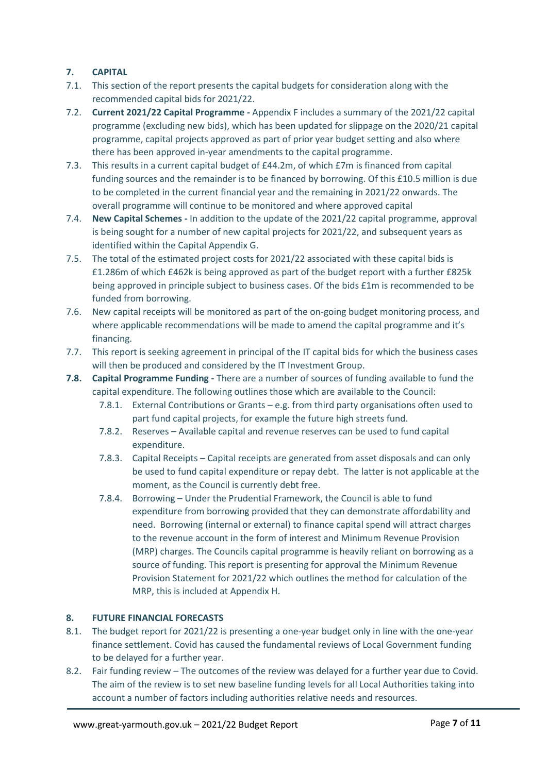# **7. CAPITAL**

- 7.1. This section of the report presents the capital budgets for consideration along with the recommended capital bids for 2021/22.
- 7.2. **Current 2021/22 Capital Programme -** Appendix F includes a summary of the 2021/22 capital programme (excluding new bids), which has been updated for slippage on the 2020/21 capital programme, capital projects approved as part of prior year budget setting and also where there has been approved in-year amendments to the capital programme.
- 7.3. This results in a current capital budget of £44.2m, of which £7m is financed from capital funding sources and the remainder is to be financed by borrowing. Of this £10.5 million is due to be completed in the current financial year and the remaining in 2021/22 onwards. The overall programme will continue to be monitored and where approved capital
- 7.4. **New Capital Schemes -** In addition to the update of the 2021/22 capital programme, approval is being sought for a number of new capital projects for 2021/22, and subsequent years as identified within the Capital Appendix G.
- 7.5. The total of the estimated project costs for 2021/22 associated with these capital bids is £1.286m of which £462k is being approved as part of the budget report with a further £825k being approved in principle subject to business cases. Of the bids £1m is recommended to be funded from borrowing.
- 7.6. New capital receipts will be monitored as part of the on-going budget monitoring process, and where applicable recommendations will be made to amend the capital programme and it's financing.
- 7.7. This report is seeking agreement in principal of the IT capital bids for which the business cases will then be produced and considered by the IT Investment Group.
- **7.8. Capital Programme Funding -** There are a number of sources of funding available to fund the capital expenditure. The following outlines those which are available to the Council:
	- 7.8.1. External Contributions or Grants e.g. from third party organisations often used to part fund capital projects, for example the future high streets fund.
	- 7.8.2. Reserves Available capital and revenue reserves can be used to fund capital expenditure.
	- 7.8.3. Capital Receipts Capital receipts are generated from asset disposals and can only be used to fund capital expenditure or repay debt. The latter is not applicable at the moment, as the Council is currently debt free.
	- 7.8.4. Borrowing Under the Prudential Framework, the Council is able to fund expenditure from borrowing provided that they can demonstrate affordability and need. Borrowing (internal or external) to finance capital spend will attract charges to the revenue account in the form of interest and Minimum Revenue Provision (MRP) charges. The Councils capital programme is heavily reliant on borrowing as a source of funding. This report is presenting for approval the Minimum Revenue Provision Statement for 2021/22 which outlines the method for calculation of the MRP, this is included at Appendix H.

# **8. FUTURE FINANCIAL FORECASTS**

- 8.1. The budget report for 2021/22 is presenting a one-year budget only in line with the one-year finance settlement. Covid has caused the fundamental reviews of Local Government funding to be delayed for a further year.
- 8.2. Fair funding review The outcomes of the review was delayed for a further year due to Covid. The aim of the review is to set new baseline funding levels for all Local Authorities taking into account a number of factors including authorities relative needs and resources.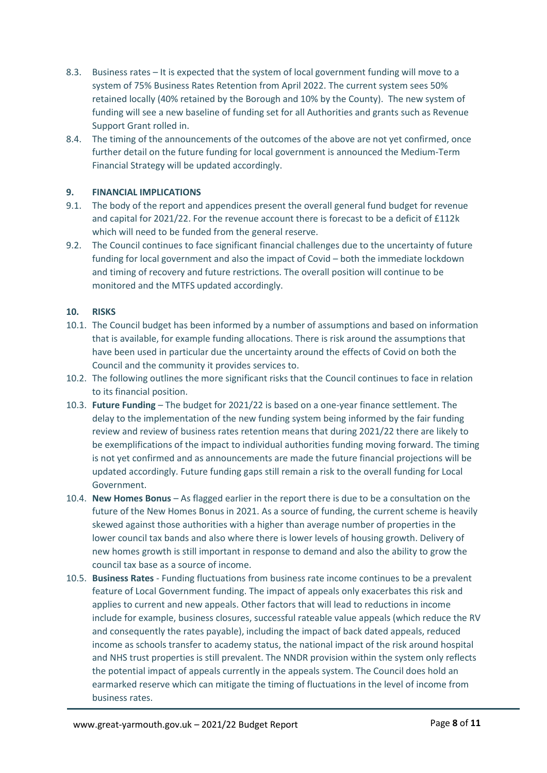- 8.3. Business rates It is expected that the system of local government funding will move to a system of 75% Business Rates Retention from April 2022. The current system sees 50% retained locally (40% retained by the Borough and 10% by the County). The new system of funding will see a new baseline of funding set for all Authorities and grants such as Revenue Support Grant rolled in.
- 8.4. The timing of the announcements of the outcomes of the above are not yet confirmed, once further detail on the future funding for local government is announced the Medium-Term Financial Strategy will be updated accordingly.

# **9. FINANCIAL IMPLICATIONS**

- 9.1. The body of the report and appendices present the overall general fund budget for revenue and capital for 2021/22. For the revenue account there is forecast to be a deficit of £112k which will need to be funded from the general reserve.
- 9.2. The Council continues to face significant financial challenges due to the uncertainty of future funding for local government and also the impact of Covid – both the immediate lockdown and timing of recovery and future restrictions. The overall position will continue to be monitored and the MTFS updated accordingly.

# **10. RISKS**

- 10.1. The Council budget has been informed by a number of assumptions and based on information that is available, for example funding allocations. There is risk around the assumptions that have been used in particular due the uncertainty around the effects of Covid on both the Council and the community it provides services to.
- 10.2. The following outlines the more significant risks that the Council continues to face in relation to its financial position.
- 10.3. **Future Funding** The budget for 2021/22 is based on a one-year finance settlement. The delay to the implementation of the new funding system being informed by the fair funding review and review of business rates retention means that during 2021/22 there are likely to be exemplifications of the impact to individual authorities funding moving forward. The timing is not yet confirmed and as announcements are made the future financial projections will be updated accordingly. Future funding gaps still remain a risk to the overall funding for Local Government.
- 10.4. **New Homes Bonus** As flagged earlier in the report there is due to be a consultation on the future of the New Homes Bonus in 2021. As a source of funding, the current scheme is heavily skewed against those authorities with a higher than average number of properties in the lower council tax bands and also where there is lower levels of housing growth. Delivery of new homes growth is still important in response to demand and also the ability to grow the council tax base as a source of income.
- 10.5. **Business Rates** Funding fluctuations from business rate income continues to be a prevalent feature of Local Government funding. The impact of appeals only exacerbates this risk and applies to current and new appeals. Other factors that will lead to reductions in income include for example, business closures, successful rateable value appeals (which reduce the RV and consequently the rates payable), including the impact of back dated appeals, reduced income as schools transfer to academy status, the national impact of the risk around hospital and NHS trust properties is still prevalent. The NNDR provision within the system only reflects the potential impact of appeals currently in the appeals system. The Council does hold an earmarked reserve which can mitigate the timing of fluctuations in the level of income from business rates.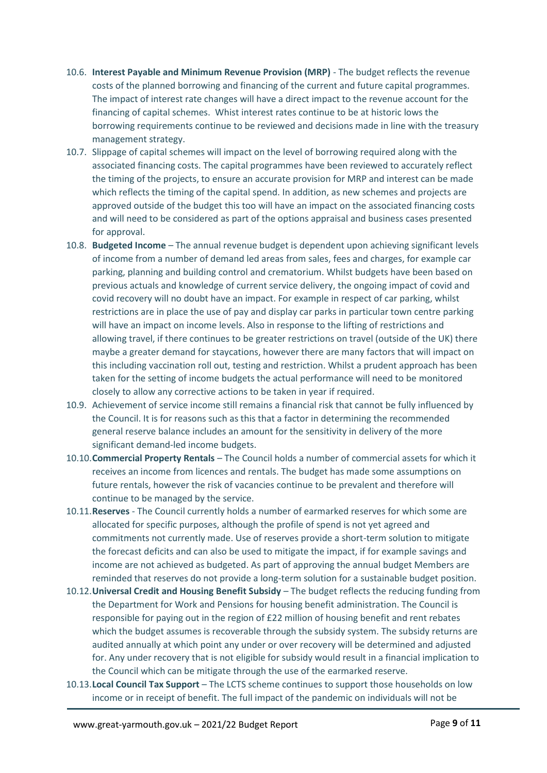- 10.6. **Interest Payable and Minimum Revenue Provision (MRP)** The budget reflects the revenue costs of the planned borrowing and financing of the current and future capital programmes. The impact of interest rate changes will have a direct impact to the revenue account for the financing of capital schemes. Whist interest rates continue to be at historic lows the borrowing requirements continue to be reviewed and decisions made in line with the treasury management strategy.
- 10.7. Slippage of capital schemes will impact on the level of borrowing required along with the associated financing costs. The capital programmes have been reviewed to accurately reflect the timing of the projects, to ensure an accurate provision for MRP and interest can be made which reflects the timing of the capital spend. In addition, as new schemes and projects are approved outside of the budget this too will have an impact on the associated financing costs and will need to be considered as part of the options appraisal and business cases presented for approval.
- 10.8. **Budgeted Income** The annual revenue budget is dependent upon achieving significant levels of income from a number of demand led areas from sales, fees and charges, for example car parking, planning and building control and crematorium. Whilst budgets have been based on previous actuals and knowledge of current service delivery, the ongoing impact of covid and covid recovery will no doubt have an impact. For example in respect of car parking, whilst restrictions are in place the use of pay and display car parks in particular town centre parking will have an impact on income levels. Also in response to the lifting of restrictions and allowing travel, if there continues to be greater restrictions on travel (outside of the UK) there maybe a greater demand for staycations, however there are many factors that will impact on this including vaccination roll out, testing and restriction. Whilst a prudent approach has been taken for the setting of income budgets the actual performance will need to be monitored closely to allow any corrective actions to be taken in year if required.
- 10.9. Achievement of service income still remains a financial risk that cannot be fully influenced by the Council. It is for reasons such as this that a factor in determining the recommended general reserve balance includes an amount for the sensitivity in delivery of the more significant demand-led income budgets.
- 10.10.**Commercial Property Rentals**  The Council holds a number of commercial assets for which it receives an income from licences and rentals. The budget has made some assumptions on future rentals, however the risk of vacancies continue to be prevalent and therefore will continue to be managed by the service.
- 10.11.**Reserves** The Council currently holds a number of earmarked reserves for which some are allocated for specific purposes, although the profile of spend is not yet agreed and commitments not currently made. Use of reserves provide a short-term solution to mitigate the forecast deficits and can also be used to mitigate the impact, if for example savings and income are not achieved as budgeted. As part of approving the annual budget Members are reminded that reserves do not provide a long-term solution for a sustainable budget position.
- 10.12.**Universal Credit and Housing Benefit Subsidy** The budget reflects the reducing funding from the Department for Work and Pensions for housing benefit administration. The Council is responsible for paying out in the region of £22 million of housing benefit and rent rebates which the budget assumes is recoverable through the subsidy system. The subsidy returns are audited annually at which point any under or over recovery will be determined and adjusted for. Any under recovery that is not eligible for subsidy would result in a financial implication to the Council which can be mitigate through the use of the earmarked reserve.
- 10.13.**Local Council Tax Support**  The LCTS scheme continues to support those households on low income or in receipt of benefit. The full impact of the pandemic on individuals will not be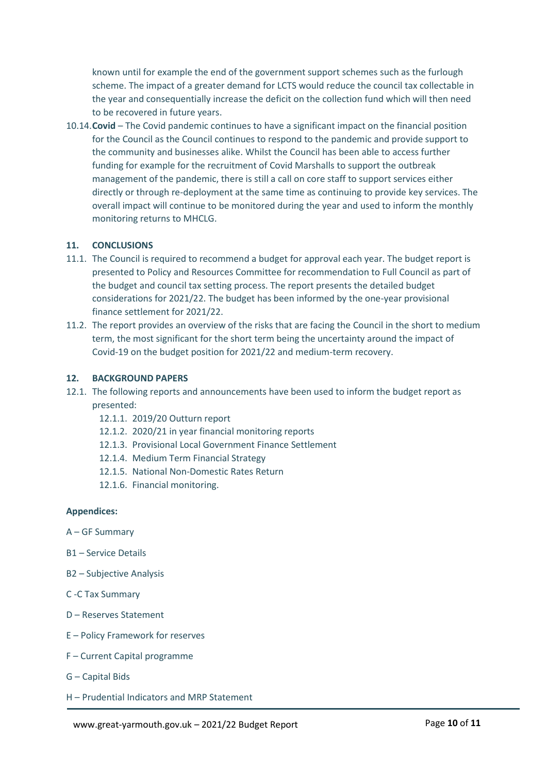known until for example the end of the government support schemes such as the furlough scheme. The impact of a greater demand for LCTS would reduce the council tax collectable in the year and consequentially increase the deficit on the collection fund which will then need to be recovered in future years.

10.14.**Covid** – The Covid pandemic continues to have a significant impact on the financial position for the Council as the Council continues to respond to the pandemic and provide support to the community and businesses alike. Whilst the Council has been able to access further funding for example for the recruitment of Covid Marshalls to support the outbreak management of the pandemic, there is still a call on core staff to support services either directly or through re-deployment at the same time as continuing to provide key services. The overall impact will continue to be monitored during the year and used to inform the monthly monitoring returns to MHCLG.

# **11. CONCLUSIONS**

- 11.1. The Council is required to recommend a budget for approval each year. The budget report is presented to Policy and Resources Committee for recommendation to Full Council as part of the budget and council tax setting process. The report presents the detailed budget considerations for 2021/22. The budget has been informed by the one-year provisional finance settlement for 2021/22.
- 11.2. The report provides an overview of the risks that are facing the Council in the short to medium term, the most significant for the short term being the uncertainty around the impact of Covid-19 on the budget position for 2021/22 and medium-term recovery.

# **12. BACKGROUND PAPERS**

- 12.1. The following reports and announcements have been used to inform the budget report as presented:
	- 12.1.1. 2019/20 Outturn report
	- 12.1.2. 2020/21 in year financial monitoring reports
	- 12.1.3. Provisional Local Government Finance Settlement
	- 12.1.4. Medium Term Financial Strategy
	- 12.1.5. National Non-Domestic Rates Return
	- 12.1.6. Financial monitoring.

#### **Appendices:**

- A GF Summary
- B1 Service Details
- B2 Subjective Analysis
- C -C Tax Summary
- D Reserves Statement
- E Policy Framework for reserves
- F Current Capital programme
- G Capital Bids
- H Prudential Indicators and MRP Statement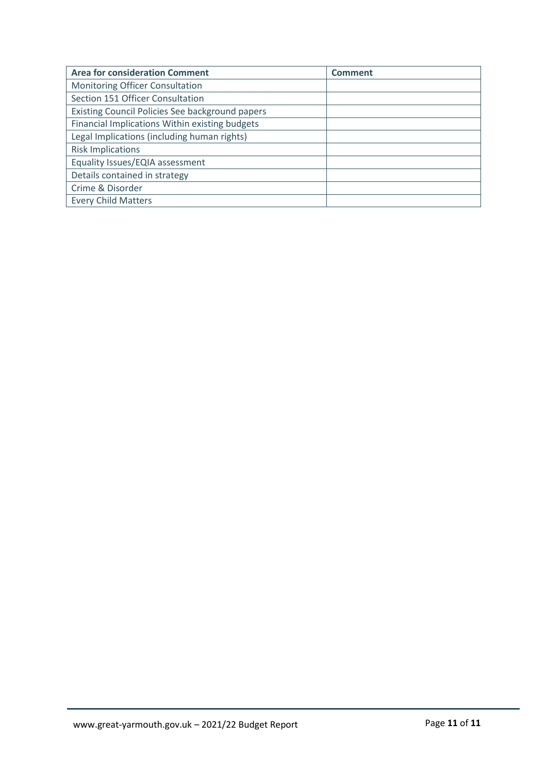| <b>Area for consideration Comment</b>                  | Comment |
|--------------------------------------------------------|---------|
| <b>Monitoring Officer Consultation</b>                 |         |
| Section 151 Officer Consultation                       |         |
| <b>Existing Council Policies See background papers</b> |         |
| Financial Implications Within existing budgets         |         |
| Legal Implications (including human rights)            |         |
| <b>Risk Implications</b>                               |         |
| Equality Issues/EQIA assessment                        |         |
| Details contained in strategy                          |         |
| Crime & Disorder                                       |         |
| <b>Every Child Matters</b>                             |         |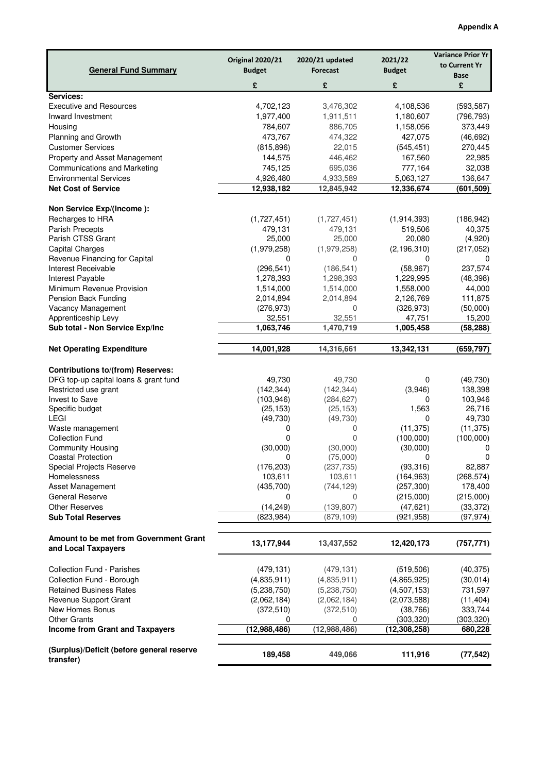|                                                               | <b>Original 2020/21</b> | 2020/21 updated         | 2021/22               | <b>Variance Prior Yr</b><br>to Current Yr |
|---------------------------------------------------------------|-------------------------|-------------------------|-----------------------|-------------------------------------------|
| <b>General Fund Summary</b>                                   | <b>Budget</b>           | <b>Forecast</b>         | <b>Budget</b>         | <b>Base</b>                               |
|                                                               | £                       | £                       | £                     | £                                         |
| Services:                                                     |                         |                         |                       |                                           |
| <b>Executive and Resources</b>                                | 4,702,123               | 3,476,302               | 4,108,536             | (593, 587)                                |
| Inward Investment                                             | 1,977,400               | 1,911,511               | 1,180,607             | (796, 793)                                |
| Housing                                                       | 784,607                 | 886,705                 | 1,158,056             | 373,449                                   |
| Planning and Growth<br><b>Customer Services</b>               | 473,767<br>(815, 896)   | 474,322<br>22,015       | 427,075<br>(545, 451) | (46, 692)<br>270,445                      |
| Property and Asset Management                                 | 144,575                 | 446,462                 | 167,560               |                                           |
| Communications and Marketing                                  | 745,125                 | 695,036                 | 777,164               | 22,985<br>32,038                          |
| <b>Environmental Services</b>                                 | 4,926,480               | 4,933,589               | 5,063,127             | 136,647                                   |
| <b>Net Cost of Service</b>                                    | 12,938,182              | 12,845,942              | 12,336,674            | (601, 509)                                |
|                                                               |                         |                         |                       |                                           |
| Non Service Exp/(Income):                                     |                         |                         |                       |                                           |
| Recharges to HRA                                              | (1,727,451)             | (1,727,451)             | (1,914,393)           | (186, 942)                                |
| <b>Parish Precepts</b>                                        | 479,131                 | 479,131                 | 519,506               | 40,375                                    |
| Parish CTSS Grant                                             | 25,000                  | 25,000                  | 20,080                | (4,920)                                   |
| <b>Capital Charges</b><br>Revenue Financing for Capital       | (1,979,258)<br>0        | (1,979,258)<br>$\Omega$ | (2, 196, 310)<br>0    | (217,052)<br>0                            |
| Interest Receivable                                           | (296, 541)              | (186, 541)              | (58, 967)             | 237,574                                   |
| Interest Payable                                              | 1,278,393               | 1,298,393               | 1,229,995             | (48, 398)                                 |
| Minimum Revenue Provision                                     | 1,514,000               | 1,514,000               | 1,558,000             | 44,000                                    |
| Pension Back Funding                                          | 2,014,894               | 2,014,894               | 2,126,769             | 111,875                                   |
| Vacancy Management                                            | (276, 973)              | $\Omega$                | (326, 973)            | (50,000)                                  |
| Apprenticeship Levy                                           | 32,551                  | 32,551                  | 47,751                | 15,200                                    |
| Sub total - Non Service Exp/Inc                               | $\overline{1,}063,746$  | 1,470,719               | 1,005,458             | (58, 288)                                 |
| <b>Net Operating Expenditure</b>                              | 14,001,928              | 14,316,661              | 13,342,131            | (659,797)                                 |
|                                                               |                         |                         |                       |                                           |
| <b>Contributions to/(from) Reserves:</b>                      | 49,730                  | 49,730                  |                       |                                           |
| DFG top-up capital loans & grant fund<br>Restricted use grant | (142, 344)              | (142, 344)              | 0<br>(3,946)          | (49,730)<br>138,398                       |
| <b>Invest to Save</b>                                         | (103, 946)              | (284, 627)              | 0                     | 103,946                                   |
| Specific budget                                               | (25, 153)               | (25, 153)               | 1,563                 | 26,716                                    |
| <b>LEGI</b>                                                   | (49,730)                | (49, 730)               | 0                     | 49,730                                    |
| Waste management                                              | 0                       | $\Omega$                | (11, 375)             | (11, 375)                                 |
| <b>Collection Fund</b>                                        | 0                       | $\Omega$                | (100,000)             | (100,000)                                 |
| <b>Community Housing</b>                                      | (30,000)                | (30,000)                | (30,000)              | 0                                         |
| <b>Coastal Protection</b>                                     | 0                       | (75,000)                | 0                     | 0                                         |
| Special Projects Reserve                                      | (176, 203)              | (237, 735)              | (93, 316)             | 82,887                                    |
| Homelessness                                                  | 103,611                 | 103,611                 | (164, 963)            | (268, 574)                                |
| Asset Management                                              | (435,700)               | (744, 129)              | (257, 300)            | 178,400                                   |
| <b>General Reserve</b>                                        | 0                       | 0                       | (215,000)             | (215,000)                                 |
| <b>Other Reserves</b>                                         | (14, 249)               | (139, 807)              | (47, 621)             | (33, 372)                                 |
| <b>Sub Total Reserves</b>                                     | (823, 984)              | (879, 109)              | (921, 958)            | (97, 974)                                 |
| Amount to be met from Government Grant                        | 13,177,944              |                         |                       | (757, 771)                                |
| and Local Taxpayers                                           |                         | 13,437,552              | 12,420,173            |                                           |
| <b>Collection Fund - Parishes</b>                             | (479, 131)              | (479, 131)              | (519, 506)            | (40, 375)                                 |
| Collection Fund - Borough                                     | (4,835,911)             | (4,835,911)             | (4,865,925)           | (30, 014)                                 |
| <b>Retained Business Rates</b>                                | (5,238,750)             | (5,238,750)             | (4,507,153)           | 731,597                                   |
| Revenue Support Grant                                         | (2,062,184)             | (2,062,184)             | (2,073,588)           | (11, 404)                                 |
| New Homes Bonus                                               | (372, 510)              | (372, 510)              | (38, 766)             | 333,744                                   |
| <b>Other Grants</b>                                           | 0                       | $\Omega$                | (303, 320)            | (303, 320)                                |
| <b>Income from Grant and Taxpayers</b>                        | (12, 988, 486)          | (12,988,486)            | (12, 308, 258)        | 680,228                                   |
| (Surplus)/Deficit (before general reserve                     |                         |                         |                       |                                           |
| transfer)                                                     | 189,458                 | 449,066                 | 111,916               | (77, 542)                                 |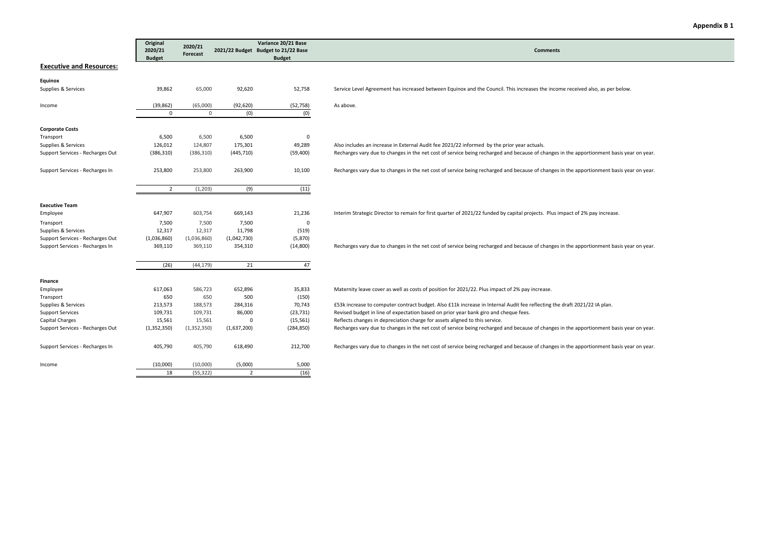# **Comments**

#### **Executive and Resources:**

| <b>Equinox</b>                   |                |             |             |            |            |
|----------------------------------|----------------|-------------|-------------|------------|------------|
| Supplies & Services              | 39,862         | 65,000      | 92,620      | 52,758     | Service Le |
| Income                           | (39, 862)      | (65,000)    | (92, 620)   | (52, 758)  | As above.  |
|                                  | $\Omega$       | $\Omega$    | (0)         | (0)        |            |
| <b>Corporate Costs</b>           |                |             |             |            |            |
| Transport                        | 6,500          | 6,500       | 6,500       | 0          |            |
| Supplies & Services              | 126,012        | 124,807     | 175,301     | 49,289     | Also inclu |
| Support Services - Recharges Out | (386, 310)     | (386, 310)  | (445, 710)  | (59, 400)  | Recharge   |
| Support Services - Recharges In  | 253,800        | 253,800     | 263,900     | 10,100     | Recharge   |
|                                  | $\overline{2}$ | (1, 203)    | (9)         | (11)       |            |
| <b>Executive Team</b>            |                |             |             |            |            |
| Employee                         | 647,907        | 603,754     | 669,143     | 21,236     | Interim St |
| Transport                        | 7,500          | 7,500       | 7,500       | 0          |            |
| Supplies & Services              | 12,317         | 12,317      | 11,798      | (519)      |            |
| Support Services - Recharges Out | (1,036,860)    | (1,036,860) | (1,042,730) | (5,870)    |            |
| Support Services - Recharges In  | 369,110        | 369,110     | 354,310     | (14, 800)  | Recharge   |
|                                  | (26)           | (44, 179)   | 21          | 47         |            |
| Finance                          |                |             |             |            |            |
| Employee                         | 617,063        | 586,723     | 652,896     | 35,833     | Maternity  |
| Transport                        | 650            | 650         | 500         | (150)      |            |
| Supplies & Services              | 213,573        | 188,573     | 284,316     | 70,743     | £53k incr  |
| <b>Support Services</b>          | 109,731        | 109,731     | 86,000      | (23, 731)  | Revised b  |
| Capital Charges                  | 15,561         | 15,561      | 0           | (15, 561)  | Reflects c |
| Support Services - Recharges Out | (1,352,350)    | (1,352,350) | (1,637,200) | (284, 850) | Recharge   |
| Support Services - Recharges In  | 405,790        | 405,790     | 618,490     | 212,700    | Recharge   |
| Income                           | (10,000)       | (10,000)    | (5,000)     | 5,000      |            |
|                                  | 18             | (55, 322)   | 2           | (16)       |            |

**2020/21Forecast**

**2021/22 Budget Budget to 21/22 Base** 

**Variance 20/21 Base Budget**

**Original 2020/21Budget**

| Equinox                          |                |              |             |            |                                                                                                                                          |
|----------------------------------|----------------|--------------|-------------|------------|------------------------------------------------------------------------------------------------------------------------------------------|
| Supplies & Services              | 39,862         | 65,000       | 92,620      | 52,758     | Service Level Agreement has increased between Equinox and the Council. This increases the income received also, as per below.            |
| Income                           | (39, 862)      | (65,000)     | (92, 620)   | (52, 758)  | As above.                                                                                                                                |
|                                  | $^{\circ}$     | $\mathbf{0}$ | (0)         | (0)        |                                                                                                                                          |
| <b>Corporate Costs</b>           |                |              |             |            |                                                                                                                                          |
| Transport                        | 6,500          | 6,500        | 6,500       | 0          |                                                                                                                                          |
| Supplies & Services              | 126,012        | 124,807      | 175,301     | 49,289     | Also includes an increase in External Audit fee 2021/22 informed by the prior year actuals.                                              |
| Support Services - Recharges Out | (386, 310)     | (386, 310)   | (445, 710)  | (59, 400)  | Recharges vary due to changes in the net cost of service being recharged and because of changes in the apportionment basis year on year. |
| Support Services - Recharges In  | 253,800        | 253,800      | 263,900     | 10,100     | Recharges vary due to changes in the net cost of service being recharged and because of changes in the apportionment basis year on year. |
|                                  | $\overline{2}$ | (1,203)      | (9)         | (11)       |                                                                                                                                          |
| Executive Team                   |                |              |             |            |                                                                                                                                          |
| Employee                         | 647,907        | 603,754      | 669,143     | 21,236     | Interim Strategic Director to remain for first quarter of 2021/22 funded by capital projects. Plus impact of 2% pay increase.            |
| Transport                        | 7,500          | 7,500        | 7,500       | 0          |                                                                                                                                          |
| Supplies & Services              | 12,317         | 12,317       | 11,798      | (519)      |                                                                                                                                          |
| Support Services - Recharges Out | (1,036,860)    | (1,036,860)  | (1,042,730) | (5,870)    |                                                                                                                                          |
| Support Services - Recharges In  | 369,110        | 369,110      | 354,310     | (14,800)   | Recharges vary due to changes in the net cost of service being recharged and because of changes in the apportionment basis year on year. |
|                                  | (26)           | (44, 179)    | 21          | 47         |                                                                                                                                          |
| Finance                          |                |              |             |            |                                                                                                                                          |
| Employee                         | 617,063        | 586,723      | 652,896     | 35,833     | Maternity leave cover as well as costs of position for 2021/22. Plus impact of 2% pay increase.                                          |
| Transport                        | 650            | 650          | 500         | (150)      |                                                                                                                                          |
| Supplies & Services              | 213,573        | 188,573      | 284,316     | 70,743     | £53k increase to computer contract budget. Also £11k increase in Internal Audit fee reflecting the draft 2021/22 IA plan.                |
| <b>Support Services</b>          | 109,731        | 109,731      | 86,000      | (23, 731)  | Revised budget in line of expectation based on prior year bank giro and cheque fees.                                                     |
| Capital Charges                  | 15,561         | 15,561       | $\Omega$    | (15, 561)  | Reflects changes in depreciation charge for assets aligned to this service.                                                              |
| Support Services - Recharges Out | (1,352,350)    | (1,352,350)  | (1,637,200) | (284, 850) | Recharges vary due to changes in the net cost of service being recharged and because of changes in the apportionment basis year on year. |
| Support Services - Recharges In  | 405,790        | 405,790      | 618.490     | 212.700    | Recharges vary due to changes in the net cost of service being recharged and because of changes in the apportionment basis year on year. |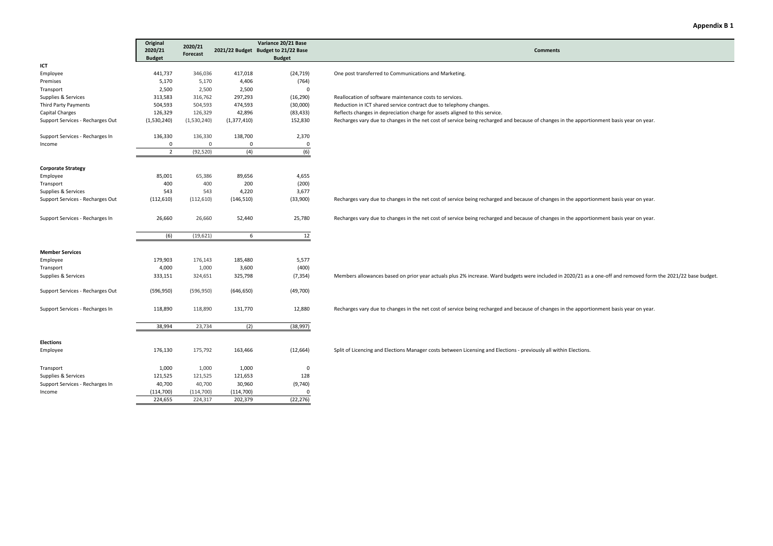|                                  | Original       | 2020/21     | Variance 20/21 Base |                                     |                                                                                                                                                               |
|----------------------------------|----------------|-------------|---------------------|-------------------------------------|---------------------------------------------------------------------------------------------------------------------------------------------------------------|
|                                  | 2020/21        | Forecast    |                     | 2021/22 Budget Budget to 21/22 Base | <b>Comments</b>                                                                                                                                               |
|                                  | <b>Budget</b>  |             |                     | <b>Budget</b>                       |                                                                                                                                                               |
| ICT                              |                |             |                     |                                     |                                                                                                                                                               |
| Employee                         | 441,737        | 346,036     | 417,018             | (24, 719)                           | One post transferred to Communications and Marketing.                                                                                                         |
| Premises                         | 5,170          | 5,170       | 4,406               | (764)                               |                                                                                                                                                               |
| Transport                        | 2,500          | 2,500       | 2,500               | $\mathbf 0$                         |                                                                                                                                                               |
| Supplies & Services              | 313,583        | 316,762     | 297,293             | (16, 290)                           | Reallocation of software maintenance costs to services.                                                                                                       |
| Third Party Payments             | 504,593        | 504,593     | 474,593             | (30,000)                            | Reduction in ICT shared service contract due to telephony changes.                                                                                            |
| Capital Charges                  | 126,329        | 126,329     | 42,896              | (83, 433)                           | Reflects changes in depreciation charge for assets aligned to this service.                                                                                   |
| Support Services - Recharges Out | (1,530,240)    | (1,530,240) | (1, 377, 410)       | 152,830                             | Recharges vary due to changes in the net cost of service being recharged and because of changes in the apportionment basis year on year.                      |
|                                  |                |             |                     |                                     |                                                                                                                                                               |
| Support Services - Recharges In  | 136,330        | 136,330     | 138,700             | 2,370                               |                                                                                                                                                               |
| Income                           | $\mathbf{0}$   | $\mathbf 0$ | $\mathbf 0$         | 0                                   |                                                                                                                                                               |
|                                  | $\overline{2}$ | (92, 520)   | (4)                 | (6)                                 |                                                                                                                                                               |
| <b>Corporate Strategy</b>        |                |             |                     |                                     |                                                                                                                                                               |
| Employee                         | 85,001         | 65,386      | 89,656              | 4,655                               |                                                                                                                                                               |
| Transport                        | 400            | 400         | 200                 | (200)                               |                                                                                                                                                               |
| Supplies & Services              | 543            | 543         | 4,220               | 3,677                               |                                                                                                                                                               |
| Support Services - Recharges Out | (112, 610)     | (112, 610)  | (146, 510)          | (33,900)                            | Recharges vary due to changes in the net cost of service being recharged and because of changes in the apportionment basis year on year.                      |
|                                  |                |             |                     |                                     |                                                                                                                                                               |
| Support Services - Recharges In  | 26,660         | 26,660      | 52,440              | 25,780                              | Recharges vary due to changes in the net cost of service being recharged and because of changes in the apportionment basis year on year.                      |
|                                  |                |             |                     |                                     |                                                                                                                                                               |
|                                  | (6)            | (19, 621)   | 6                   | 12                                  |                                                                                                                                                               |
| <b>Member Services</b>           |                |             |                     |                                     |                                                                                                                                                               |
| Employee                         | 179,903        | 176,143     | 185,480             | 5,577                               |                                                                                                                                                               |
| Transport                        | 4,000          | 1,000       | 3,600               | (400)                               |                                                                                                                                                               |
| Supplies & Services              | 333,151        | 324,651     | 325,798             | (7, 354)                            | Members allowances based on prior year actuals plus 2% increase. Ward budgets were included in 2020/21 as a one-off and removed form the 2021/22 base budget. |
| Support Services - Recharges Out | (596, 950)     | (596, 950)  | (646, 650)          | (49, 700)                           |                                                                                                                                                               |
|                                  |                |             |                     |                                     |                                                                                                                                                               |
| Support Services - Recharges In  | 118,890        | 118,890     | 131,770             | 12,880                              | Recharges vary due to changes in the net cost of service being recharged and because of changes in the apportionment basis year on year.                      |
|                                  | 38,994         | 23,734      | (2)                 | (38,997)                            |                                                                                                                                                               |
| <b>Elections</b>                 |                |             |                     |                                     |                                                                                                                                                               |
| Employee                         | 176,130        | 175,792     | 163,466             | (12, 664)                           | Split of Licencing and Elections Manager costs between Licensing and Elections - previously all within Elections.                                             |
|                                  |                |             |                     |                                     |                                                                                                                                                               |
| Transport                        | 1,000          | 1,000       | 1,000               | 0                                   |                                                                                                                                                               |
| Supplies & Services              | 121,525        | 121,525     | 121,653             | 128                                 |                                                                                                                                                               |
| Support Services - Recharges In  | 40,700         | 40,700      | 30,960              | (9,740)                             |                                                                                                                                                               |
| Income                           | (114, 700)     | (114, 700)  | (114, 700)          | $\Omega$                            |                                                                                                                                                               |
|                                  | 224,655        | 224,317     | 202,379             | (22, 276)                           |                                                                                                                                                               |
|                                  |                |             |                     |                                     |                                                                                                                                                               |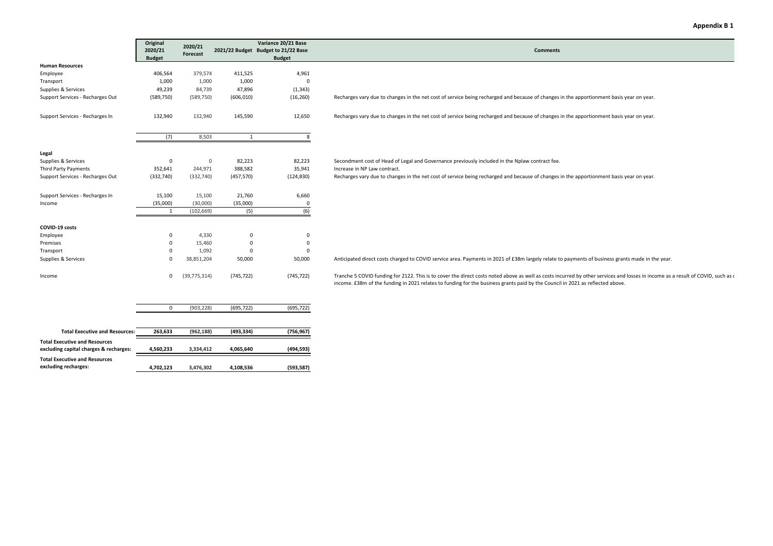|                                                              | Original      | 2020/21        |                | Variance 20/21 Base                 |                                                                                                                                                                                                                                                                                                                    |
|--------------------------------------------------------------|---------------|----------------|----------------|-------------------------------------|--------------------------------------------------------------------------------------------------------------------------------------------------------------------------------------------------------------------------------------------------------------------------------------------------------------------|
|                                                              | 2020/21       | Forecast       |                | 2021/22 Budget Budget to 21/22 Base | <b>Comments</b>                                                                                                                                                                                                                                                                                                    |
|                                                              | <b>Budget</b> |                |                | <b>Budget</b>                       |                                                                                                                                                                                                                                                                                                                    |
| <b>Human Resources</b>                                       |               |                |                |                                     |                                                                                                                                                                                                                                                                                                                    |
| Employee                                                     | 406,564       | 379,574        | 411,525        | 4,961                               |                                                                                                                                                                                                                                                                                                                    |
| Transport                                                    | 1,000         | 1,000          | 1,000          | $\Omega$                            |                                                                                                                                                                                                                                                                                                                    |
| Supplies & Services                                          | 49,239        | 84,739         | 47,896         | (1, 343)                            |                                                                                                                                                                                                                                                                                                                    |
| Support Services - Recharges Out                             | (589, 750)    | (589, 750)     | (606, 010)     | (16, 260)                           | Recharges vary due to changes in the net cost of service being recharged and because of changes in the apportionment basis year on year.                                                                                                                                                                           |
| Support Services - Recharges In                              | 132,940       | 132,940        | 145,590        | 12,650                              | Recharges vary due to changes in the net cost of service being recharged and because of changes in the apportionment basis year on year.                                                                                                                                                                           |
|                                                              | (7)           | 8,503          | $\overline{1}$ | 8                                   |                                                                                                                                                                                                                                                                                                                    |
| Legal                                                        |               |                |                |                                     |                                                                                                                                                                                                                                                                                                                    |
| Supplies & Services                                          | 0             | $\mathsf 0$    | 82,223         | 82,223                              | Secondment cost of Head of Legal and Governance previously included in the Nplaw contract fee.                                                                                                                                                                                                                     |
| <b>Third Party Payments</b>                                  | 352,641       | 244,971        | 388,582        | 35,941                              | Increase in NP Law contract.                                                                                                                                                                                                                                                                                       |
| Support Services - Recharges Out                             | (332,740)     | (332, 740)     | (457, 570)     | (124, 830)                          | Recharges vary due to changes in the net cost of service being recharged and because of changes in the apportionment basis year on year.                                                                                                                                                                           |
| Support Services - Recharges In                              | 15,100        | 15,100         | 21,760         | 6,660                               |                                                                                                                                                                                                                                                                                                                    |
| Income                                                       | (35,000)      | (30,000)       | (35,000)       | 0                                   |                                                                                                                                                                                                                                                                                                                    |
|                                                              | -1            | (102, 669)     | (5)            | $\overline{(6)}$                    |                                                                                                                                                                                                                                                                                                                    |
| COVID-19 costs                                               |               |                |                |                                     |                                                                                                                                                                                                                                                                                                                    |
| Employee                                                     | $\mathbf 0$   | 4,330          | $\mathbf 0$    | 0                                   |                                                                                                                                                                                                                                                                                                                    |
| Premises                                                     | $\mathbf 0$   | 15,460         | $\mathbf 0$    | 0                                   |                                                                                                                                                                                                                                                                                                                    |
| Transport                                                    | $\Omega$      | 1,092          | $\mathbf 0$    | $\mathbf 0$                         |                                                                                                                                                                                                                                                                                                                    |
| Supplies & Services                                          | $\Omega$      | 38,851,204     | 50,000         | 50,000                              | Anticipated direct costs charged to COVID service area. Payments in 2021 of £38m largely relate to payments of business grants made in the year.                                                                                                                                                                   |
| Income                                                       | 0             | (39, 775, 314) | (745, 722)     | (745, 722)                          | Tranche 5 COVID funding for 2122. This is to cover the direct costs noted above as well as costs incurred by other services and losses in income as a result of COVID, such as c<br>income. £38m of the funding in 2021 relates to funding for the business grants paid by the Council in 2021 as reflected above. |
|                                                              | $\mathsf 0$   | (903, 228)     | (695, 722)     | (695, 722)                          |                                                                                                                                                                                                                                                                                                                    |
|                                                              |               |                |                |                                     |                                                                                                                                                                                                                                                                                                                    |
| <b>Total Executive and Resources:</b>                        | 263,633       | (962, 188)     | (493, 334)     | (756, 967)                          |                                                                                                                                                                                                                                                                                                                    |
| <b>Total Executive and Resources</b>                         |               |                |                |                                     |                                                                                                                                                                                                                                                                                                                    |
| excluding capital charges & recharges:                       | 4,560,233     | 3,334,412      | 4,065,640      | (494, 593)                          |                                                                                                                                                                                                                                                                                                                    |
| <b>Total Executive and Resources</b><br>excluding recharges: | 4,702,123     | 3,476,302      | 4,108,536      | (593, 587)                          |                                                                                                                                                                                                                                                                                                                    |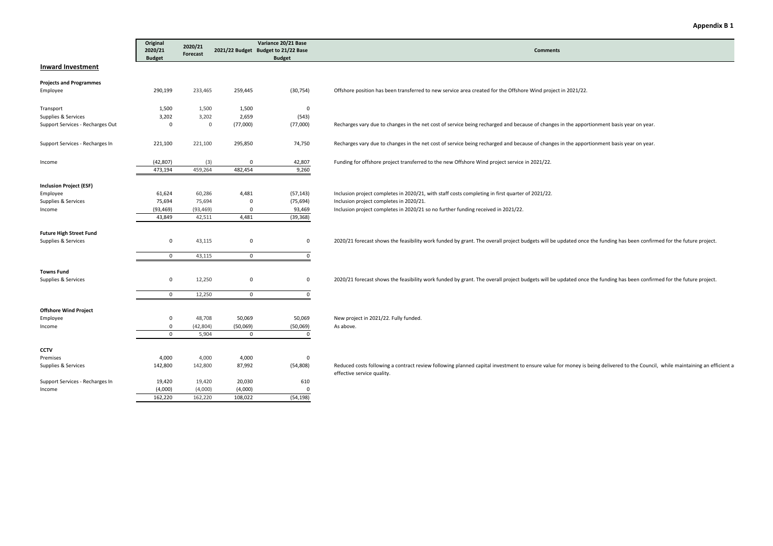|                                  | Original                 |                     |                                     | Variance 20/21 Base |                                                                                                                                                                                                            |  |  |
|----------------------------------|--------------------------|---------------------|-------------------------------------|---------------------|------------------------------------------------------------------------------------------------------------------------------------------------------------------------------------------------------------|--|--|
|                                  | 2020/21<br><b>Budget</b> | 2020/21<br>Forecast | 2021/22 Budget Budget to 21/22 Base | <b>Budget</b>       | <b>Comments</b>                                                                                                                                                                                            |  |  |
| <b>Inward Investment</b>         |                          |                     |                                     |                     |                                                                                                                                                                                                            |  |  |
| <b>Projects and Programmes</b>   |                          |                     |                                     |                     |                                                                                                                                                                                                            |  |  |
| Employee                         | 290,199                  | 233,465             | 259,445                             | (30, 754)           | Offshore position has been transferred to new service area created for the Offshore Wind project in 2021/22.                                                                                               |  |  |
| Transport                        | 1,500                    | 1,500               | 1,500                               | $\mathbf 0$         |                                                                                                                                                                                                            |  |  |
| Supplies & Services              | 3,202                    | 3,202               | 2,659                               | (543)               |                                                                                                                                                                                                            |  |  |
| Support Services - Recharges Out | $\mathbf 0$              | $\overline{0}$      | (77,000)                            | (77,000)            | Recharges vary due to changes in the net cost of service being recharged and because of changes in the apportionment basis year on year.                                                                   |  |  |
| Support Services - Recharges In  | 221,100                  | 221,100             | 295,850                             | 74,750              | Recharges vary due to changes in the net cost of service being recharged and because of changes in the apportionment basis year on year.                                                                   |  |  |
| Income                           | (42, 807)                | (3)                 | $\mathbf 0$                         | 42,807              | Funding for offshore project transferred to the new Offshore Wind project service in 2021/22.                                                                                                              |  |  |
|                                  | 473,194                  | 459,264             | 482,454                             | 9,260               |                                                                                                                                                                                                            |  |  |
| <b>Inclusion Project (ESF)</b>   |                          |                     |                                     |                     |                                                                                                                                                                                                            |  |  |
| Employee                         | 61,624                   | 60,286              | 4,481                               | (57, 143)           | Inclusion project completes in 2020/21, with staff costs completing in first quarter of 2021/22.                                                                                                           |  |  |
| Supplies & Services              | 75,694                   | 75,694              | $\mathbf 0$                         | (75, 694)           | Inclusion project completes in 2020/21.                                                                                                                                                                    |  |  |
| Income                           | (93, 469)                | (93, 469)           | $\mathbf 0$                         | 93,469              | Inclusion project completes in 2020/21 so no further funding received in 2021/22.                                                                                                                          |  |  |
|                                  | 43,849                   | 42,511              | 4,481                               | (39, 368)           |                                                                                                                                                                                                            |  |  |
| <b>Future High Street Fund</b>   |                          |                     |                                     |                     |                                                                                                                                                                                                            |  |  |
| Supplies & Services              | $\mathbf 0$              | 43,115              | $\mathsf 0$                         | $\mathsf 0$         | 2020/21 forecast shows the feasibility work funded by grant. The overall project budgets will be updated once the funding has been confirmed for the future project.                                       |  |  |
|                                  | $\mathbf 0$              | 43,115              | $\mathbf 0$                         | $\mathsf 0$         |                                                                                                                                                                                                            |  |  |
| <b>Towns Fund</b>                |                          |                     |                                     |                     |                                                                                                                                                                                                            |  |  |
| Supplies & Services              | 0                        | 12,250              | $\mathsf 0$                         | $\mathsf 0$         | 2020/21 forecast shows the feasibility work funded by grant. The overall project budgets will be updated once the funding has been confirmed for the future project.                                       |  |  |
|                                  | $\mathbf 0$              | 12,250              | $\mathbf 0$                         | $\mathbf 0$         |                                                                                                                                                                                                            |  |  |
| <b>Offshore Wind Project</b>     |                          |                     |                                     |                     |                                                                                                                                                                                                            |  |  |
| Employee                         | 0                        | 48,708              | 50,069                              | 50,069              | New project in 2021/22. Fully funded.                                                                                                                                                                      |  |  |
| Income                           | $\mathbf 0$              | (42, 804)           | (50,069)                            | (50,069)            | As above.                                                                                                                                                                                                  |  |  |
|                                  | $\Omega$                 | 5,904               | $\mathbf{0}$                        | $\Omega$            |                                                                                                                                                                                                            |  |  |
| <b>CCTV</b>                      |                          |                     |                                     |                     |                                                                                                                                                                                                            |  |  |
| Premises                         | 4,000                    | 4,000               | 4,000                               | 0                   |                                                                                                                                                                                                            |  |  |
| Supplies & Services              | 142,800                  | 142,800             | 87,992                              | (54, 808)           | Reduced costs following a contract review following planned capital investment to ensure value for money is being delivered to the Council, while maintaining an efficient a<br>effective service quality. |  |  |
| Support Services - Recharges In  | 19,420                   | 19,420              | 20,030                              | 610                 |                                                                                                                                                                                                            |  |  |
| Income                           | (4,000)                  | (4,000)             | (4,000)                             | $\mathbf 0$         |                                                                                                                                                                                                            |  |  |
|                                  | 162,220                  | 162,220             | 108,022                             | (54, 198)           |                                                                                                                                                                                                            |  |  |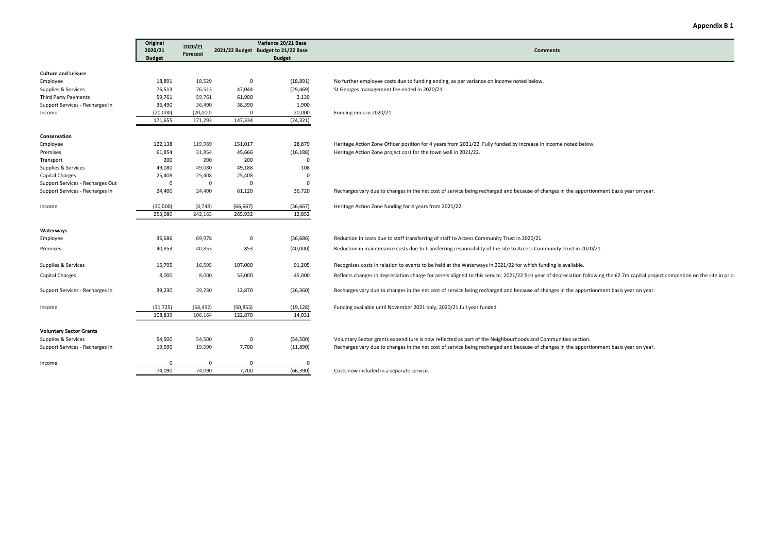| 2021/22 Budget Budget to 21/22 Base<br><b>Comments</b><br>Forecast<br><b>Budget</b><br><b>Budget</b><br><b>Culture and Leisure</b><br>18,891<br>18,529<br>$\mathbf 0$<br>(18, 891)<br>Employee<br>No further employee costs due to funding ending, as per variance on income noted below.<br>Supplies & Services<br>76,513<br>76,513<br>47,044<br>(29, 469)<br>St Georges management fee ended in 2020/21.<br>59,761<br>59,761<br>2,139<br><b>Third Party Payments</b><br>61,900<br>36,490<br>1,900<br>Support Services - Recharges In<br>36,490<br>38,390<br>20,000<br>(20,000)<br>(20,000)<br>$\overline{0}$<br>Funding ends in 2020/21.<br>Income<br>171,655<br>147,334<br>(24, 321)<br>171,293<br>Conservation<br>122,138<br>119,969<br>151,017<br>28,879<br>Heritage Action Zone Officer position for 4 years from 2021/22. Fully funded by increase in income noted below.<br>Employee<br>45,666<br>61,854<br>31,854<br>(16, 188)<br>Premises<br>Heritage Action Zone project cost for the town wall in 2021/22.<br>200<br>200<br>200<br>$\mathbf 0$<br>Transport<br>Supplies & Services<br>49,080<br>49,080<br>49,188<br>108<br>25,408<br>25,408<br>25,408<br>Capital Charges<br>0<br>0<br>$\mathbf 0$<br>$\mathbf 0$<br>Support Services - Recharges Out<br>0<br>24,400<br>24,400<br>61,120<br>36,720<br>Recharges vary due to changes in the net cost of service being recharged and because of changes in the apportionment basis year on year.<br>Support Services - Recharges In<br>(30,000)<br>(8, 748)<br>(66, 667)<br>(36, 667)<br>Heritage Action Zone funding for 4 years from 2021/22.<br>Income<br>242,163<br>253,080<br>265,932<br>12,852<br>Waterways<br>36,686<br>69,978<br>$\mathbf 0$<br>(36, 686)<br>Reduction in costs due to staff transferring of staff to Access Community Trust in 2020/21.<br>Employee<br>40,853<br>853<br>40,853<br>(40,000)<br>Reduction in maintenance costs due to transferring responsibility of the site to Access Community Trust in 2020/21.<br>Premises<br>15,795<br>16,595<br>107,000<br>91,205<br>Supplies & Services<br>Recognises costs in relation to events to be held at the Waterways in 2021/22 for which funding is available.<br>8,000<br>8,000<br>53,000<br>45,000<br>Reflects changes in depreciation charge for assets aligned to this service. 2021/22 first year of depreciation following the £2.7m capital project completion on the site in prior<br>Capital Charges<br>39,230<br>12,870<br>(26, 360)<br>39,230<br>Recharges vary due to changes in the net cost of service being recharged and because of changes in the apportionment basis year on year.<br>Support Services - Recharges In<br>(31, 725)<br>(68, 492)<br>(50, 853)<br>(19, 128)<br>Funding available until November 2021 only, 2020/21 full year funded.<br>Income<br>108,839<br>122,870<br>106,164<br>14,031<br><b>Voluntary Sector Grants</b><br>54,500<br>54,500<br>$\mathsf 0$<br>(54, 500)<br>Voluntary Sector grants expenditure is now reflected as part of the Neighbourhoods and Communities section.<br>19,590<br>19,590<br>7,700<br>Support Services - Recharges In<br>(11,890)<br>Recharges vary due to changes in the net cost of service being recharged and because of changes in the apportionment basis year on year.<br>$\Omega$<br>0<br>$\overline{0}$<br>0<br>Income<br>7,700<br>74,090<br>74,090<br>(66, 390)<br>Costs now included in a separate service. |                     | Original | 2020/21 | Variance 20/21 Base |  |  |  |  |
|-------------------------------------------------------------------------------------------------------------------------------------------------------------------------------------------------------------------------------------------------------------------------------------------------------------------------------------------------------------------------------------------------------------------------------------------------------------------------------------------------------------------------------------------------------------------------------------------------------------------------------------------------------------------------------------------------------------------------------------------------------------------------------------------------------------------------------------------------------------------------------------------------------------------------------------------------------------------------------------------------------------------------------------------------------------------------------------------------------------------------------------------------------------------------------------------------------------------------------------------------------------------------------------------------------------------------------------------------------------------------------------------------------------------------------------------------------------------------------------------------------------------------------------------------------------------------------------------------------------------------------------------------------------------------------------------------------------------------------------------------------------------------------------------------------------------------------------------------------------------------------------------------------------------------------------------------------------------------------------------------------------------------------------------------------------------------------------------------------------------------------------------------------------------------------------------------------------------------------------------------------------------------------------------------------------------------------------------------------------------------------------------------------------------------------------------------------------------------------------------------------------------------------------------------------------------------------------------------------------------------------------------------------------------------------------------------------------------------------------------------------------------------------------------------------------------------------------------------------------------------------------------------------------------------------------------------------------------------------------------------------------------------------------------------------------------------------------------------------------------------------------------------------------------------------------------------------------------------------------------------------------------------------------------------------------------------------------------------------------------------------------------------------------------------------|---------------------|----------|---------|---------------------|--|--|--|--|
|                                                                                                                                                                                                                                                                                                                                                                                                                                                                                                                                                                                                                                                                                                                                                                                                                                                                                                                                                                                                                                                                                                                                                                                                                                                                                                                                                                                                                                                                                                                                                                                                                                                                                                                                                                                                                                                                                                                                                                                                                                                                                                                                                                                                                                                                                                                                                                                                                                                                                                                                                                                                                                                                                                                                                                                                                                                                                                                                                                                                                                                                                                                                                                                                                                                                                                                                                                                                                               |                     | 2020/21  |         |                     |  |  |  |  |
|                                                                                                                                                                                                                                                                                                                                                                                                                                                                                                                                                                                                                                                                                                                                                                                                                                                                                                                                                                                                                                                                                                                                                                                                                                                                                                                                                                                                                                                                                                                                                                                                                                                                                                                                                                                                                                                                                                                                                                                                                                                                                                                                                                                                                                                                                                                                                                                                                                                                                                                                                                                                                                                                                                                                                                                                                                                                                                                                                                                                                                                                                                                                                                                                                                                                                                                                                                                                                               |                     |          |         |                     |  |  |  |  |
|                                                                                                                                                                                                                                                                                                                                                                                                                                                                                                                                                                                                                                                                                                                                                                                                                                                                                                                                                                                                                                                                                                                                                                                                                                                                                                                                                                                                                                                                                                                                                                                                                                                                                                                                                                                                                                                                                                                                                                                                                                                                                                                                                                                                                                                                                                                                                                                                                                                                                                                                                                                                                                                                                                                                                                                                                                                                                                                                                                                                                                                                                                                                                                                                                                                                                                                                                                                                                               |                     |          |         |                     |  |  |  |  |
|                                                                                                                                                                                                                                                                                                                                                                                                                                                                                                                                                                                                                                                                                                                                                                                                                                                                                                                                                                                                                                                                                                                                                                                                                                                                                                                                                                                                                                                                                                                                                                                                                                                                                                                                                                                                                                                                                                                                                                                                                                                                                                                                                                                                                                                                                                                                                                                                                                                                                                                                                                                                                                                                                                                                                                                                                                                                                                                                                                                                                                                                                                                                                                                                                                                                                                                                                                                                                               |                     |          |         |                     |  |  |  |  |
|                                                                                                                                                                                                                                                                                                                                                                                                                                                                                                                                                                                                                                                                                                                                                                                                                                                                                                                                                                                                                                                                                                                                                                                                                                                                                                                                                                                                                                                                                                                                                                                                                                                                                                                                                                                                                                                                                                                                                                                                                                                                                                                                                                                                                                                                                                                                                                                                                                                                                                                                                                                                                                                                                                                                                                                                                                                                                                                                                                                                                                                                                                                                                                                                                                                                                                                                                                                                                               |                     |          |         |                     |  |  |  |  |
|                                                                                                                                                                                                                                                                                                                                                                                                                                                                                                                                                                                                                                                                                                                                                                                                                                                                                                                                                                                                                                                                                                                                                                                                                                                                                                                                                                                                                                                                                                                                                                                                                                                                                                                                                                                                                                                                                                                                                                                                                                                                                                                                                                                                                                                                                                                                                                                                                                                                                                                                                                                                                                                                                                                                                                                                                                                                                                                                                                                                                                                                                                                                                                                                                                                                                                                                                                                                                               |                     |          |         |                     |  |  |  |  |
|                                                                                                                                                                                                                                                                                                                                                                                                                                                                                                                                                                                                                                                                                                                                                                                                                                                                                                                                                                                                                                                                                                                                                                                                                                                                                                                                                                                                                                                                                                                                                                                                                                                                                                                                                                                                                                                                                                                                                                                                                                                                                                                                                                                                                                                                                                                                                                                                                                                                                                                                                                                                                                                                                                                                                                                                                                                                                                                                                                                                                                                                                                                                                                                                                                                                                                                                                                                                                               |                     |          |         |                     |  |  |  |  |
|                                                                                                                                                                                                                                                                                                                                                                                                                                                                                                                                                                                                                                                                                                                                                                                                                                                                                                                                                                                                                                                                                                                                                                                                                                                                                                                                                                                                                                                                                                                                                                                                                                                                                                                                                                                                                                                                                                                                                                                                                                                                                                                                                                                                                                                                                                                                                                                                                                                                                                                                                                                                                                                                                                                                                                                                                                                                                                                                                                                                                                                                                                                                                                                                                                                                                                                                                                                                                               |                     |          |         |                     |  |  |  |  |
|                                                                                                                                                                                                                                                                                                                                                                                                                                                                                                                                                                                                                                                                                                                                                                                                                                                                                                                                                                                                                                                                                                                                                                                                                                                                                                                                                                                                                                                                                                                                                                                                                                                                                                                                                                                                                                                                                                                                                                                                                                                                                                                                                                                                                                                                                                                                                                                                                                                                                                                                                                                                                                                                                                                                                                                                                                                                                                                                                                                                                                                                                                                                                                                                                                                                                                                                                                                                                               |                     |          |         |                     |  |  |  |  |
|                                                                                                                                                                                                                                                                                                                                                                                                                                                                                                                                                                                                                                                                                                                                                                                                                                                                                                                                                                                                                                                                                                                                                                                                                                                                                                                                                                                                                                                                                                                                                                                                                                                                                                                                                                                                                                                                                                                                                                                                                                                                                                                                                                                                                                                                                                                                                                                                                                                                                                                                                                                                                                                                                                                                                                                                                                                                                                                                                                                                                                                                                                                                                                                                                                                                                                                                                                                                                               |                     |          |         |                     |  |  |  |  |
|                                                                                                                                                                                                                                                                                                                                                                                                                                                                                                                                                                                                                                                                                                                                                                                                                                                                                                                                                                                                                                                                                                                                                                                                                                                                                                                                                                                                                                                                                                                                                                                                                                                                                                                                                                                                                                                                                                                                                                                                                                                                                                                                                                                                                                                                                                                                                                                                                                                                                                                                                                                                                                                                                                                                                                                                                                                                                                                                                                                                                                                                                                                                                                                                                                                                                                                                                                                                                               |                     |          |         |                     |  |  |  |  |
|                                                                                                                                                                                                                                                                                                                                                                                                                                                                                                                                                                                                                                                                                                                                                                                                                                                                                                                                                                                                                                                                                                                                                                                                                                                                                                                                                                                                                                                                                                                                                                                                                                                                                                                                                                                                                                                                                                                                                                                                                                                                                                                                                                                                                                                                                                                                                                                                                                                                                                                                                                                                                                                                                                                                                                                                                                                                                                                                                                                                                                                                                                                                                                                                                                                                                                                                                                                                                               |                     |          |         |                     |  |  |  |  |
|                                                                                                                                                                                                                                                                                                                                                                                                                                                                                                                                                                                                                                                                                                                                                                                                                                                                                                                                                                                                                                                                                                                                                                                                                                                                                                                                                                                                                                                                                                                                                                                                                                                                                                                                                                                                                                                                                                                                                                                                                                                                                                                                                                                                                                                                                                                                                                                                                                                                                                                                                                                                                                                                                                                                                                                                                                                                                                                                                                                                                                                                                                                                                                                                                                                                                                                                                                                                                               |                     |          |         |                     |  |  |  |  |
|                                                                                                                                                                                                                                                                                                                                                                                                                                                                                                                                                                                                                                                                                                                                                                                                                                                                                                                                                                                                                                                                                                                                                                                                                                                                                                                                                                                                                                                                                                                                                                                                                                                                                                                                                                                                                                                                                                                                                                                                                                                                                                                                                                                                                                                                                                                                                                                                                                                                                                                                                                                                                                                                                                                                                                                                                                                                                                                                                                                                                                                                                                                                                                                                                                                                                                                                                                                                                               |                     |          |         |                     |  |  |  |  |
|                                                                                                                                                                                                                                                                                                                                                                                                                                                                                                                                                                                                                                                                                                                                                                                                                                                                                                                                                                                                                                                                                                                                                                                                                                                                                                                                                                                                                                                                                                                                                                                                                                                                                                                                                                                                                                                                                                                                                                                                                                                                                                                                                                                                                                                                                                                                                                                                                                                                                                                                                                                                                                                                                                                                                                                                                                                                                                                                                                                                                                                                                                                                                                                                                                                                                                                                                                                                                               |                     |          |         |                     |  |  |  |  |
|                                                                                                                                                                                                                                                                                                                                                                                                                                                                                                                                                                                                                                                                                                                                                                                                                                                                                                                                                                                                                                                                                                                                                                                                                                                                                                                                                                                                                                                                                                                                                                                                                                                                                                                                                                                                                                                                                                                                                                                                                                                                                                                                                                                                                                                                                                                                                                                                                                                                                                                                                                                                                                                                                                                                                                                                                                                                                                                                                                                                                                                                                                                                                                                                                                                                                                                                                                                                                               |                     |          |         |                     |  |  |  |  |
|                                                                                                                                                                                                                                                                                                                                                                                                                                                                                                                                                                                                                                                                                                                                                                                                                                                                                                                                                                                                                                                                                                                                                                                                                                                                                                                                                                                                                                                                                                                                                                                                                                                                                                                                                                                                                                                                                                                                                                                                                                                                                                                                                                                                                                                                                                                                                                                                                                                                                                                                                                                                                                                                                                                                                                                                                                                                                                                                                                                                                                                                                                                                                                                                                                                                                                                                                                                                                               |                     |          |         |                     |  |  |  |  |
|                                                                                                                                                                                                                                                                                                                                                                                                                                                                                                                                                                                                                                                                                                                                                                                                                                                                                                                                                                                                                                                                                                                                                                                                                                                                                                                                                                                                                                                                                                                                                                                                                                                                                                                                                                                                                                                                                                                                                                                                                                                                                                                                                                                                                                                                                                                                                                                                                                                                                                                                                                                                                                                                                                                                                                                                                                                                                                                                                                                                                                                                                                                                                                                                                                                                                                                                                                                                                               |                     |          |         |                     |  |  |  |  |
|                                                                                                                                                                                                                                                                                                                                                                                                                                                                                                                                                                                                                                                                                                                                                                                                                                                                                                                                                                                                                                                                                                                                                                                                                                                                                                                                                                                                                                                                                                                                                                                                                                                                                                                                                                                                                                                                                                                                                                                                                                                                                                                                                                                                                                                                                                                                                                                                                                                                                                                                                                                                                                                                                                                                                                                                                                                                                                                                                                                                                                                                                                                                                                                                                                                                                                                                                                                                                               |                     |          |         |                     |  |  |  |  |
|                                                                                                                                                                                                                                                                                                                                                                                                                                                                                                                                                                                                                                                                                                                                                                                                                                                                                                                                                                                                                                                                                                                                                                                                                                                                                                                                                                                                                                                                                                                                                                                                                                                                                                                                                                                                                                                                                                                                                                                                                                                                                                                                                                                                                                                                                                                                                                                                                                                                                                                                                                                                                                                                                                                                                                                                                                                                                                                                                                                                                                                                                                                                                                                                                                                                                                                                                                                                                               |                     |          |         |                     |  |  |  |  |
|                                                                                                                                                                                                                                                                                                                                                                                                                                                                                                                                                                                                                                                                                                                                                                                                                                                                                                                                                                                                                                                                                                                                                                                                                                                                                                                                                                                                                                                                                                                                                                                                                                                                                                                                                                                                                                                                                                                                                                                                                                                                                                                                                                                                                                                                                                                                                                                                                                                                                                                                                                                                                                                                                                                                                                                                                                                                                                                                                                                                                                                                                                                                                                                                                                                                                                                                                                                                                               |                     |          |         |                     |  |  |  |  |
|                                                                                                                                                                                                                                                                                                                                                                                                                                                                                                                                                                                                                                                                                                                                                                                                                                                                                                                                                                                                                                                                                                                                                                                                                                                                                                                                                                                                                                                                                                                                                                                                                                                                                                                                                                                                                                                                                                                                                                                                                                                                                                                                                                                                                                                                                                                                                                                                                                                                                                                                                                                                                                                                                                                                                                                                                                                                                                                                                                                                                                                                                                                                                                                                                                                                                                                                                                                                                               |                     |          |         |                     |  |  |  |  |
|                                                                                                                                                                                                                                                                                                                                                                                                                                                                                                                                                                                                                                                                                                                                                                                                                                                                                                                                                                                                                                                                                                                                                                                                                                                                                                                                                                                                                                                                                                                                                                                                                                                                                                                                                                                                                                                                                                                                                                                                                                                                                                                                                                                                                                                                                                                                                                                                                                                                                                                                                                                                                                                                                                                                                                                                                                                                                                                                                                                                                                                                                                                                                                                                                                                                                                                                                                                                                               |                     |          |         |                     |  |  |  |  |
|                                                                                                                                                                                                                                                                                                                                                                                                                                                                                                                                                                                                                                                                                                                                                                                                                                                                                                                                                                                                                                                                                                                                                                                                                                                                                                                                                                                                                                                                                                                                                                                                                                                                                                                                                                                                                                                                                                                                                                                                                                                                                                                                                                                                                                                                                                                                                                                                                                                                                                                                                                                                                                                                                                                                                                                                                                                                                                                                                                                                                                                                                                                                                                                                                                                                                                                                                                                                                               |                     |          |         |                     |  |  |  |  |
|                                                                                                                                                                                                                                                                                                                                                                                                                                                                                                                                                                                                                                                                                                                                                                                                                                                                                                                                                                                                                                                                                                                                                                                                                                                                                                                                                                                                                                                                                                                                                                                                                                                                                                                                                                                                                                                                                                                                                                                                                                                                                                                                                                                                                                                                                                                                                                                                                                                                                                                                                                                                                                                                                                                                                                                                                                                                                                                                                                                                                                                                                                                                                                                                                                                                                                                                                                                                                               |                     |          |         |                     |  |  |  |  |
|                                                                                                                                                                                                                                                                                                                                                                                                                                                                                                                                                                                                                                                                                                                                                                                                                                                                                                                                                                                                                                                                                                                                                                                                                                                                                                                                                                                                                                                                                                                                                                                                                                                                                                                                                                                                                                                                                                                                                                                                                                                                                                                                                                                                                                                                                                                                                                                                                                                                                                                                                                                                                                                                                                                                                                                                                                                                                                                                                                                                                                                                                                                                                                                                                                                                                                                                                                                                                               |                     |          |         |                     |  |  |  |  |
|                                                                                                                                                                                                                                                                                                                                                                                                                                                                                                                                                                                                                                                                                                                                                                                                                                                                                                                                                                                                                                                                                                                                                                                                                                                                                                                                                                                                                                                                                                                                                                                                                                                                                                                                                                                                                                                                                                                                                                                                                                                                                                                                                                                                                                                                                                                                                                                                                                                                                                                                                                                                                                                                                                                                                                                                                                                                                                                                                                                                                                                                                                                                                                                                                                                                                                                                                                                                                               |                     |          |         |                     |  |  |  |  |
|                                                                                                                                                                                                                                                                                                                                                                                                                                                                                                                                                                                                                                                                                                                                                                                                                                                                                                                                                                                                                                                                                                                                                                                                                                                                                                                                                                                                                                                                                                                                                                                                                                                                                                                                                                                                                                                                                                                                                                                                                                                                                                                                                                                                                                                                                                                                                                                                                                                                                                                                                                                                                                                                                                                                                                                                                                                                                                                                                                                                                                                                                                                                                                                                                                                                                                                                                                                                                               |                     |          |         |                     |  |  |  |  |
|                                                                                                                                                                                                                                                                                                                                                                                                                                                                                                                                                                                                                                                                                                                                                                                                                                                                                                                                                                                                                                                                                                                                                                                                                                                                                                                                                                                                                                                                                                                                                                                                                                                                                                                                                                                                                                                                                                                                                                                                                                                                                                                                                                                                                                                                                                                                                                                                                                                                                                                                                                                                                                                                                                                                                                                                                                                                                                                                                                                                                                                                                                                                                                                                                                                                                                                                                                                                                               |                     |          |         |                     |  |  |  |  |
|                                                                                                                                                                                                                                                                                                                                                                                                                                                                                                                                                                                                                                                                                                                                                                                                                                                                                                                                                                                                                                                                                                                                                                                                                                                                                                                                                                                                                                                                                                                                                                                                                                                                                                                                                                                                                                                                                                                                                                                                                                                                                                                                                                                                                                                                                                                                                                                                                                                                                                                                                                                                                                                                                                                                                                                                                                                                                                                                                                                                                                                                                                                                                                                                                                                                                                                                                                                                                               | Supplies & Services |          |         |                     |  |  |  |  |
|                                                                                                                                                                                                                                                                                                                                                                                                                                                                                                                                                                                                                                                                                                                                                                                                                                                                                                                                                                                                                                                                                                                                                                                                                                                                                                                                                                                                                                                                                                                                                                                                                                                                                                                                                                                                                                                                                                                                                                                                                                                                                                                                                                                                                                                                                                                                                                                                                                                                                                                                                                                                                                                                                                                                                                                                                                                                                                                                                                                                                                                                                                                                                                                                                                                                                                                                                                                                                               |                     |          |         |                     |  |  |  |  |
|                                                                                                                                                                                                                                                                                                                                                                                                                                                                                                                                                                                                                                                                                                                                                                                                                                                                                                                                                                                                                                                                                                                                                                                                                                                                                                                                                                                                                                                                                                                                                                                                                                                                                                                                                                                                                                                                                                                                                                                                                                                                                                                                                                                                                                                                                                                                                                                                                                                                                                                                                                                                                                                                                                                                                                                                                                                                                                                                                                                                                                                                                                                                                                                                                                                                                                                                                                                                                               |                     |          |         |                     |  |  |  |  |
|                                                                                                                                                                                                                                                                                                                                                                                                                                                                                                                                                                                                                                                                                                                                                                                                                                                                                                                                                                                                                                                                                                                                                                                                                                                                                                                                                                                                                                                                                                                                                                                                                                                                                                                                                                                                                                                                                                                                                                                                                                                                                                                                                                                                                                                                                                                                                                                                                                                                                                                                                                                                                                                                                                                                                                                                                                                                                                                                                                                                                                                                                                                                                                                                                                                                                                                                                                                                                               |                     |          |         |                     |  |  |  |  |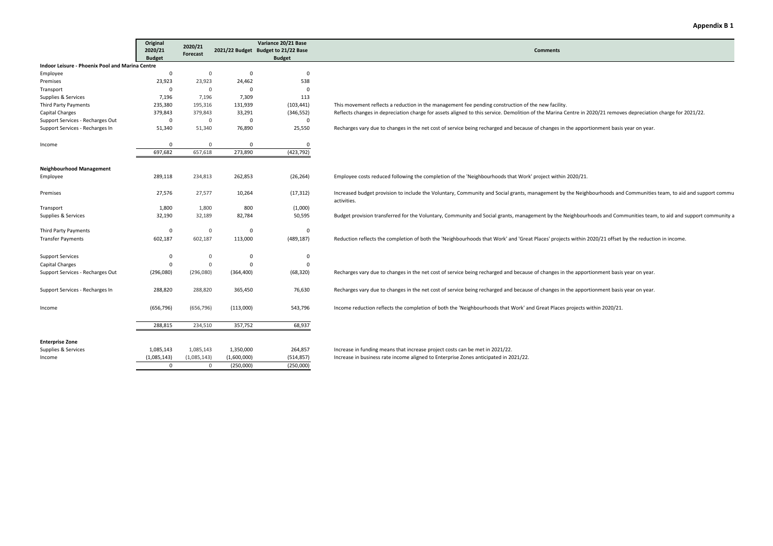|                                                 | Original      | 2020/21      |                | Variance 20/21 Base                 |                                                                                                                                                                    |
|-------------------------------------------------|---------------|--------------|----------------|-------------------------------------|--------------------------------------------------------------------------------------------------------------------------------------------------------------------|
|                                                 | 2020/21       | Forecast     |                | 2021/22 Budget Budget to 21/22 Base | <b>Comments</b>                                                                                                                                                    |
|                                                 | <b>Budget</b> |              |                | <b>Budget</b>                       |                                                                                                                                                                    |
| Indoor Leisure - Phoenix Pool and Marina Centre |               |              |                |                                     |                                                                                                                                                                    |
| Employee                                        | $\Omega$      | $\mathbf 0$  | $\mathbf 0$    | $\mathbf{0}$                        |                                                                                                                                                                    |
| Premises                                        | 23,923        | 23,923       | 24,462         | 538                                 |                                                                                                                                                                    |
| Transport                                       | $\Omega$      | $\mathbf 0$  | $\overline{0}$ | $\Omega$                            |                                                                                                                                                                    |
| Supplies & Services                             | 7,196         | 7,196        | 7,309          | 113                                 |                                                                                                                                                                    |
| Third Party Payments                            | 235,380       | 195,316      | 131,939        | (103, 441)                          | This movement reflects a reduction in the management fee pending construction of the new facility.                                                                 |
| <b>Capital Charges</b>                          | 379,843       | 379,843      | 33,291         | (346, 552)                          | Reflects changes in depreciation charge for assets aligned to this service. Demolition of the Marina Centre in 2020/21 removes depreciation charge for 2021/22.    |
| Support Services - Recharges Out                | $\mathbf 0$   | $\mathbf 0$  | $\mathbf 0$    | $\mathbf{0}$                        |                                                                                                                                                                    |
| Support Services - Recharges In                 | 51,340        | 51,340       | 76,890         | 25,550                              | Recharges vary due to changes in the net cost of service being recharged and because of changes in the apportionment basis year on year.                           |
| Income                                          | $\Omega$      | $\mathbf{0}$ | $\overline{0}$ | $\mathbf 0$                         |                                                                                                                                                                    |
|                                                 | 697,682       | 657,618      | 273,890        | (423, 792)                          |                                                                                                                                                                    |
|                                                 |               |              |                |                                     |                                                                                                                                                                    |
| <b>Neighbourhood Management</b>                 |               |              |                |                                     |                                                                                                                                                                    |
| Employee                                        | 289,118       | 234,813      | 262,853        | (26, 264)                           | Employee costs reduced following the completion of the 'Neighbourhoods that Work' project within 2020/21.                                                          |
| Premises                                        | 27,576        | 27,577       | 10,264         | (17, 312)                           | Increased budget provision to include the Voluntary, Community and Social grants, management by the Neighbourhoods and Communities team, to aid and support commu  |
|                                                 |               |              |                |                                     | activities.                                                                                                                                                        |
| Transport                                       | 1,800         | 1,800        | 800            | (1,000)                             |                                                                                                                                                                    |
| Supplies & Services                             | 32,190        | 32,189       | 82,784         | 50,595                              | Budget provision transferred for the Voluntary, Community and Social grants, management by the Neighbourhoods and Communities team, to aid and support community a |
| <b>Third Party Payments</b>                     | $\mathbf 0$   | $\mathbf 0$  | $\overline{0}$ | $\mathbf 0$                         |                                                                                                                                                                    |
| <b>Transfer Payments</b>                        | 602,187       | 602,187      | 113,000        | (489, 187)                          | Reduction reflects the completion of both the 'Neighbourhoods that Work' and 'Great Places' projects within 2020/21 offset by the reduction in income.             |
|                                                 |               |              |                |                                     |                                                                                                                                                                    |
| <b>Support Services</b>                         | $\mathbf 0$   | $\mathbf 0$  | $\mathbf 0$    | $\mathbf 0$                         |                                                                                                                                                                    |
| Capital Charges                                 | $\Omega$      | $\mathbf{0}$ | $\overline{0}$ | $\mathbf 0$                         |                                                                                                                                                                    |
| Support Services - Recharges Out                | (296,080)     | (296,080)    | (364, 400)     | (68, 320)                           | Recharges vary due to changes in the net cost of service being recharged and because of changes in the apportionment basis year on year.                           |
| Support Services - Recharges In                 | 288,820       | 288,820      | 365,450        | 76,630                              | Recharges vary due to changes in the net cost of service being recharged and because of changes in the apportionment basis year on year.                           |
| Income                                          | (656, 796)    | (656, 796)   | (113,000)      | 543,796                             | Income reduction reflects the completion of both the 'Neighbourhoods that Work' and Great Places projects within 2020/21.                                          |
|                                                 |               |              |                |                                     |                                                                                                                                                                    |
|                                                 | 288,815       | 234,510      | 357,752        | 68,937                              |                                                                                                                                                                    |
| <b>Enterprise Zone</b>                          |               |              |                |                                     |                                                                                                                                                                    |
| Supplies & Services                             | 1,085,143     | 1,085,143    | 1,350,000      | 264,857                             | Increase in funding means that increase project costs can be met in 2021/22.                                                                                       |
| Income                                          | (1,085,143)   | (1,085,143)  | (1,600,000)    | (514, 857)                          | Increase in business rate income aligned to Enterprise Zones anticipated in 2021/22.                                                                               |
|                                                 | $\Omega$      | $\mathsf{O}$ | (250,000)      | (250,000)                           |                                                                                                                                                                    |
|                                                 |               |              |                |                                     |                                                                                                                                                                    |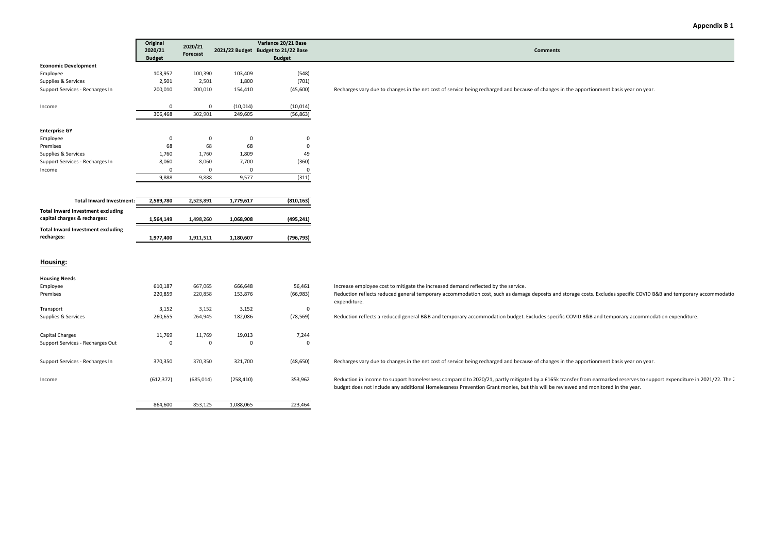|                                          | Original      | 2020/21     |              | Variance 20/21 Base                 |                                                                                                                                                                                                                                                                                                             |
|------------------------------------------|---------------|-------------|--------------|-------------------------------------|-------------------------------------------------------------------------------------------------------------------------------------------------------------------------------------------------------------------------------------------------------------------------------------------------------------|
|                                          | 2020/21       | Forecast    |              | 2021/22 Budget Budget to 21/22 Base | <b>Comments</b>                                                                                                                                                                                                                                                                                             |
|                                          | <b>Budget</b> |             |              | <b>Budget</b>                       |                                                                                                                                                                                                                                                                                                             |
| <b>Economic Development</b>              |               |             |              |                                     |                                                                                                                                                                                                                                                                                                             |
| Employee                                 | 103,957       | 100,390     | 103,409      | (548)                               |                                                                                                                                                                                                                                                                                                             |
| Supplies & Services                      | 2,501         | 2,501       | 1,800        | (701)                               |                                                                                                                                                                                                                                                                                                             |
| Support Services - Recharges In          | 200,010       | 200,010     | 154,410      | (45,600)                            | Recharges vary due to changes in the net cost of service being recharged and because of changes in the apportionment basis year on year.                                                                                                                                                                    |
| Income                                   | 0             | $\mathbf 0$ | (10, 014)    | (10, 014)                           |                                                                                                                                                                                                                                                                                                             |
|                                          | 306,468       | 302.901     | 249,605      | (56, 863)                           |                                                                                                                                                                                                                                                                                                             |
| <b>Enterprise GY</b>                     |               |             |              |                                     |                                                                                                                                                                                                                                                                                                             |
| Employee                                 | 0             | $\mathbf 0$ | $\mathbf 0$  | 0                                   |                                                                                                                                                                                                                                                                                                             |
| Premises                                 | 68            | 68          | 68           | 0                                   |                                                                                                                                                                                                                                                                                                             |
| Supplies & Services                      | 1,760         | 1,760       | 1,809        | 49                                  |                                                                                                                                                                                                                                                                                                             |
| Support Services - Recharges In          | 8,060         | 8,060       | 7,700        | (360)                               |                                                                                                                                                                                                                                                                                                             |
| Income                                   | $\mathbf 0$   | $\mathbf 0$ | $\mathbf 0$  | $\Omega$                            |                                                                                                                                                                                                                                                                                                             |
|                                          | 9,888         | 9,888       | 9,577        | (311)                               |                                                                                                                                                                                                                                                                                                             |
|                                          |               |             |              |                                     |                                                                                                                                                                                                                                                                                                             |
| <b>Total Inward Investment:</b>          | 2,589,780     | 2,523,891   | 1,779,617    | (810, 163)                          |                                                                                                                                                                                                                                                                                                             |
| <b>Total Inward Investment excluding</b> |               |             |              |                                     |                                                                                                                                                                                                                                                                                                             |
| capital charges & recharges:             | 1,564,149     | 1,498,260   | 1,068,908    | (495, 241)                          |                                                                                                                                                                                                                                                                                                             |
| <b>Total Inward Investment excluding</b> |               |             |              |                                     |                                                                                                                                                                                                                                                                                                             |
| recharges:                               | 1,977,400     | 1,911,511   | 1,180,607    | (796, 793)                          |                                                                                                                                                                                                                                                                                                             |
|                                          |               |             |              |                                     |                                                                                                                                                                                                                                                                                                             |
| Housing:                                 |               |             |              |                                     |                                                                                                                                                                                                                                                                                                             |
| <b>Housing Needs</b>                     |               |             |              |                                     |                                                                                                                                                                                                                                                                                                             |
| Employee                                 | 610,187       | 667,065     | 666,648      | 56,461                              | Increase employee cost to mitigate the increased demand reflected by the service.                                                                                                                                                                                                                           |
| Premises                                 | 220,859       | 220,858     | 153,876      | (66, 983)                           | Reduction reflects reduced general temporary accommodation cost, such as damage deposits and storage costs. Excludes specific COVID B&B and temporary accommodatio<br>expenditure.                                                                                                                          |
| Transport                                | 3,152         | 3,152       | 3,152        | $\mathbf 0$                         |                                                                                                                                                                                                                                                                                                             |
| Supplies & Services                      | 260,655       | 264,945     | 182,086      | (78, 569)                           | Reduction reflects a reduced general B&B and temporary accommodation budget. Excludes specific COVID B&B and temporary accommodation expenditure.                                                                                                                                                           |
|                                          |               |             |              |                                     |                                                                                                                                                                                                                                                                                                             |
| Capital Charges                          | 11,769        | 11,769      | 19,013       | 7,244                               |                                                                                                                                                                                                                                                                                                             |
| Support Services - Recharges Out         | $\mathbf 0$   | $\mathbf 0$ | $\mathbf{0}$ | $\mathbf 0$                         |                                                                                                                                                                                                                                                                                                             |
| Support Services - Recharges In          | 370,350       | 370,350     | 321,700      | (48, 650)                           | Recharges vary due to changes in the net cost of service being recharged and because of changes in the apportionment basis year on year.                                                                                                                                                                    |
|                                          |               |             |              |                                     |                                                                                                                                                                                                                                                                                                             |
| Income                                   | (612, 372)    | (685, 014)  | (258, 410)   | 353,962                             | Reduction in income to support homelessness compared to 2020/21, partly mitigated by a £165k transfer from earmarked reserves to support expenditure in 2021/22. The 2<br>budget does not include any additional Homelessness Prevention Grant monies, but this will be reviewed and monitored in the year. |
|                                          | 864,600       | 853,125     | 1,088,065    | 223,464                             |                                                                                                                                                                                                                                                                                                             |
|                                          |               |             |              |                                     |                                                                                                                                                                                                                                                                                                             |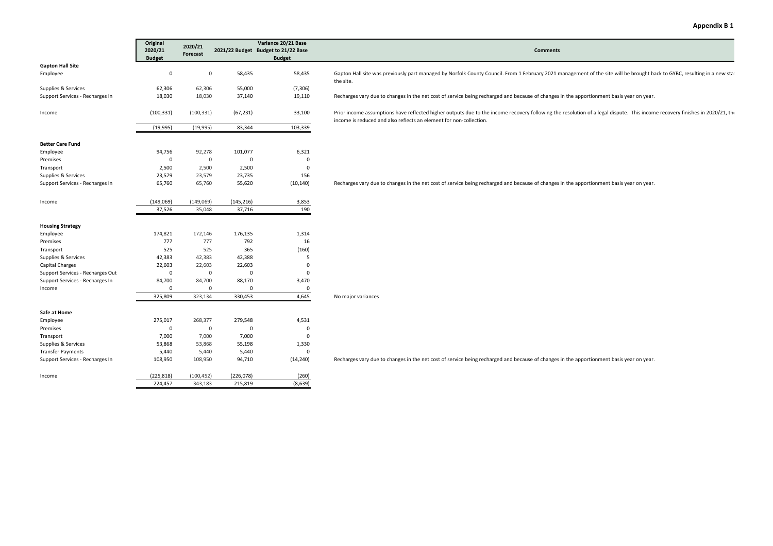|                                  | Original       | 2020/21     |             | Variance 20/21 Base                 |                                                                                                                                                                                                                                                    |
|----------------------------------|----------------|-------------|-------------|-------------------------------------|----------------------------------------------------------------------------------------------------------------------------------------------------------------------------------------------------------------------------------------------------|
|                                  | 2020/21        | Forecast    |             | 2021/22 Budget Budget to 21/22 Base | <b>Comments</b>                                                                                                                                                                                                                                    |
|                                  | <b>Budget</b>  |             |             | <b>Budget</b>                       |                                                                                                                                                                                                                                                    |
| <b>Gapton Hall Site</b>          |                |             |             |                                     |                                                                                                                                                                                                                                                    |
| Employee                         | $\mathbf 0$    | $\mathbf 0$ | 58,435      | 58,435                              | Gapton Hall site was previously part managed by Norfolk County Council. From 1 February 2021 management of the site will be brought back to GYBC, resulting in a new stat<br>the site.                                                             |
| Supplies & Services              | 62,306         | 62,306      | 55,000      | (7, 306)                            |                                                                                                                                                                                                                                                    |
| Support Services - Recharges In  | 18,030         | 18,030      | 37,140      | 19,110                              | Recharges vary due to changes in the net cost of service being recharged and because of changes in the apportionment basis year on year.                                                                                                           |
| Income                           | (100, 331)     | (100, 331)  | (67, 231)   | 33,100                              | Prior income assumptions have reflected higher outputs due to the income recovery following the resolution of a legal dispute. This income recovery finishes in 2020/21, the<br>income is reduced and also reflects an element for non-collection. |
|                                  | (19,995)       | (19,995)    | 83,344      | 103,339                             |                                                                                                                                                                                                                                                    |
| <b>Better Care Fund</b>          |                |             |             |                                     |                                                                                                                                                                                                                                                    |
| Employee                         | 94,756         | 92,278      | 101,077     | 6,321                               |                                                                                                                                                                                                                                                    |
| Premises                         | $\mathbf 0$    | $\mathbf 0$ | 0           | $\Omega$                            |                                                                                                                                                                                                                                                    |
| Transport                        | 2,500          | 2,500       | 2,500       | $\Omega$                            |                                                                                                                                                                                                                                                    |
| Supplies & Services              | 23,579         | 23,579      | 23,735      | 156                                 |                                                                                                                                                                                                                                                    |
| Support Services - Recharges In  | 65,760         | 65,760      | 55,620      | (10, 140)                           | Recharges vary due to changes in the net cost of service being recharged and because of changes in the apportionment basis year on year.                                                                                                           |
| Income                           | (149,069)      | (149,069)   | (145, 216)  | 3,853                               |                                                                                                                                                                                                                                                    |
|                                  | 37,526         | 35,048      | 37,716      | 190                                 |                                                                                                                                                                                                                                                    |
|                                  |                |             |             |                                     |                                                                                                                                                                                                                                                    |
| <b>Housing Strategy</b>          |                |             |             |                                     |                                                                                                                                                                                                                                                    |
| Employee                         | 174,821        | 172,146     | 176,135     | 1,314                               |                                                                                                                                                                                                                                                    |
| Premises                         | 777            | 777         | 792         | 16                                  |                                                                                                                                                                                                                                                    |
| Transport                        | 525            | 525         | 365         | (160)                               |                                                                                                                                                                                                                                                    |
| Supplies & Services              | 42,383         | 42,383      | 42,388      | -5                                  |                                                                                                                                                                                                                                                    |
| Capital Charges                  | 22,603         | 22,603      | 22,603      | $\Omega$                            |                                                                                                                                                                                                                                                    |
| Support Services - Recharges Out | $\mathbf 0$    | $\mathbf 0$ | $\mathbf 0$ | $\Omega$                            |                                                                                                                                                                                                                                                    |
| Support Services - Recharges In  | 84,700         | 84,700      | 88,170      | 3,470                               |                                                                                                                                                                                                                                                    |
| Income                           | $\overline{0}$ | $\mathbf 0$ | 0           | $\mathbf 0$                         |                                                                                                                                                                                                                                                    |
|                                  | 325,809        | 323,134     | 330,453     | 4,645                               | No major variances                                                                                                                                                                                                                                 |
| Safe at Home                     |                |             |             |                                     |                                                                                                                                                                                                                                                    |
| Employee                         | 275,017        | 268,377     | 279,548     | 4,531                               |                                                                                                                                                                                                                                                    |
| Premises                         | $\mathbf 0$    | $\mathsf 0$ | 0           | $\Omega$                            |                                                                                                                                                                                                                                                    |
| Transport                        | 7,000          | 7,000       | 7,000       | $\mathbf 0$                         |                                                                                                                                                                                                                                                    |
| Supplies & Services              | 53,868         | 53,868      | 55,198      | 1,330                               |                                                                                                                                                                                                                                                    |
| <b>Transfer Payments</b>         | 5,440          | 5,440       | 5,440       | 0                                   |                                                                                                                                                                                                                                                    |
| Support Services - Recharges In  | 108,950        | 108,950     | 94,710      | (14, 240)                           | Recharges vary due to changes in the net cost of service being recharged and because of changes in the apportionment basis year on year.                                                                                                           |
| Income                           | (225, 818)     | (100, 452)  | (226, 078)  | (260)                               |                                                                                                                                                                                                                                                    |
|                                  | 224,457        | 343,183     | 215,819     | (8,639)                             |                                                                                                                                                                                                                                                    |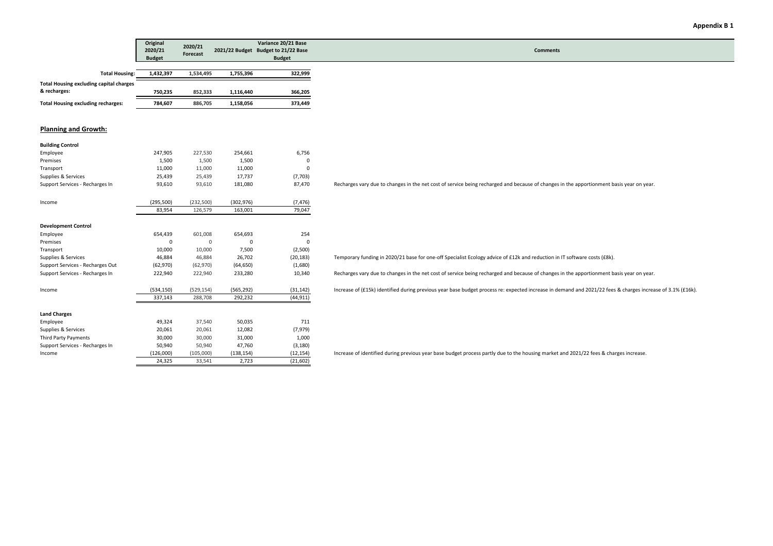# **Comments**

| <b>Planning and Growth:</b>      |            |            |            |           |    |
|----------------------------------|------------|------------|------------|-----------|----|
| <b>Building Control</b>          |            |            |            |           |    |
| Employee                         | 247,905    | 227,530    | 254,661    | 6,756     |    |
| Premises                         | 1.500      | 1.500      | 1,500      | 0         |    |
| Transport                        | 11,000     | 11,000     | 11,000     | 0         |    |
| Supplies & Services              | 25,439     | 25,439     | 17,737     | (7,703)   |    |
| Support Services - Recharges In  | 93,610     | 93,610     | 181,080    | 87,470    | R6 |
| Income                           | (295, 500) | (232, 500) | (302, 976) | (7, 476)  |    |
|                                  | 83,954     | 126,579    | 163,001    | 79,047    |    |
| <b>Development Control</b>       |            |            |            |           |    |
| Employee                         | 654,439    | 601,008    | 654,693    | 254       |    |
| Premises                         | $\Omega$   | $\Omega$   | $\Omega$   | $\Omega$  |    |
| Transport                        | 10,000     | 10,000     | 7,500      | (2,500)   |    |
| Supplies & Services              | 46,884     | 46,884     | 26,702     | (20, 183) | Tε |
| Support Services - Recharges Out | (62, 970)  | (62, 970)  | (64, 650)  | (1,680)   |    |
| Support Services - Recharges In  | 222,940    | 222,940    | 233,280    | 10,340    | R6 |
| Income                           | (534, 150) | (529, 154) | (565, 292) | (31, 142) | In |
|                                  | 337,143    | 288,708    | 292,232    | (44, 911) |    |
| <b>Land Charges</b>              |            |            |            |           |    |
| Employee                         | 49,324     | 37,540     | 50,035     | 711       |    |
| Supplies & Services              | 20,061     | 20,061     | 12,082     | (7,979)   |    |
| <b>Third Party Payments</b>      | 30,000     | 30,000     | 31,000     | 1,000     |    |
| Support Services - Recharges In  | 50,940     | 50,940     | 47,760     | (3, 180)  |    |
| Income                           | (126,000)  | (105,000)  | (138, 154) | (12, 154) | In |
|                                  | 24,325     | 33,541     | 2,723      | (21, 602) |    |

**Original 2020/21Budget**

**Total Housing excluding capital charges** 

**Total Housing excluding recharges: 784,607**

**Total Housing:**

**& recharges:**

**1,432,397**

**750,235**

**2020/21Forecast**

**852,333**

**2021/22 Budget Budget to 21/22 Base** 

**1,116,440 366,205**

**1,534,495 1,755,396 322,999**

**886,705 1,158,056 373,449**

**Variance 20/21 Base Budget**

| ------ | -       | .      |                                                                                                                                          |
|--------|---------|--------|------------------------------------------------------------------------------------------------------------------------------------------|
| 93,610 | 181.080 | 87.470 | Recharges vary due to changes in the net cost of service being recharged and because of changes in the apportionment basis year on year. |
|        |         |        |                                                                                                                                          |

Temporary funding in 2020/21 base for one-off Specialist Ecology advice of £12k and reduction in IT software costs (£8k).

Recharges vary due to changes in the net cost of service being recharged and because of changes in the apportionment basis year on year.

Increase of (£15k) identified during previous year base budget process re: expected increase in demand and 2021/22 fees & charges increase of 3.1% (£16k).

 $(12,154)$  Increase of identified during previous year base budget process partly due to the housing market and 2021/22 fees & charges increase.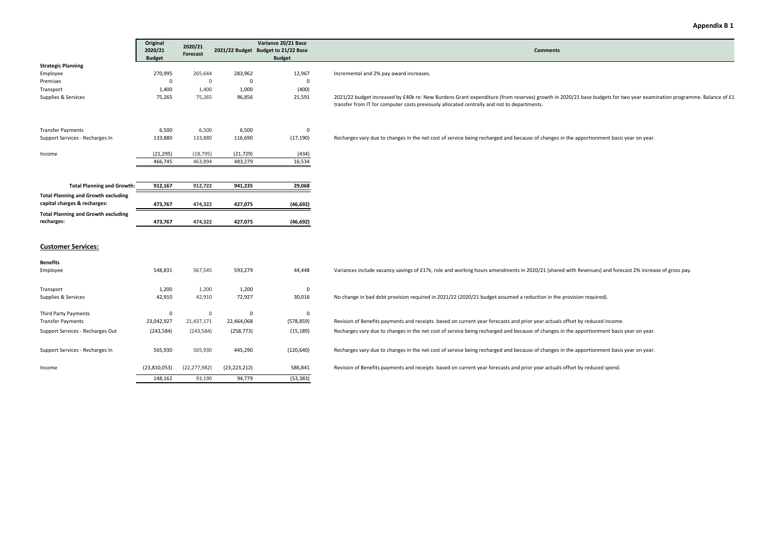|                                                                            | Original      |                     |                | Variance 20/21 Base                 |                                                                                                                                                                                                                                                                   |
|----------------------------------------------------------------------------|---------------|---------------------|----------------|-------------------------------------|-------------------------------------------------------------------------------------------------------------------------------------------------------------------------------------------------------------------------------------------------------------------|
|                                                                            | 2020/21       | 2020/21<br>Forecast |                | 2021/22 Budget Budget to 21/22 Base | <b>Comments</b>                                                                                                                                                                                                                                                   |
|                                                                            | <b>Budget</b> |                     |                | <b>Budget</b>                       |                                                                                                                                                                                                                                                                   |
| <b>Strategic Planning</b>                                                  |               |                     |                |                                     |                                                                                                                                                                                                                                                                   |
| Employee                                                                   | 270,995       | 265,644             | 283,962        | 12,967                              | Incremental and 2% pay award increases.                                                                                                                                                                                                                           |
| Premises                                                                   | $\mathsf 0$   | $\mathsf 0$         | $\mathbf 0$    | 0                                   |                                                                                                                                                                                                                                                                   |
| Transport                                                                  | 1,400         | 1,400               | 1,000          | (400)                               |                                                                                                                                                                                                                                                                   |
| Supplies & Services                                                        | 75,265        | 75,265              | 96,856         | 21,591                              | 2021/22 budget increased by £40k re: New Burdens Grant expenditure (from reserves) growth in 2020/21 base budgets for two year examination programme. Balance of £1<br>transfer from IT for computer costs previously allocated centrally and not to departments. |
| <b>Transfer Payments</b>                                                   | 6,500         | 6,500               | 6,500          | 0                                   |                                                                                                                                                                                                                                                                   |
| Support Services - Recharges In                                            | 133,880       | 133,880             | 116,690        | (17, 190)                           | Recharges vary due to changes in the net cost of service being recharged and because of changes in the apportionment basis year on year.                                                                                                                          |
| Income                                                                     | (21, 295)     | (18, 795)           | (21, 729)      | (434)                               |                                                                                                                                                                                                                                                                   |
|                                                                            | 466,745       | 463,894             | 483,279        | 16,534                              |                                                                                                                                                                                                                                                                   |
|                                                                            |               |                     |                |                                     |                                                                                                                                                                                                                                                                   |
| <b>Total Planning and Growth:</b>                                          | 912,167       | 912,722             | 941,235        | 29,068                              |                                                                                                                                                                                                                                                                   |
|                                                                            |               |                     |                |                                     |                                                                                                                                                                                                                                                                   |
| <b>Total Planning and Growth excluding</b><br>capital charges & recharges: | 473,767       | 474,322             | 427,075        | (46, 692)                           |                                                                                                                                                                                                                                                                   |
| <b>Total Planning and Growth excluding</b>                                 |               |                     |                |                                     |                                                                                                                                                                                                                                                                   |
| recharges:                                                                 | 473,767       | 474,322             | 427,075        | (46, 692)                           |                                                                                                                                                                                                                                                                   |
|                                                                            |               |                     |                |                                     |                                                                                                                                                                                                                                                                   |
| <b>Customer Services:</b>                                                  |               |                     |                |                                     |                                                                                                                                                                                                                                                                   |
| <b>Benefits</b>                                                            |               |                     |                |                                     |                                                                                                                                                                                                                                                                   |
| Employee                                                                   | 548,831       | 567,545             | 593,279        | 44,448                              | Variances include vacancy savings of £17k, role and working hours amendments in 2020/21 (shared with Revenues) and forecast 2% increase of gross pay.                                                                                                             |
|                                                                            |               |                     |                |                                     |                                                                                                                                                                                                                                                                   |
| Transport                                                                  | 1,200         | 1,200               | 1,200          | $\mathbf 0$                         |                                                                                                                                                                                                                                                                   |
| Supplies & Services                                                        | 42,910        | 42,910              | 72,927         | 30,016                              | No change in bad debt provision required in 2021/22 (2020/21 budget assumed a reduction in the provision required).                                                                                                                                               |
| <b>Third Party Payments</b>                                                | $\mathbf 0$   | $\mathbf 0$         | 0              | 0                                   |                                                                                                                                                                                                                                                                   |
| <b>Transfer Payments</b>                                                   | 23,042,927    | 21,437,171          | 22,464,068     | (578, 859)                          | Revision of Benefits payments and receipts based on current year forecasts and prior year actuals offset by reduced income.                                                                                                                                       |
| Support Services - Recharges Out                                           | (243, 584)    | (243, 584)          | (258, 773)     | (15, 189)                           | Recharges vary due to changes in the net cost of service being recharged and because of changes in the apportionment basis year on year.                                                                                                                          |
|                                                                            |               |                     |                |                                     |                                                                                                                                                                                                                                                                   |
| Support Services - Recharges In                                            | 565,930       | 565,930             | 445,290        | (120, 640)                          | Recharges vary due to changes in the net cost of service being recharged and because of changes in the apportionment basis year on year.                                                                                                                          |
| Income                                                                     | (23,810,053)  | (22, 277, 982)      | (23, 223, 212) | 586,841                             | Revision of Benefits payments and receipts based on current year forecasts and prior year actuals offset by reduced spend.                                                                                                                                        |

148,162 93,190 94,779 (53,383)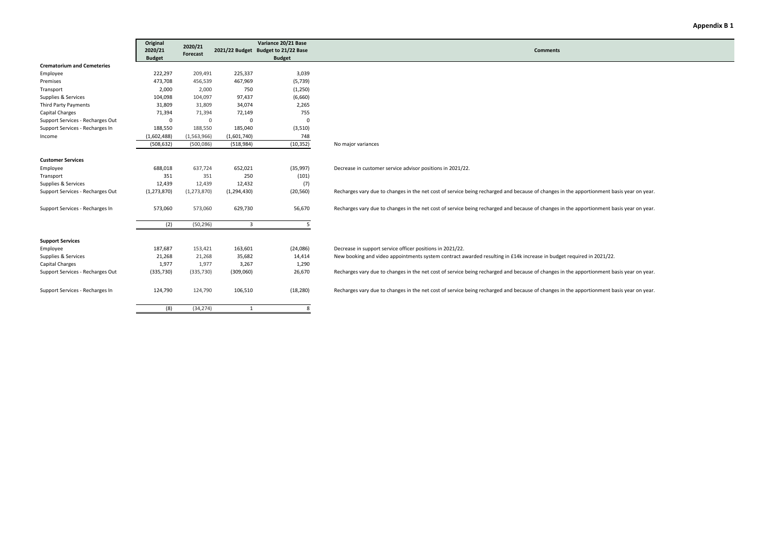|                                   | Original      |                     |                         | Variance 20/21 Base                 |                                                                                                                                          |
|-----------------------------------|---------------|---------------------|-------------------------|-------------------------------------|------------------------------------------------------------------------------------------------------------------------------------------|
|                                   | 2020/21       | 2020/21<br>Forecast |                         | 2021/22 Budget Budget to 21/22 Base | <b>Comments</b>                                                                                                                          |
|                                   | <b>Budget</b> |                     |                         | <b>Budget</b>                       |                                                                                                                                          |
| <b>Crematorium and Cemeteries</b> |               |                     |                         |                                     |                                                                                                                                          |
| Employee                          | 222,297       | 209,491             | 225,337                 | 3,039                               |                                                                                                                                          |
| Premises                          | 473,708       | 456,539             | 467,969                 | (5, 739)                            |                                                                                                                                          |
| Transport                         | 2,000         | 2,000               | 750                     | (1,250)                             |                                                                                                                                          |
| Supplies & Services               | 104,098       | 104,097             | 97,437                  | (6,660)                             |                                                                                                                                          |
| Third Party Payments              | 31,809        | 31,809              | 34,074                  | 2,265                               |                                                                                                                                          |
| Capital Charges                   | 71,394        | 71,394              | 72,149                  | 755                                 |                                                                                                                                          |
| Support Services - Recharges Out  | $\mathbf 0$   | $\overline{0}$      | $\Omega$                | $\mathbf 0$                         |                                                                                                                                          |
| Support Services - Recharges In   | 188,550       | 188,550             | 185,040                 | (3,510)                             |                                                                                                                                          |
| Income                            | (1,602,488)   | (1,563,966)         | (1,601,740)             | 748                                 |                                                                                                                                          |
|                                   | (508, 632)    | (500, 086)          | (518, 984)              | (10, 352)                           | No major variances                                                                                                                       |
| <b>Customer Services</b>          |               |                     |                         |                                     |                                                                                                                                          |
| Employee                          | 688,018       | 637,724             | 652,021                 | (35,997)                            | Decrease in customer service advisor positions in 2021/22.                                                                               |
| Transport                         | 351           | 351                 | 250                     | (101)                               |                                                                                                                                          |
| Supplies & Services               | 12,439        | 12,439              | 12,432                  | (7)                                 |                                                                                                                                          |
| Support Services - Recharges Out  | (1, 273, 870) | (1, 273, 870)       | (1, 294, 430)           | (20, 560)                           | Recharges vary due to changes in the net cost of service being recharged and because of changes in the apportionment basis year on year. |
| Support Services - Recharges In   | 573,060       | 573,060             | 629,730                 | 56,670                              | Recharges vary due to changes in the net cost of service being recharged and because of changes in the apportionment basis year on year. |
|                                   | (2)           | (50, 296)           | $\overline{\mathbf{3}}$ | 5                                   |                                                                                                                                          |
| <b>Support Services</b>           |               |                     |                         |                                     |                                                                                                                                          |
| Employee                          | 187,687       | 153,421             | 163,601                 | (24,086)                            | Decrease in support service officer positions in 2021/22.                                                                                |
| Supplies & Services               | 21,268        | 21,268              | 35,682                  | 14,414                              | New booking and video appointments system contract awarded resulting in £14k increase in budget required in 2021/22.                     |
| Capital Charges                   | 1,977         | 1,977               | 3,267                   | 1,290                               |                                                                                                                                          |
| Support Services - Recharges Out  | (335, 730)    | (335, 730)          | (309,060)               | 26,670                              | Recharges vary due to changes in the net cost of service being recharged and because of changes in the apportionment basis year on year. |
| Support Services - Recharges In   | 124,790       | 124,790             | 106,510                 | (18, 280)                           | Recharges vary due to changes in the net cost of service being recharged and because of changes in the apportionment basis year on year. |
|                                   | (8)           | (34, 274)           | 1                       | 8                                   |                                                                                                                                          |
|                                   |               |                     |                         |                                     |                                                                                                                                          |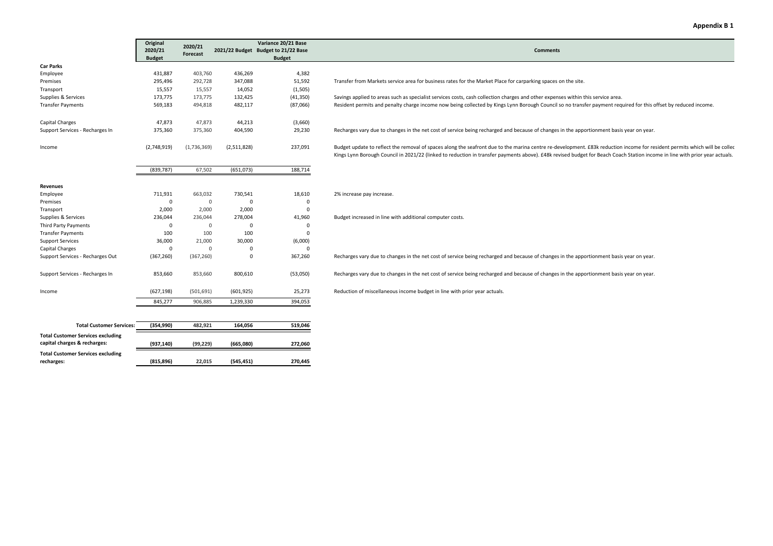|                                          | Original      | 2020/21      |                | Variance 20/21 Base                 |                                                                                                                                                                             |
|------------------------------------------|---------------|--------------|----------------|-------------------------------------|-----------------------------------------------------------------------------------------------------------------------------------------------------------------------------|
|                                          | 2020/21       | Forecast     |                | 2021/22 Budget Budget to 21/22 Base | <b>Comments</b>                                                                                                                                                             |
|                                          | <b>Budget</b> |              |                | <b>Budget</b>                       |                                                                                                                                                                             |
| <b>Car Parks</b>                         |               |              |                |                                     |                                                                                                                                                                             |
| Employee                                 | 431,887       | 403,760      | 436,269        | 4,382                               |                                                                                                                                                                             |
| Premises                                 | 295,496       | 292,728      | 347,088        | 51,592                              | Transfer from Markets service area for business rates for the Market Place for carparking spaces on the site.                                                               |
| Transport                                | 15,557        | 15,557       | 14,052         | (1, 505)                            |                                                                                                                                                                             |
| Supplies & Services                      | 173,775       | 173,775      | 132,425        | (41, 350)                           | Savings applied to areas such as specialist services costs, cash collection charges and other expenses within this service area.                                            |
| <b>Transfer Payments</b>                 | 569,183       | 494,818      | 482,117        | (87,066)                            | Resident permits and penalty charge income now being collected by Kings Lynn Borough Council so no transfer payment required for this offset by reduced income.             |
|                                          |               |              |                |                                     |                                                                                                                                                                             |
| Capital Charges                          | 47,873        | 47,873       | 44,213         | (3,660)                             |                                                                                                                                                                             |
| Support Services - Recharges In          | 375,360       | 375,360      | 404,590        | 29,230                              | Recharges vary due to changes in the net cost of service being recharged and because of changes in the apportionment basis year on year.                                    |
| Income                                   | (2,748,919)   | (1,736,369)  | (2,511,828)    | 237,091                             | Budget update to reflect the removal of spaces along the seafront due to the marina centre re-development. £83k reduction income for resident permits which will be collec  |
|                                          |               |              |                |                                     | Kings Lynn Borough Council in 2021/22 (linked to reduction in transfer payments above). £48k revised budget for Beach Coach Station income in line with prior year actuals. |
|                                          | (839, 787)    | 67,502       | (651,073)      | 188,714                             |                                                                                                                                                                             |
|                                          |               |              |                |                                     |                                                                                                                                                                             |
| Revenues                                 | 711,931       | 663,032      | 730,541        | 18,610                              | 2% increase pay increase.                                                                                                                                                   |
| Employee<br>Premises                     | $\mathsf 0$   | $\mathbf 0$  | $\overline{0}$ | 0                                   |                                                                                                                                                                             |
| Transport                                | 2,000         | 2,000        | 2,000          | $\mathbf 0$                         |                                                                                                                                                                             |
| Supplies & Services                      | 236,044       | 236,044      | 278,004        | 41,960                              | Budget increased in line with additional computer costs.                                                                                                                    |
| Third Party Payments                     | $\Omega$      | $\mathbf{0}$ | 0              | 0                                   |                                                                                                                                                                             |
| <b>Transfer Payments</b>                 | 100           | 100          | 100            | $\Omega$                            |                                                                                                                                                                             |
| <b>Support Services</b>                  | 36,000        | 21,000       | 30,000         | (6,000)                             |                                                                                                                                                                             |
| <b>Capital Charges</b>                   | $\Omega$      | $\Omega$     | 0              | $\Omega$                            |                                                                                                                                                                             |
| Support Services - Recharges Out         | (367, 260)    | (367, 260)   | $\overline{0}$ | 367,260                             | Recharges vary due to changes in the net cost of service being recharged and because of changes in the apportionment basis year on year.                                    |
| Support Services - Recharges In          | 853,660       | 853,660      | 800,610        | (53,050)                            | Recharges vary due to changes in the net cost of service being recharged and because of changes in the apportionment basis year on year.                                    |
| Income                                   | (627, 198)    | (501, 691)   | (601, 925)     | 25,273                              | Reduction of miscellaneous income budget in line with prior year actuals.                                                                                                   |
|                                          | 845,277       | 906,885      | 1,239,330      | 394,053                             |                                                                                                                                                                             |
|                                          |               |              |                |                                     |                                                                                                                                                                             |
|                                          |               |              |                |                                     |                                                                                                                                                                             |
| <b>Total Customer Services:</b>          | (354, 990)    | 482,921      | 164,056        | 519,046                             |                                                                                                                                                                             |
| <b>Total Customer Services excluding</b> |               |              |                |                                     |                                                                                                                                                                             |
| capital charges & recharges:             | (937, 140)    | (99, 229)    | (665,080)      | 272,060                             |                                                                                                                                                                             |
| <b>Total Customer Services excluding</b> |               |              |                |                                     |                                                                                                                                                                             |
| recharges:                               | (815, 896)    | 22,015       | (545, 451)     | 270,445                             |                                                                                                                                                                             |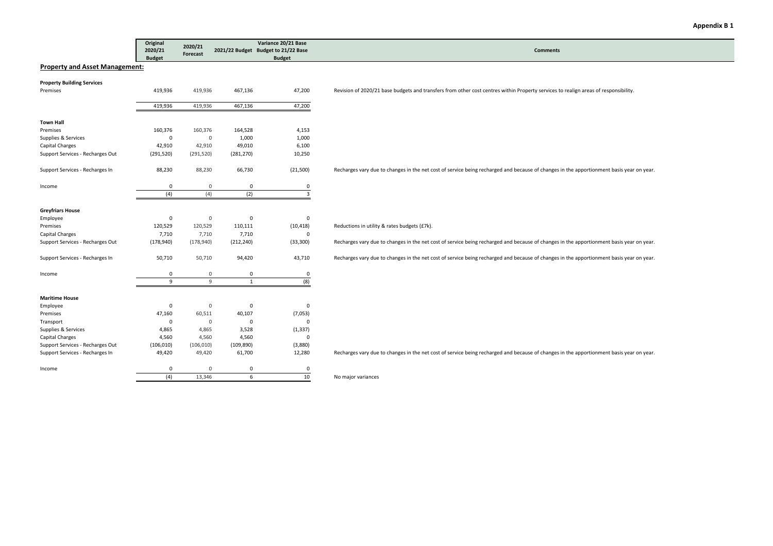|  | <b>Appendix B 1</b> |  |  |  |  |  |  |  |
|--|---------------------|--|--|--|--|--|--|--|
|--|---------------------|--|--|--|--|--|--|--|

|                                       | Original      | 2020/21    |                                     | Variance 20/21 Base |                                                                                                                                     |
|---------------------------------------|---------------|------------|-------------------------------------|---------------------|-------------------------------------------------------------------------------------------------------------------------------------|
|                                       | 2020/21       | Forecast   | 2021/22 Budget Budget to 21/22 Base |                     | <b>Comments</b>                                                                                                                     |
|                                       | <b>Budget</b> |            |                                     | <b>Budget</b>       |                                                                                                                                     |
| <b>Property and Asset Management:</b> |               |            |                                     |                     |                                                                                                                                     |
| <b>Property Building Services</b>     |               |            |                                     |                     |                                                                                                                                     |
| Premises                              | 419,936       | 419,936    | 467,136                             | 47,200              | Revision of 2020/21 base budgets and transfers from other cost centres within Property services to realign areas of responsibility. |
|                                       | 419,936       | 419,936    | 467,136                             | 47,200              |                                                                                                                                     |
|                                       |               |            |                                     |                     |                                                                                                                                     |
| <b>Town Hall</b>                      |               |            |                                     |                     |                                                                                                                                     |
| Premises                              | 160,376       | 160,376    | 164,528                             | 4,153               |                                                                                                                                     |
| Supplies & Services                   |               | 0          | 1,000                               | 1,000               |                                                                                                                                     |
| Capital Charges                       | 42,910        | 42,910     | 49,010                              | 6,100               |                                                                                                                                     |
| Support Services - Recharges Out      | (291, 520)    | (291, 520) | (281, 270)                          | 10,250              |                                                                                                                                     |

88,230 66,730 (21,500) Recharges vary due to changes in the net cost of service being recharged and because of changes in the apportionment basis year on year.

#### **Property and**

Support Services - Recharges In 88,230

e <u>o de la componenta de la componenta de la componenta de la componenta de la componenta de la componenta de la</u>

Income

| 0<br>$\Omega$<br>$\Omega$<br>$\Omega$<br>Employee<br>120,529<br>120,529<br>Premises<br>110,111<br>(10, 418)<br>R<br>Capital Charges<br>7,710<br>7,710<br>7,710<br>$\Omega$<br>Support Services - Recharges Out<br>(178,940)<br>(178, 940)<br>(212, 240)<br>(33, 300)<br>R6<br>Support Services - Recharges In<br>50,710<br>50,710<br>94,420<br>43,710<br>R6<br>0<br>$\mathbf 0$<br>$\mathbf 0$<br>$\Omega$<br>Income<br>9<br>$\overline{9}$<br>(8)<br>$\mathbf{1}$<br><b>Maritime House</b><br>$\mathbf 0$<br>$\Omega$<br>$\Omega$<br>$\Omega$<br>Employee<br>47,160<br>60,511<br>40,107<br>(7,053)<br>Premises<br>$\Omega$<br>$\Omega$<br>Transport<br>$\Omega$<br>$\Omega$<br>4,865<br>4,865<br>3,528<br>(1, 337)<br>Supplies & Services<br>4,560<br>Capital Charges<br>4,560<br>4,560<br>$\Omega$<br>Support Services - Recharges Out<br>(106, 010)<br>(106, 010)<br>(109, 890)<br>(3,880)<br>Support Services - Recharges In<br>61,700<br>49,420<br>49,420<br>12,280<br>R6<br>$\Omega$<br>$\Omega$<br>$\Omega$<br>Income<br>$\Omega$<br>(4)<br>6<br>N<br>13,346<br>10 | <b>Greyfriars House</b> |  |  |  |
|---------------------------------------------------------------------------------------------------------------------------------------------------------------------------------------------------------------------------------------------------------------------------------------------------------------------------------------------------------------------------------------------------------------------------------------------------------------------------------------------------------------------------------------------------------------------------------------------------------------------------------------------------------------------------------------------------------------------------------------------------------------------------------------------------------------------------------------------------------------------------------------------------------------------------------------------------------------------------------------------------------------------------------------------------------------------------|-------------------------|--|--|--|
|                                                                                                                                                                                                                                                                                                                                                                                                                                                                                                                                                                                                                                                                                                                                                                                                                                                                                                                                                                                                                                                                           |                         |  |  |  |
|                                                                                                                                                                                                                                                                                                                                                                                                                                                                                                                                                                                                                                                                                                                                                                                                                                                                                                                                                                                                                                                                           |                         |  |  |  |
|                                                                                                                                                                                                                                                                                                                                                                                                                                                                                                                                                                                                                                                                                                                                                                                                                                                                                                                                                                                                                                                                           |                         |  |  |  |
|                                                                                                                                                                                                                                                                                                                                                                                                                                                                                                                                                                                                                                                                                                                                                                                                                                                                                                                                                                                                                                                                           |                         |  |  |  |
|                                                                                                                                                                                                                                                                                                                                                                                                                                                                                                                                                                                                                                                                                                                                                                                                                                                                                                                                                                                                                                                                           |                         |  |  |  |
|                                                                                                                                                                                                                                                                                                                                                                                                                                                                                                                                                                                                                                                                                                                                                                                                                                                                                                                                                                                                                                                                           |                         |  |  |  |
|                                                                                                                                                                                                                                                                                                                                                                                                                                                                                                                                                                                                                                                                                                                                                                                                                                                                                                                                                                                                                                                                           |                         |  |  |  |
|                                                                                                                                                                                                                                                                                                                                                                                                                                                                                                                                                                                                                                                                                                                                                                                                                                                                                                                                                                                                                                                                           |                         |  |  |  |
|                                                                                                                                                                                                                                                                                                                                                                                                                                                                                                                                                                                                                                                                                                                                                                                                                                                                                                                                                                                                                                                                           |                         |  |  |  |
|                                                                                                                                                                                                                                                                                                                                                                                                                                                                                                                                                                                                                                                                                                                                                                                                                                                                                                                                                                                                                                                                           |                         |  |  |  |
|                                                                                                                                                                                                                                                                                                                                                                                                                                                                                                                                                                                                                                                                                                                                                                                                                                                                                                                                                                                                                                                                           |                         |  |  |  |
|                                                                                                                                                                                                                                                                                                                                                                                                                                                                                                                                                                                                                                                                                                                                                                                                                                                                                                                                                                                                                                                                           |                         |  |  |  |
|                                                                                                                                                                                                                                                                                                                                                                                                                                                                                                                                                                                                                                                                                                                                                                                                                                                                                                                                                                                                                                                                           |                         |  |  |  |
|                                                                                                                                                                                                                                                                                                                                                                                                                                                                                                                                                                                                                                                                                                                                                                                                                                                                                                                                                                                                                                                                           |                         |  |  |  |
|                                                                                                                                                                                                                                                                                                                                                                                                                                                                                                                                                                                                                                                                                                                                                                                                                                                                                                                                                                                                                                                                           |                         |  |  |  |
|                                                                                                                                                                                                                                                                                                                                                                                                                                                                                                                                                                                                                                                                                                                                                                                                                                                                                                                                                                                                                                                                           |                         |  |  |  |
|                                                                                                                                                                                                                                                                                                                                                                                                                                                                                                                                                                                                                                                                                                                                                                                                                                                                                                                                                                                                                                                                           |                         |  |  |  |

(4)

 $\begin{array}{ccc} 0 & 0 \end{array}$ 

<sup>0</sup> <sup>0</sup>

 $(4)$   $(2)$   $3$ 

12) Reductions in utility & rates budgets ( $E7k$ ).

OO) Recharges vary due to changes in the net cost of service being recharged and because of changes in the apportionment basis year on year.

94,420 43,710 Recharges vary due to changes in the net cost of service being recharged and because of changes in the apportionment basis year on year.

61,700 12,280 Recharges vary due to changes in the net cost of service being recharged and because of changes in the apportionment basis year on year.

 $\frac{0}{10}$  No major variances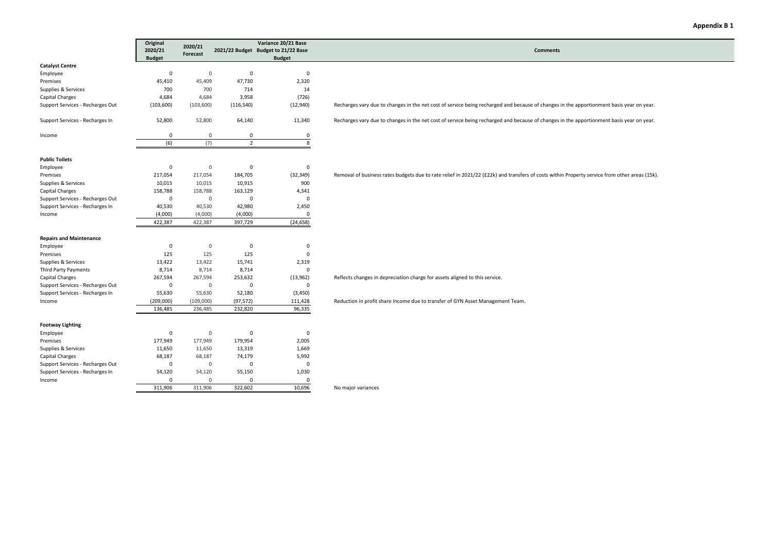| <b>Comments</b> |  |
|-----------------|--|
|                 |  |
|                 |  |
|                 |  |
|                 |  |

#### (103,600) (116,540) (12,940) Recharges vary due to changes in the net cost of service being recharged and because of changes in the apportionment basis year on year.

#### 52,800 64,140 11,340 Recharges vary due to changes in the net cost of service being recharged and because of changes in the apportionment basis year on year.

 $217,054$   $217,054$   $184,705$   $(32,349)$  Removal of business rates budgets due to rate relief in 2021/22 (£22k) and transfers of costs within Property service from other areas (15k).<br>10.015  $10.015$   $10.915$   $900$ 

253,632 (13,962) Reflects changes in depreciation charge for assets aligned to this service.<br>0 0 0 0

(97,572) 111,428 Reduction in profit share income due to transfer of GYN Asset Management Team.<br>232,820 96,335

 <sup>0</sup> <sup>0</sup> 311,906 322,602 10,696 No major variances

**Original 2020/21Budget**

45,410<br>700

(6)

217,054

422,387

136,485

177,949

311,906

e 0

Supplies & Services 700<br>Capital Charges 700<br>4.684

Capital Charges 4,684<br>
Support Services - Recharges Out (103,600)

Support Services - Recharges In 52,800

Supplies & Services 10,015<br>Capital Charges 158,788

Capital Charges 158,788<br>Support Services - Recharges Out 158,788

Support Services - Recharges Out 0<br>Support Services - Recharges In 40.530

Support Services - Recharges In 40,530<br>Income (4,000)

Supplies & Services 13,422<br>Third Party Payments 8.714

Third Party Payments<br>
Capital Charges<br>
267.594

Capital Charges<br>
Support Services - Recharges Out
267,594

Support Services - Recharges Out 0<br>Support Services - Recharges In 55,630

Support Services - Recharges In 55,630<br>Income (209,000)

Supplies & Services 11,650<br>Capital Charges 168,187

Capital Charges 68,187<br>Support Services - Recharges Out 68,187

Support Services - Recharges Out 0<br>Support Services - Recharges In 54,120

Support Services - Recharges In 54,120<br>Income 0

e 0

e 0

e 0

e 0

 $\sim$  125

e 0

**Catalyst Centre**Employee

Premises

Income

**Public Toilets**Employee

Premises

Income

Employee

Premises

Income

Premises

Income

**Footway Lighting**Employee

**Repairs and Maintenance**

**2020/21Forecast**

45,409

e (4,000) (4,000) (4,000) (4,000) (4,000)

8,714<br>267.594

55,630<br>(109,000)

236,485

177,949

<sup>0</sup>

 $\begin{array}{ccc} 0 & 0 \end{array}$ 

125 125<br>13,422 13,422

**2021/22 Budget Budget to 21/22 Base** 

<sup>0</sup> <sup>0</sup> <sup>0</sup>

<sup>700</sup> <sup>714</sup> <sup>14</sup>

4,684 3,958 (726)

<sup>0</sup> <sup>0</sup> <sup>0</sup>

 $(7)$  2 8

<sup>0</sup> <sup>0</sup> <sup>0</sup>

10,015 10,915 <sup>900</sup>

158,788 163,129 4,341

<sup>0</sup> <sup>0</sup> <sup>0</sup>

40,530 42,980 2,450

422,387 397,729 (24,658)

<sup>0</sup> <sup>0</sup> <sup>0</sup>

13,422 15,741 2,319

<sup>0</sup> <sup>0</sup> <sup>0</sup>

<sup>0</sup> <sup>0</sup> <sup>0</sup>

11,650 13,319 1,669

68,187 74,179 5,992

54,120 55,150 1,030

<sup>125</sup> <sup>0</sup>

8,714 <sup>0</sup>

52,180 (3,450)<br>(97,572) 111,428

179,954 2,005

<sup>0</sup> <sup>0</sup>

96,335

**Variance 20/21 Base Budget**

47,730 2,320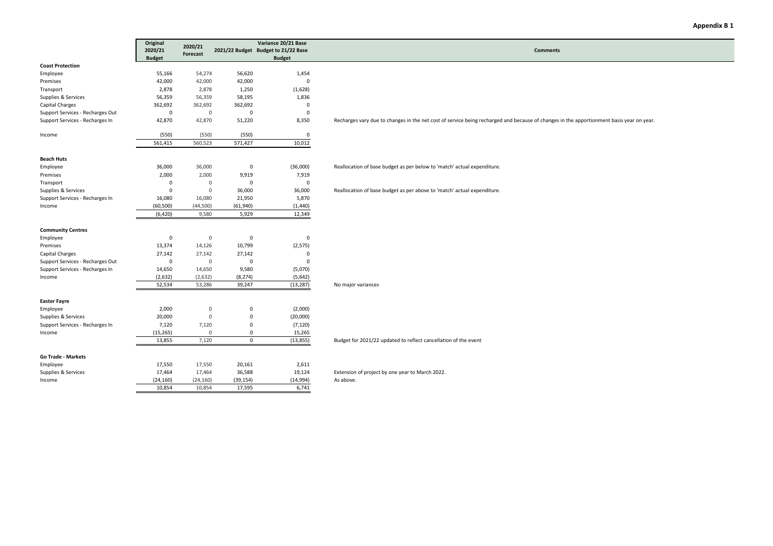|                                  | Original      | 2020/21     |              | Variance 20/21 Base                 |                                                                                                                                          |
|----------------------------------|---------------|-------------|--------------|-------------------------------------|------------------------------------------------------------------------------------------------------------------------------------------|
|                                  | 2020/21       | Forecast    |              | 2021/22 Budget Budget to 21/22 Base | <b>Comments</b>                                                                                                                          |
|                                  | <b>Budget</b> |             |              | <b>Budget</b>                       |                                                                                                                                          |
| <b>Coast Protection</b>          |               |             |              |                                     |                                                                                                                                          |
| Employee                         | 55,166        | 54,274      | 56,620       | 1,454                               |                                                                                                                                          |
| Premises                         | 42,000        | 42,000      | 42,000       | $\mathsf 0$                         |                                                                                                                                          |
| Transport                        | 2,878         | 2,878       | 1,250        | (1,628)                             |                                                                                                                                          |
| Supplies & Services              | 56,359        | 56,359      | 58,195       | 1,836                               |                                                                                                                                          |
| Capital Charges                  | 362,692       | 362,692     | 362,692      | $\mathsf 0$                         |                                                                                                                                          |
| Support Services - Recharges Out | $\mathbf 0$   | $\mathsf 0$ | $\pmb{0}$    | $\mathsf 0$                         |                                                                                                                                          |
| Support Services - Recharges In  | 42,870        | 42,870      | 51,220       | 8,350                               | Recharges vary due to changes in the net cost of service being recharged and because of changes in the apportionment basis year on year. |
| Income                           | (550)         | (550)       | (550)        | 0                                   |                                                                                                                                          |
|                                  | 561,415       | 560,523     | 571,427      | 10,012                              |                                                                                                                                          |
|                                  |               |             |              |                                     |                                                                                                                                          |
| <b>Beach Huts</b>                |               |             |              |                                     |                                                                                                                                          |
| Employee                         | 36,000        | 36,000      | $\mathbf 0$  | (36,000)                            | Reallocation of base budget as per below to 'match' actual expenditure.                                                                  |
| Premises                         | 2,000         | 2,000       | 9,919        | 7,919                               |                                                                                                                                          |
| Transport                        | 0             | $\mathbf 0$ | $\mathbf 0$  | $\mathsf 0$                         |                                                                                                                                          |
| Supplies & Services              | $\mathbf 0$   | $\mathbf 0$ | 36,000       | 36,000                              | Reallocation of base budget as per above to 'match' actual expenditure.                                                                  |
| Support Services - Recharges In  | 16,080        | 16,080      | 21,950       | 5,870                               |                                                                                                                                          |
| Income                           | (60, 500)     | (44,500)    | (61, 940)    | (1,440)                             |                                                                                                                                          |
|                                  | (6, 420)      | 9,580       | 5,929        | 12,349                              |                                                                                                                                          |
|                                  |               |             |              |                                     |                                                                                                                                          |
| <b>Community Centres</b>         |               |             |              |                                     |                                                                                                                                          |
| Employee                         | $\mathbf 0$   | $\mathbf 0$ | $\mathbf 0$  | $\mathbf 0$                         |                                                                                                                                          |
| Premises                         | 13,374        | 14,126      | 10,799       | (2, 575)                            |                                                                                                                                          |
| Capital Charges                  | 27,142        | 27,142      | 27,142       | $\mathsf 0$                         |                                                                                                                                          |
| Support Services - Recharges Out | $\mathbf 0$   | $\mathsf 0$ | $\mathsf 0$  | $\mathsf 0$                         |                                                                                                                                          |
| Support Services - Recharges In  | 14,650        | 14,650      | 9,580        | (5,070)                             |                                                                                                                                          |
| Income                           | (2,632)       | (2,632)     | (8, 274)     | (5, 642)                            |                                                                                                                                          |
|                                  | 52,534        | 53,286      | 39,247       | (13, 287)                           | No major variances                                                                                                                       |
|                                  |               |             |              |                                     |                                                                                                                                          |
| <b>Easter Fayre</b>              |               |             |              |                                     |                                                                                                                                          |
| Employee                         | 2,000         | $\mathsf 0$ | $\pmb{0}$    | (2,000)                             |                                                                                                                                          |
| Supplies & Services              | 20,000        | $\mathsf 0$ | $\mathbf 0$  | (20,000)                            |                                                                                                                                          |
| Support Services - Recharges In  | 7,120         | 7,120       | $\mathbf 0$  | (7, 120)                            |                                                                                                                                          |
| Income                           | (15, 265)     | $\mathbf 0$ | 0            | 15,265                              |                                                                                                                                          |
|                                  | 13,855        | 7,120       | $\mathbf{0}$ | (13, 855)                           | Budget for 2021/22 updated to reflect cancellation of the event                                                                          |
|                                  |               |             |              |                                     |                                                                                                                                          |
| Go Trade - Markets               |               |             |              |                                     |                                                                                                                                          |
| Employee                         | 17,550        | 17,550      | 20,161       | 2,611                               |                                                                                                                                          |
| Supplies & Services              | 17,464        | 17,464      | 36,588       | 19,124                              | Extension of project by one year to March 2022.                                                                                          |
| Income                           | (24, 160)     | (24, 160)   | (39, 154)    | (14, 994)                           | As above.                                                                                                                                |
|                                  | 10,854        | 10,854      | 17,595       | 6,741                               |                                                                                                                                          |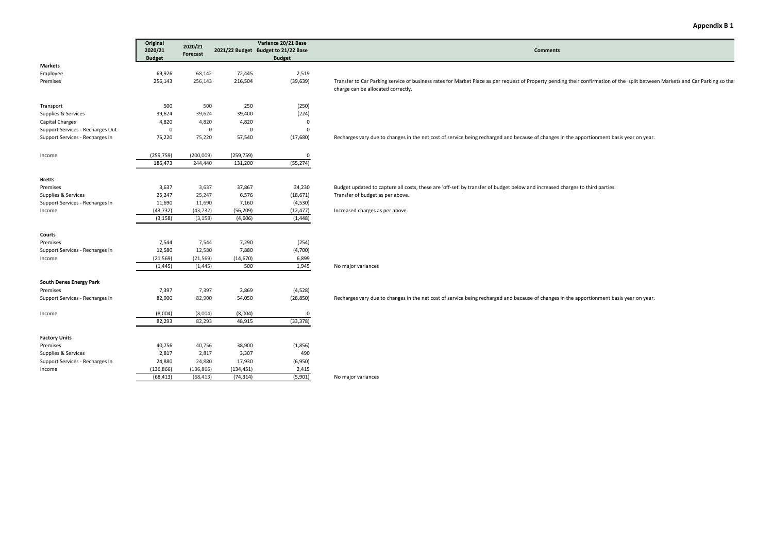|                                  | Original                 | 2020/21     |              | Variance 20/21 Base                                  |                                                                                                                                                                                                                     |
|----------------------------------|--------------------------|-------------|--------------|------------------------------------------------------|---------------------------------------------------------------------------------------------------------------------------------------------------------------------------------------------------------------------|
|                                  | 2020/21<br><b>Budget</b> | Forecast    |              | 2021/22 Budget Budget to 21/22 Base<br><b>Budget</b> | <b>Comments</b>                                                                                                                                                                                                     |
| <b>Markets</b>                   |                          |             |              |                                                      |                                                                                                                                                                                                                     |
| Employee                         | 69,926                   | 68,142      | 72,445       | 2,519                                                |                                                                                                                                                                                                                     |
| Premises                         | 256,143                  | 256,143     | 216,504      | (39, 639)                                            | Transfer to Car Parking service of business rates for Market Place as per request of Property pending their confirmation of the split between Markets and Car Parking so that<br>charge can be allocated correctly. |
| Transport                        | 500                      | 500         | 250          | (250)                                                |                                                                                                                                                                                                                     |
| Supplies & Services              | 39,624                   | 39,624      | 39,400       | (224)                                                |                                                                                                                                                                                                                     |
| Capital Charges                  | 4,820                    | 4,820       | 4,820        | 0                                                    |                                                                                                                                                                                                                     |
| Support Services - Recharges Out | $\mathsf 0$              | $\mathbf 0$ | $\mathbf{0}$ | 0                                                    |                                                                                                                                                                                                                     |
| Support Services - Recharges In  | 75,220                   | 75,220      | 57,540       | (17,680)                                             | Recharges vary due to changes in the net cost of service being recharged and because of changes in the apportionment basis year on year.                                                                            |
| Income                           | (259, 759)               | (200,009)   | (259, 759)   | 0                                                    |                                                                                                                                                                                                                     |
|                                  | 186,473                  | 244,440     | 131,200      | (55, 274)                                            |                                                                                                                                                                                                                     |
| <b>Bretts</b>                    |                          |             |              |                                                      |                                                                                                                                                                                                                     |
| Premises                         | 3,637                    | 3,637       | 37,867       | 34,230                                               | Budget updated to capture all costs, these are 'off-set' by transfer of budget below and increased charges to third parties.                                                                                        |
| Supplies & Services              | 25,247                   | 25,247      | 6,576        | (18, 671)                                            | Transfer of budget as per above.                                                                                                                                                                                    |
| Support Services - Recharges In  | 11,690                   | 11,690      | 7,160        | (4,530)                                              |                                                                                                                                                                                                                     |
| Income                           | (43, 732)                | (43, 732)   | (56, 209)    | (12, 477)                                            | Increased charges as per above.                                                                                                                                                                                     |
|                                  | (3, 158)                 | (3, 158)    | (4,606)      | (1, 448)                                             |                                                                                                                                                                                                                     |
| Courts                           |                          |             |              |                                                      |                                                                                                                                                                                                                     |
| Premises                         | 7,544                    | 7,544       | 7,290        | (254)                                                |                                                                                                                                                                                                                     |
| Support Services - Recharges In  | 12,580                   | 12,580      | 7,880        | (4,700)                                              |                                                                                                                                                                                                                     |
| Income                           | (21, 569)                | (21, 569)   | (14, 670)    | 6,899                                                |                                                                                                                                                                                                                     |
|                                  | (1, 445)                 | (1, 445)    | 500          | 1,945                                                | No major variances                                                                                                                                                                                                  |
| South Denes Energy Park          |                          |             |              |                                                      |                                                                                                                                                                                                                     |
| Premises                         | 7,397                    | 7,397       | 2,869        | (4,528)                                              |                                                                                                                                                                                                                     |
| Support Services - Recharges In  | 82,900                   | 82,900      | 54,050       | (28, 850)                                            | Recharges vary due to changes in the net cost of service being recharged and because of changes in the apportionment basis year on year.                                                                            |
| Income                           | (8,004)                  | (8,004)     | (8,004)      | $\mathbf{0}$                                         |                                                                                                                                                                                                                     |
|                                  | 82,293                   | 82,293      | 48,915       | (33, 378)                                            |                                                                                                                                                                                                                     |
| <b>Factory Units</b>             |                          |             |              |                                                      |                                                                                                                                                                                                                     |
| Premises                         | 40,756                   | 40,756      | 38,900       | (1,856)                                              |                                                                                                                                                                                                                     |
| Supplies & Services              | 2,817                    | 2,817       | 3,307        | 490                                                  |                                                                                                                                                                                                                     |
| Support Services - Recharges In  | 24,880                   | 24,880      | 17,930       | (6,950)                                              |                                                                                                                                                                                                                     |
| Income                           | (136, 866)               | (136, 866)  | (134, 451)   | 2,415                                                |                                                                                                                                                                                                                     |
|                                  | (68, 413)                | (68, 413)   | (74, 314)    | (5,901)                                              | No major variances                                                                                                                                                                                                  |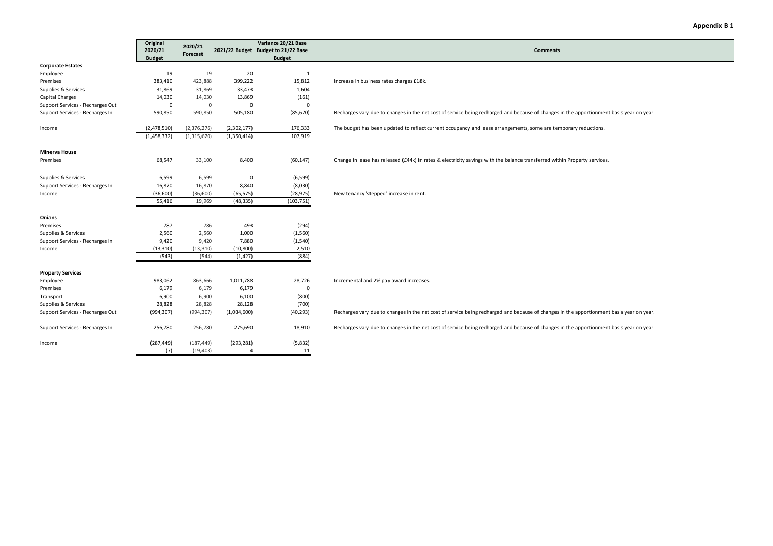| Appendix B 1 |  |
|--------------|--|
|--------------|--|

|                                  | Original        | 2020/21     |                | Variance 20/21 Base                 |                                                                                                                                          |
|----------------------------------|-----------------|-------------|----------------|-------------------------------------|------------------------------------------------------------------------------------------------------------------------------------------|
|                                  | 2020/21         | Forecast    |                | 2021/22 Budget Budget to 21/22 Base | <b>Comments</b>                                                                                                                          |
|                                  | <b>Budget</b>   |             |                | <b>Budget</b>                       |                                                                                                                                          |
| <b>Corporate Estates</b>         |                 |             |                |                                     |                                                                                                                                          |
| Employee                         | 19              | 19          | 20             | 1                                   |                                                                                                                                          |
| Premises                         | 383,410         | 423,888     | 399,222        | 15,812                              | Increase in business rates charges £18k.                                                                                                 |
| Supplies & Services              | 31,869          | 31,869      | 33,473         | 1,604                               |                                                                                                                                          |
| Capital Charges                  | 14,030          | 14,030      | 13,869         | (161)                               |                                                                                                                                          |
| Support Services - Recharges Out | $\mathbf{0}$    | $\mathsf 0$ | $\mathbf 0$    | $\mathbf 0$                         |                                                                                                                                          |
| Support Services - Recharges In  | 590,850         | 590,850     | 505,180        | (85, 670)                           | Recharges vary due to changes in the net cost of service being recharged and because of changes in the apportionment basis year on year. |
| Income                           | (2,478,510)     | (2,376,276) | (2,302,177)    | 176,333                             | The budget has been updated to reflect current occupancy and lease arrangements, some are temporary reductions.                          |
|                                  | (1,458,332)     | (1,315,620) | (1,350,414)    | 107,919                             |                                                                                                                                          |
| <b>Minerva House</b>             |                 |             |                |                                     |                                                                                                                                          |
| Premises                         | 68,547          | 33,100      | 8,400          | (60, 147)                           | Change in lease has released (£44k) in rates & electricity savings with the balance transferred within Property services.                |
|                                  |                 |             |                |                                     |                                                                                                                                          |
| Supplies & Services              | 6,599<br>16,870 | 6,599       | $\mathsf 0$    | (6, 599)                            |                                                                                                                                          |
| Support Services - Recharges In  |                 | 16,870      | 8,840          | (8,030)                             |                                                                                                                                          |
| Income                           | (36,600)        | (36,600)    | (65, 575)      | (28, 975)                           | New tenancy 'stepped' increase in rent.                                                                                                  |
|                                  | 55,416          | 19,969      | (48, 335)      | (103, 751)                          |                                                                                                                                          |
| Onians                           |                 |             |                |                                     |                                                                                                                                          |
| Premises                         | 787             | 786         | 493            | (294)                               |                                                                                                                                          |
| Supplies & Services              | 2,560           | 2,560       | 1,000          | (1, 560)                            |                                                                                                                                          |
| Support Services - Recharges In  | 9,420           | 9,420       | 7,880          | (1, 540)                            |                                                                                                                                          |
| Income                           | (13, 310)       | (13, 310)   | (10, 800)      | 2,510                               |                                                                                                                                          |
|                                  | (543)           | (544)       | (1, 427)       | (884)                               |                                                                                                                                          |
| <b>Property Services</b>         |                 |             |                |                                     |                                                                                                                                          |
| Employee                         | 983,062         | 863,666     | 1,011,788      | 28,726                              | Incremental and 2% pay award increases.                                                                                                  |
| Premises                         | 6,179           | 6,179       | 6,179          | $\mathsf 0$                         |                                                                                                                                          |
| Transport                        | 6,900           | 6,900       | 6,100          | (800)                               |                                                                                                                                          |
| Supplies & Services              | 28,828          | 28,828      | 28,128         | (700)                               |                                                                                                                                          |
| Support Services - Recharges Out | (994, 307)      | (994, 307)  | (1,034,600)    | (40, 293)                           | Recharges vary due to changes in the net cost of service being recharged and because of changes in the apportionment basis year on year. |
| Support Services - Recharges In  | 256,780         | 256,780     | 275,690        | 18,910                              | Recharges vary due to changes in the net cost of service being recharged and because of changes in the apportionment basis year on year. |
| Income                           | (287, 449)      | (187, 449)  | (293, 281)     | (5,832)                             |                                                                                                                                          |
|                                  | (7)             | (19, 403)   | $\overline{4}$ | 11                                  |                                                                                                                                          |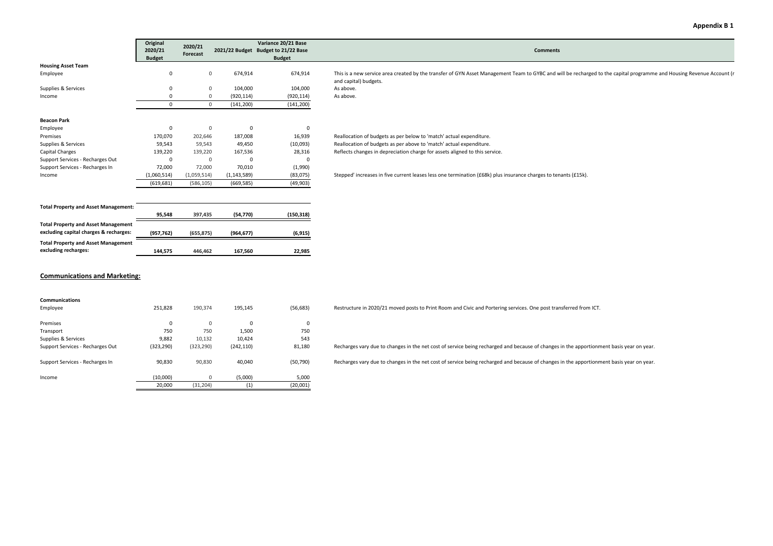|                                                                                      | Original      | 2020/21        |               | Variance 20/21 Base                 |                                                                                                                                                                                                |
|--------------------------------------------------------------------------------------|---------------|----------------|---------------|-------------------------------------|------------------------------------------------------------------------------------------------------------------------------------------------------------------------------------------------|
|                                                                                      | 2020/21       | Forecast       |               | 2021/22 Budget Budget to 21/22 Base | <b>Comments</b>                                                                                                                                                                                |
|                                                                                      | <b>Budget</b> |                |               | <b>Budget</b>                       |                                                                                                                                                                                                |
| <b>Housing Asset Team</b>                                                            |               |                |               |                                     |                                                                                                                                                                                                |
| Employee                                                                             | $\mathbf 0$   | $\mathsf 0$    | 674,914       | 674,914                             | This is a new service area created by the transfer of GYN Asset Management Team to GYBC and will be recharged to the capital programme and Housing Revenue Account (r<br>and capital) budgets. |
| Supplies & Services                                                                  | $\mathbf 0$   | 0              | 104,000       | 104,000                             | As above.                                                                                                                                                                                      |
| Income                                                                               | $\Omega$      | $\mathbf 0$    | (920, 114)    | (920, 114)                          | As above.                                                                                                                                                                                      |
|                                                                                      | $\Omega$      | $\overline{0}$ | (141, 200)    | (141, 200)                          |                                                                                                                                                                                                |
| <b>Beacon Park</b>                                                                   |               |                |               |                                     |                                                                                                                                                                                                |
| Employee                                                                             | $\mathbf{0}$  | $\mathbf 0$    | $\mathbf 0$   |                                     |                                                                                                                                                                                                |
| Premises                                                                             | 170,070       | 202,646        | 187,008       | 16,939                              | Reallocation of budgets as per below to 'match' actual expenditure.                                                                                                                            |
| Supplies & Services                                                                  | 59,543        | 59,543         | 49,450        | (10,093)                            | Reallocation of budgets as per above to 'match' actual expenditure.                                                                                                                            |
| Capital Charges                                                                      | 139,220       | 139,220        | 167,536       | 28,316                              | Reflects changes in depreciation charge for assets aligned to this service.                                                                                                                    |
| Support Services - Recharges Out                                                     | $\Omega$      | $\mathbf 0$    | $\Omega$      |                                     |                                                                                                                                                                                                |
| Support Services - Recharges In                                                      | 72,000        | 72,000         | 70,010        | (1,990)                             |                                                                                                                                                                                                |
| Income                                                                               | (1,060,514)   | (1,059,514)    | (1, 143, 589) | (83,075)                            | Stepped' increases in five current leases less one termination (£68k) plus insurance charges to tenants (£15k).                                                                                |
|                                                                                      | (619, 681)    | (586, 105)     | (669, 585)    | (49, 903)                           |                                                                                                                                                                                                |
|                                                                                      |               |                |               |                                     |                                                                                                                                                                                                |
| <b>Total Property and Asset Management:</b>                                          | 95,548        | 397,435        | (54, 770)     | (150, 318)                          |                                                                                                                                                                                                |
| <b>Total Property and Asset Management</b><br>excluding capital charges & recharges: | (957,762)     | (655, 875)     | (964, 677)    | (6, 915)                            |                                                                                                                                                                                                |
| <b>Total Property and Asset Management</b>                                           |               |                |               |                                     |                                                                                                                                                                                                |
| excluding recharges:                                                                 | 144,575       | 446,462        | 167,560       | 22,985                              |                                                                                                                                                                                                |

#### **Communications and Marketing:**

| <b>Communications</b>            |            |            |            |           |   |
|----------------------------------|------------|------------|------------|-----------|---|
| Employee                         | 251.828    | 190.374    | 195.145    | (56, 683) | R |
| Premises                         | 0          | 0          | 0          | 0         |   |
| Transport                        | 750        | 750        | 1,500      | 750       |   |
| Supplies & Services              | 9,882      | 10,132     | 10,424     | 543       |   |
| Support Services - Recharges Out | (323, 290) | (323, 290) | (242, 110) | 81,180    | R |
| Support Services - Recharges In  | 90,830     | 90.830     | 40,040     | (50, 790) | R |
| Income                           | (10,000)   | 0          | (5,000)    | 5,000     |   |
|                                  | 20,000     | (31, 204)  | (1)        | (20,001)  |   |

| Employee                         | 251,828    | 190,374    | 195,145    | (56, 683) | Restructure in 2020/21 moved posts to Print Room and Civic and Portering services. One post transferred from ICT.                        |
|----------------------------------|------------|------------|------------|-----------|------------------------------------------------------------------------------------------------------------------------------------------|
| Premises                         |            |            |            |           |                                                                                                                                          |
| Transport                        | 750        | 750        | 1.500      | 750       |                                                                                                                                          |
| Supplies & Services              | 9.882      | 10.132     | 10.424     | 543       |                                                                                                                                          |
| Support Services - Recharges Out | (323, 290) | (323, 290) | (242, 110) | 81,180    | Recharges vary due to changes in the net cost of service being recharged and because of changes in the apportionment basis year on year. |
| Support Services - Recharges In  | 90,830     | 90,830     | 40.040     | (50, 790) | Recharges vary due to changes in the net cost of service being recharged and because of changes in the apportionment basis year on year. |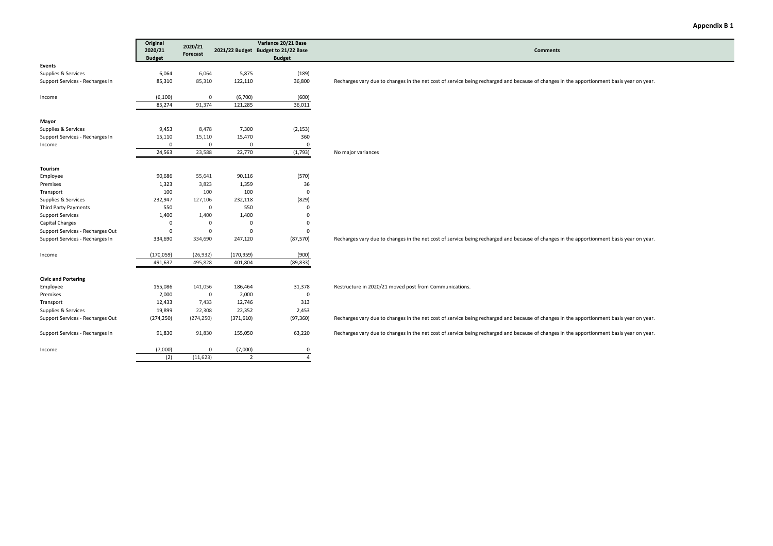|                                  | Original              |                      |                       | Variance 20/21 Base                 |                                                                                                                                          |  |  |
|----------------------------------|-----------------------|----------------------|-----------------------|-------------------------------------|------------------------------------------------------------------------------------------------------------------------------------------|--|--|
|                                  | 2020/21               | 2020/21<br>Forecast  |                       | 2021/22 Budget Budget to 21/22 Base | <b>Comments</b>                                                                                                                          |  |  |
|                                  | <b>Budget</b>         |                      |                       | <b>Budget</b>                       |                                                                                                                                          |  |  |
| Events                           |                       |                      |                       |                                     |                                                                                                                                          |  |  |
| Supplies & Services              | 6,064                 | 6,064                | 5,875                 | (189)                               |                                                                                                                                          |  |  |
| Support Services - Recharges In  | 85,310                | 85,310               | 122,110               | 36,800                              | Recharges vary due to changes in the net cost of service being recharged and because of changes in the apportionment basis year on year. |  |  |
|                                  |                       |                      |                       |                                     |                                                                                                                                          |  |  |
| Income                           | (6, 100)              | $\mathsf 0$          | (6,700)               | (600)                               |                                                                                                                                          |  |  |
|                                  | 85,274                | 91,374               | 121,285               | 36,011                              |                                                                                                                                          |  |  |
|                                  |                       |                      |                       |                                     |                                                                                                                                          |  |  |
| Mayor<br>Supplies & Services     | 9,453                 | 8,478                | 7,300                 | (2, 153)                            |                                                                                                                                          |  |  |
| Support Services - Recharges In  | 15,110                | 15,110               | 15,470                | 360                                 |                                                                                                                                          |  |  |
| Income                           | $\mathbf 0$           | $\mathbf{0}$         | $\mathbf 0$           | $\mathbf 0$                         |                                                                                                                                          |  |  |
|                                  | 24,563                | 23,588               | 22,770                | (1,793)                             | No major variances                                                                                                                       |  |  |
|                                  |                       |                      |                       |                                     |                                                                                                                                          |  |  |
| Tourism                          |                       |                      |                       |                                     |                                                                                                                                          |  |  |
| Employee                         | 90,686                | 55,641               | 90,116                | (570)                               |                                                                                                                                          |  |  |
| Premises                         | 1,323                 | 3,823                | 1,359                 | 36                                  |                                                                                                                                          |  |  |
| Transport                        | 100                   | 100                  | 100                   | $\mathbf 0$                         |                                                                                                                                          |  |  |
| Supplies & Services              | 232,947               | 127,106              | 232,118               | (829)                               |                                                                                                                                          |  |  |
| Third Party Payments             | 550                   | $\mathsf{O}\xspace$  | 550                   | $\mathbf 0$                         |                                                                                                                                          |  |  |
| <b>Support Services</b>          | 1,400                 | 1,400                | 1,400                 | $\mathbf 0$                         |                                                                                                                                          |  |  |
| Capital Charges                  | $\mathbf 0$           | 0                    | $\mathbf 0$           | $\mathbf 0$                         |                                                                                                                                          |  |  |
| Support Services - Recharges Out | 0                     | 0                    | $\mathbf 0$           | $\mathbf 0$                         |                                                                                                                                          |  |  |
| Support Services - Recharges In  | 334,690               | 334,690              | 247,120               | (87, 570)                           | Recharges vary due to changes in the net cost of service being recharged and because of changes in the apportionment basis year on year. |  |  |
|                                  |                       |                      |                       |                                     |                                                                                                                                          |  |  |
| Income                           | (170, 059)<br>491,637 | (26, 932)<br>495,828 | (170, 959)<br>401,804 | (900)                               |                                                                                                                                          |  |  |
|                                  |                       |                      |                       | (89, 833)                           |                                                                                                                                          |  |  |
| <b>Civic and Portering</b>       |                       |                      |                       |                                     |                                                                                                                                          |  |  |
| Employee                         | 155,086               | 141,056              | 186,464               | 31,378                              | Restructure in 2020/21 moved post from Communications.                                                                                   |  |  |
| Premises                         | 2,000                 | $\mathsf 0$          | 2,000                 | $\mathsf 0$                         |                                                                                                                                          |  |  |
| Transport                        | 12,433                | 7,433                | 12,746                | 313                                 |                                                                                                                                          |  |  |
| Supplies & Services              | 19,899                | 22,308               | 22,352                | 2,453                               |                                                                                                                                          |  |  |
| Support Services - Recharges Out | (274, 250)            | (274, 250)           | (371, 610)            | (97, 360)                           | Recharges vary due to changes in the net cost of service being recharged and because of changes in the apportionment basis year on year. |  |  |
| Support Services - Recharges In  | 91,830                | 91,830               | 155,050               | 63,220                              | Recharges vary due to changes in the net cost of service being recharged and because of changes in the apportionment basis year on year. |  |  |
|                                  | (7,000)               | 0                    | (7,000)               | 0                                   |                                                                                                                                          |  |  |
| Income                           | (2)                   | (11, 623)            | $\overline{2}$        | $\overline{a}$                      |                                                                                                                                          |  |  |
|                                  |                       |                      |                       |                                     |                                                                                                                                          |  |  |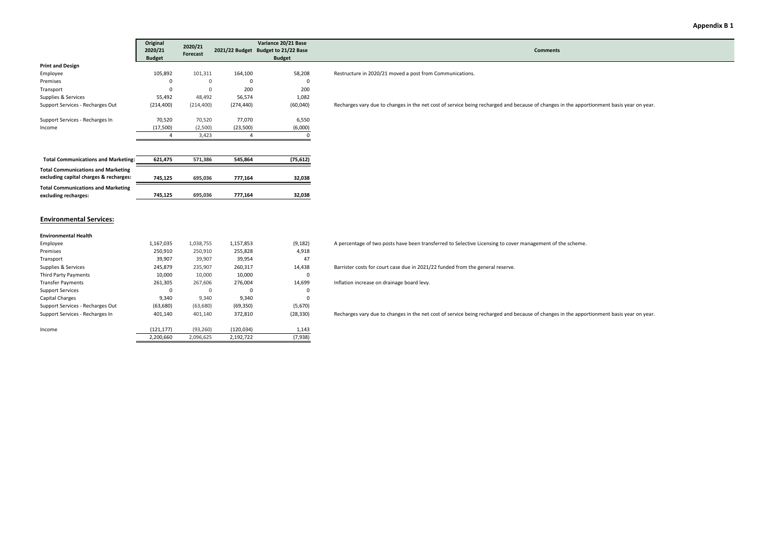|                                            | Original      | 2020/21     |            | Variance 20/21 Base                 |                                                                                                                                          |
|--------------------------------------------|---------------|-------------|------------|-------------------------------------|------------------------------------------------------------------------------------------------------------------------------------------|
|                                            | 2020/21       | Forecast    |            | 2021/22 Budget Budget to 21/22 Base | <b>Comments</b>                                                                                                                          |
| <b>Print and Design</b>                    | <b>Budget</b> |             |            | <b>Budget</b>                       |                                                                                                                                          |
| Employee                                   | 105,892       | 101,311     | 164,100    | 58,208                              | Restructure in 2020/21 moved a post from Communications.                                                                                 |
| Premises                                   | $\circ$       | $\mathbf 0$ |            | $\Omega$                            |                                                                                                                                          |
| Transport                                  | $\circ$       | $\mathbf 0$ | 200        | 200                                 |                                                                                                                                          |
| Supplies & Services                        | 55,492        | 48,492      | 56,574     | 1,082                               |                                                                                                                                          |
| Support Services - Recharges Out           | (214, 400)    | (214, 400)  | (274, 440) | (60,040)                            | Recharges vary due to changes in the net cost of service being recharged and because of changes in the apportionment basis year on year. |
|                                            |               |             |            |                                     |                                                                                                                                          |
| Support Services - Recharges In            | 70,520        | 70,520      | 77,070     | 6,550                               |                                                                                                                                          |
| Income                                     | (17,500)      | (2,500)     | (23,500)   | (6,000)                             |                                                                                                                                          |
|                                            | $\Delta$      | 3,423       | 4          | $\Omega$                            |                                                                                                                                          |
|                                            |               |             |            |                                     |                                                                                                                                          |
| <b>Total Communications and Marketing:</b> | 621,475       | 571,386     | 545,864    | (75, 612)                           |                                                                                                                                          |
| <b>Total Communications and Marketing</b>  |               |             |            |                                     |                                                                                                                                          |
| excluding capital charges & recharges:     | 745,125       | 695,036     | 777,164    | 32,038                              |                                                                                                                                          |
| <b>Total Communications and Marketing</b>  |               |             |            |                                     |                                                                                                                                          |
| excluding recharges:                       | 745,125       | 695,036     | 777,164    | 32,038                              |                                                                                                                                          |
|                                            |               |             |            |                                     |                                                                                                                                          |
| <b>Environmental Services:</b>             |               |             |            |                                     |                                                                                                                                          |
|                                            |               |             |            |                                     |                                                                                                                                          |
| <b>Environmental Health</b>                |               |             |            |                                     |                                                                                                                                          |
| Employee                                   | 1,167,035     | 1,038,755   | 1,157,853  | (9, 182)                            | A percentage of two posts have been transferred to Selective Licensing to cover management of the scheme.                                |
| Premises                                   | 250,910       | 250,910     | 255,828    | 4,918                               |                                                                                                                                          |
| Transport                                  | 39,907        | 39,907      | 39,954     | 47                                  |                                                                                                                                          |
| Supplies & Services                        | 245,879       | 235,907     | 260,317    | 14,438                              | Barrister costs for court case due in 2021/22 funded from the general reserve.                                                           |
| Third Party Payments                       | 10,000        | 10,000      | 10,000     | $\Omega$                            |                                                                                                                                          |
| <b>Transfer Payments</b>                   | 261,305       | 267,606     | 276,004    | 14,699                              | Inflation increase on drainage board levy.                                                                                               |
| <b>Support Services</b>                    | $\Omega$      | $\Omega$    | $\Omega$   | $\Omega$                            |                                                                                                                                          |

Support Services 0<br>
Capital Charges 0<br>
9,340

Capital Charges 9,340<br>Support Services - Recharges Out (63,680)

Support Services - Recharges In

Income

0<br>9,340

e (121,177) (93,260) (120,034) 1,143

Support Services - Recharges Out (63,680) (63,680) (69,350) (5,670)

2,200,660

<sup>0</sup> <sup>0</sup>

0 9,340 9,340 0

2,096,625 2,192,722 (7,938)

Recharges vary due to changes in the net cost of service being recharged and because of changes in the apportionment basis year on year.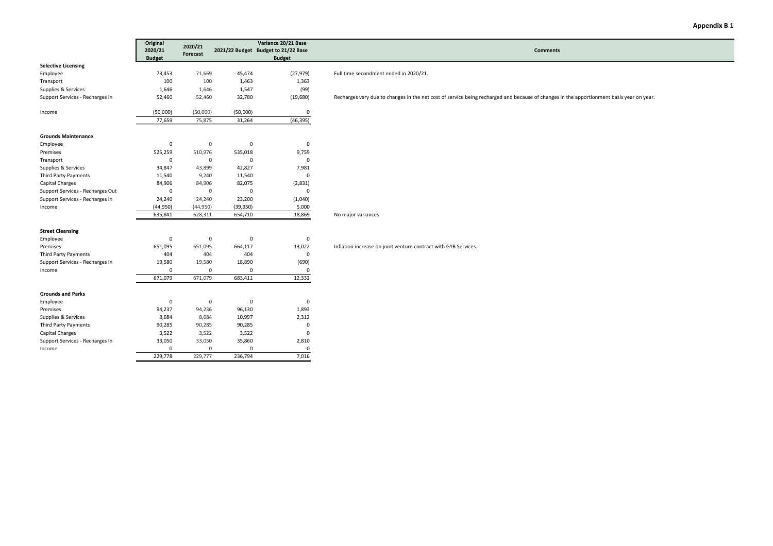|                                  | Original      | 2020/21        |             | Variance 20/21 Base                 |                                                                                                                                          |
|----------------------------------|---------------|----------------|-------------|-------------------------------------|------------------------------------------------------------------------------------------------------------------------------------------|
|                                  | 2020/21       | Forecast       |             | 2021/22 Budget Budget to 21/22 Base | <b>Comments</b>                                                                                                                          |
|                                  | <b>Budget</b> |                |             | <b>Budget</b>                       |                                                                                                                                          |
| <b>Selective Licensing</b>       |               |                |             |                                     |                                                                                                                                          |
| Employee                         | 73,453        | 71,669         | 45,474      | (27, 979)                           | Full time secondment ended in 2020/21.                                                                                                   |
| Transport                        | 100           | 100            | 1,463       | 1,363                               |                                                                                                                                          |
| Supplies & Services              | 1,646         | 1,646          | 1,547       | (99)                                |                                                                                                                                          |
| Support Services - Recharges In  | 52,460        | 52,460         | 32,780      | (19,680)                            | Recharges vary due to changes in the net cost of service being recharged and because of changes in the apportionment basis year on year. |
|                                  |               |                |             |                                     |                                                                                                                                          |
| Income                           | (50,000)      | (50,000)       | (50,000)    | $\mathbf 0$                         |                                                                                                                                          |
|                                  | 77,659        | 75,875         | 31,264      | (46, 395)                           |                                                                                                                                          |
| <b>Grounds Maintenance</b>       |               |                |             |                                     |                                                                                                                                          |
| Employee                         | 0             | $\overline{0}$ | $\mathbf 0$ | $\mathbf 0$                         |                                                                                                                                          |
| Premises                         | 525,259       | 510,976        | 535,018     | 9,759                               |                                                                                                                                          |
| Transport                        | 0             | $\overline{0}$ | $\mathbf 0$ | $\mathsf 0$                         |                                                                                                                                          |
| Supplies & Services              | 34,847        | 43,899         | 42,827      | 7,981                               |                                                                                                                                          |
| Third Party Payments             | 11,540        | 9,240          | 11,540      | $\mathbf 0$                         |                                                                                                                                          |
| <b>Capital Charges</b>           | 84,906        | 84,906         | 82,075      | (2,831)                             |                                                                                                                                          |
| Support Services - Recharges Out | $\mathbf 0$   | $\mathbf{0}$   | $\mathbf 0$ | $\mathbf 0$                         |                                                                                                                                          |
| Support Services - Recharges In  | 24,240        | 24,240         | 23,200      | (1,040)                             |                                                                                                                                          |
| Income                           | (44,950)      | (44,950)       | (39,950)    | 5,000                               |                                                                                                                                          |
|                                  | 635,841       | 628,311        | 654,710     | 18,869                              | No major variances                                                                                                                       |
|                                  |               |                |             |                                     |                                                                                                                                          |
| <b>Street Cleansing</b>          |               |                |             |                                     |                                                                                                                                          |
| Employee                         | 0             | $\overline{0}$ | $\mathbf 0$ | $\mathbf 0$                         |                                                                                                                                          |
| Premises                         | 651,095       | 651,095        | 664,117     | 13,022                              | Inflation increase on joint venture contract with GYB Services.                                                                          |
| Third Party Payments             | 404           | 404            | 404         | $\mathsf 0$                         |                                                                                                                                          |
| Support Services - Recharges In  | 19,580        | 19,580         | 18,890      | (690)                               |                                                                                                                                          |
| Income                           | $\mathbf 0$   | $\mathsf 0$    | $\mathbf 0$ | $\Omega$                            |                                                                                                                                          |
|                                  | 671,079       | 671,079        | 683,411     | 12,332                              |                                                                                                                                          |
|                                  |               |                |             |                                     |                                                                                                                                          |
| <b>Grounds and Parks</b>         |               |                |             |                                     |                                                                                                                                          |
| Employee                         | $\mathsf 0$   | $\mathbf 0$    | $\mathsf 0$ | $\mathsf 0$                         |                                                                                                                                          |
| Premises                         | 94,237        | 94,236         | 96,130      | 1,893                               |                                                                                                                                          |
| Supplies & Services              | 8,684         | 8,684          | 10,997      | 2,312                               |                                                                                                                                          |
| Third Party Payments             | 90,285        | 90,285         | 90,285      | $\mathsf 0$                         |                                                                                                                                          |
| <b>Capital Charges</b>           | 3,522         | 3,522          | 3,522       | $\mathsf 0$                         |                                                                                                                                          |
| Support Services - Recharges In  | 33,050        | 33,050         | 35,860      | 2,810                               |                                                                                                                                          |
| Income                           | $\mathbf 0$   | $\mathbf 0$    | $\mathsf 0$ | $\Omega$                            |                                                                                                                                          |
|                                  | 229,778       | 229,777        | 236,794     | 7,016                               |                                                                                                                                          |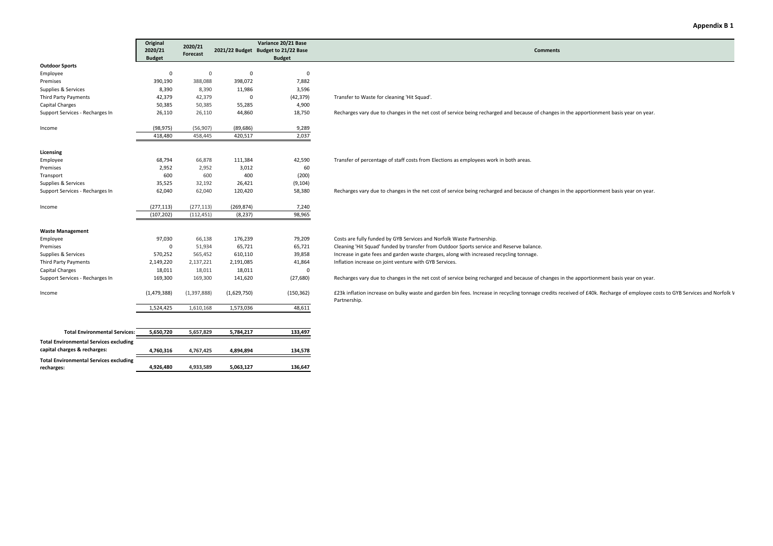| Appendix B 1 |  |  |
|--------------|--|--|
|--------------|--|--|

|                                                             | Original      |                     |             | Variance 20/21 Base                 |                                                                                                                                                                                              |  |  |  |
|-------------------------------------------------------------|---------------|---------------------|-------------|-------------------------------------|----------------------------------------------------------------------------------------------------------------------------------------------------------------------------------------------|--|--|--|
|                                                             | 2020/21       | 2020/21<br>Forecast |             | 2021/22 Budget Budget to 21/22 Base | <b>Comments</b>                                                                                                                                                                              |  |  |  |
|                                                             | <b>Budget</b> |                     |             | <b>Budget</b>                       |                                                                                                                                                                                              |  |  |  |
| <b>Outdoor Sports</b>                                       |               |                     |             |                                     |                                                                                                                                                                                              |  |  |  |
| Employee                                                    | $\mathbf 0$   | $\mathbf 0$         | $\Omega$    | $\mathbf 0$                         |                                                                                                                                                                                              |  |  |  |
| Premises                                                    | 390,190       | 388,088             | 398,072     | 7,882                               |                                                                                                                                                                                              |  |  |  |
| Supplies & Services                                         | 8,390         | 8,390               | 11,986      | 3,596                               |                                                                                                                                                                                              |  |  |  |
| <b>Third Party Payments</b>                                 | 42,379        | 42,379              | $\Omega$    | (42, 379)                           | Transfer to Waste for cleaning 'Hit Squad'.                                                                                                                                                  |  |  |  |
| <b>Capital Charges</b>                                      | 50,385        | 50,385              | 55,285      | 4,900                               |                                                                                                                                                                                              |  |  |  |
| Support Services - Recharges In                             | 26,110        | 26,110              | 44,860      | 18,750                              | Recharges vary due to changes in the net cost of service being recharged and because of changes in the apportionment basis year on year.                                                     |  |  |  |
| Income                                                      | (98, 975)     | (56, 907)           | (89, 686)   | 9,289                               |                                                                                                                                                                                              |  |  |  |
|                                                             | 418,480       | 458,445             | 420,517     | 2,037                               |                                                                                                                                                                                              |  |  |  |
|                                                             |               |                     |             |                                     |                                                                                                                                                                                              |  |  |  |
| Licensing<br>Employee                                       | 68,794        | 66,878              | 111,384     | 42,590                              | Transfer of percentage of staff costs from Elections as employees work in both areas.                                                                                                        |  |  |  |
| Premises                                                    | 2,952         | 2,952               | 3,012       | 60                                  |                                                                                                                                                                                              |  |  |  |
| Transport                                                   | 600           | 600                 | 400         | (200)                               |                                                                                                                                                                                              |  |  |  |
| Supplies & Services                                         | 35,525        | 32,192              | 26,421      | (9, 104)                            |                                                                                                                                                                                              |  |  |  |
| Support Services - Recharges In                             | 62,040        | 62,040              | 120,420     | 58,380                              | Recharges vary due to changes in the net cost of service being recharged and because of changes in the apportionment basis year on year.                                                     |  |  |  |
|                                                             |               |                     |             |                                     |                                                                                                                                                                                              |  |  |  |
| Income                                                      | (277, 113)    | (277, 113)          | (269, 874)  | 7,240                               |                                                                                                                                                                                              |  |  |  |
|                                                             | (107, 202)    | (112, 451)          | (8, 237)    | 98,965                              |                                                                                                                                                                                              |  |  |  |
| <b>Waste Management</b>                                     |               |                     |             |                                     |                                                                                                                                                                                              |  |  |  |
| Employee                                                    | 97,030        | 66,138              | 176,239     | 79,209                              | Costs are fully funded by GYB Services and Norfolk Waste Partnership.                                                                                                                        |  |  |  |
| Premises                                                    | $\mathsf 0$   | 51,934              | 65,721      | 65,721                              | Cleaning 'Hit Squad' funded by transfer from Outdoor Sports service and Reserve balance.                                                                                                     |  |  |  |
| Supplies & Services                                         | 570,252       | 565,452             | 610,110     | 39,858                              | Increase in gate fees and garden waste charges, along with increased recycling tonnage.                                                                                                      |  |  |  |
| <b>Third Party Payments</b>                                 | 2,149,220     | 2,137,221           | 2,191,085   | 41,864                              | Inflation increase on joint venture with GYB Services.                                                                                                                                       |  |  |  |
| <b>Capital Charges</b>                                      | 18,011        | 18,011              | 18,011      | $\mathbf 0$                         |                                                                                                                                                                                              |  |  |  |
| Support Services - Recharges In                             | 169,300       | 169,300             | 141,620     | (27, 680)                           | Recharges vary due to changes in the net cost of service being recharged and because of changes in the apportionment basis year on year.                                                     |  |  |  |
| Income                                                      | (1,479,388)   | (1, 397, 888)       | (1,629,750) | (150, 362)                          | £23k inflation increase on bulky waste and garden bin fees. Increase in recycling tonnage credits received of £40k. Recharge of employee costs to GYB Services and Norfolk V<br>Partnership. |  |  |  |
|                                                             | 1,524,425     | 1,610,168           | 1,573,036   | 48,611                              |                                                                                                                                                                                              |  |  |  |
|                                                             |               |                     |             |                                     |                                                                                                                                                                                              |  |  |  |
| <b>Total Environmental Services:</b>                        | 5,650,720     | 5,657,829           | 5,784,217   | 133,497                             |                                                                                                                                                                                              |  |  |  |
| <b>Total Environmental Services excluding</b>               |               |                     |             |                                     |                                                                                                                                                                                              |  |  |  |
| capital charges & recharges:                                | 4,760,316     | 4,767,425           | 4,894,894   | 134,578                             |                                                                                                                                                                                              |  |  |  |
| <b>Total Environmental Services excluding</b><br>recharges: | 4,926,480     | 4,933,589           | 5,063,127   | 136,647                             |                                                                                                                                                                                              |  |  |  |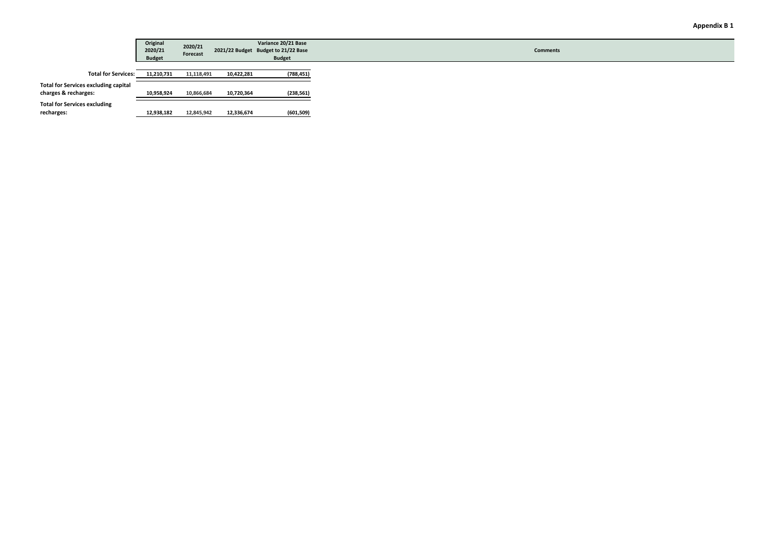|                                                                     | Original<br>2020/21<br><b>Budget</b> | 2020/21<br>Forecast | 2021/22 Budget Budget to 21/22 Base | Variance 20/21 Base<br><b>Budget</b> |
|---------------------------------------------------------------------|--------------------------------------|---------------------|-------------------------------------|--------------------------------------|
| <b>Total for Services:</b>                                          | 11,210,731                           | 11,118,491          | 10,422,281                          | (788, 451)                           |
| <b>Total for Services excluding capital</b><br>charges & recharges: | 10,958,924                           | 10,866,684          | 10,720,364                          | (238, 561)                           |
| <b>Total for Services excluding</b><br>recharges:                   | 12,938,182                           | 12,845,942          | 12,336,674                          | (601,509)                            |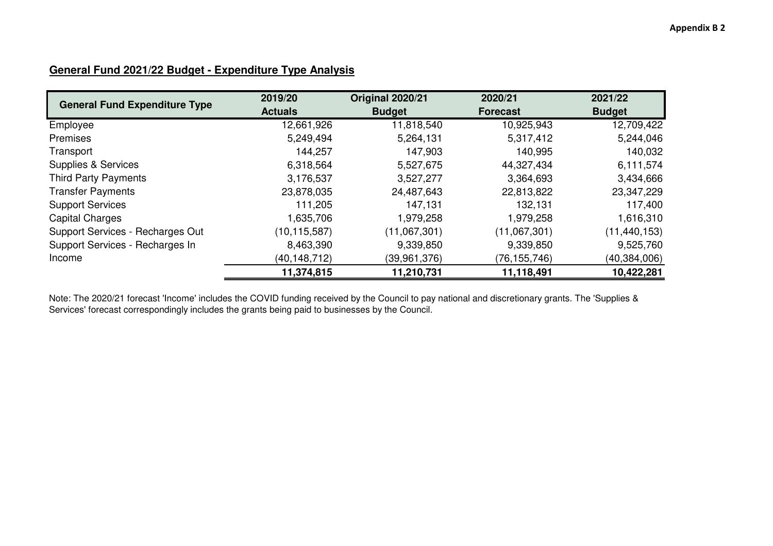# **General Fund 2021/22 Budget - Expenditure Type Analysis**

| <b>General Fund Expenditure Type</b> | 2019/20<br><b>Actuals</b> | Original 2020/21<br><b>Budget</b> | 2020/21<br><b>Forecast</b> | 2021/22<br><b>Budget</b> |
|--------------------------------------|---------------------------|-----------------------------------|----------------------------|--------------------------|
| Employee                             | 12,661,926                | 11,818,540                        | 10,925,943                 | 12,709,422               |
| <b>Premises</b>                      | 5,249,494                 | 5,264,131                         | 5,317,412                  | 5,244,046                |
| Transport                            | 144,257                   | 147,903                           | 140,995                    | 140,032                  |
| <b>Supplies &amp; Services</b>       | 6,318,564                 | 5,527,675                         | 44,327,434                 | 6,111,574                |
| <b>Third Party Payments</b>          | 3,176,537                 | 3,527,277                         | 3,364,693                  | 3,434,666                |
| <b>Transfer Payments</b>             | 23,878,035                | 24,487,643                        | 22,813,822                 | 23,347,229               |
| <b>Support Services</b>              | 111,205                   | 147,131                           | 132,131                    | 117,400                  |
| <b>Capital Charges</b>               | 1,635,706                 | 1,979,258                         | 1,979,258                  | 1,616,310                |
| Support Services - Recharges Out     | (10, 115, 587)            | (11,067,301)                      | (11,067,301)               | (11, 440, 153)           |
| Support Services - Recharges In      | 8,463,390                 | 9,339,850                         | 9,339,850                  | 9,525,760                |
| Income                               | (40, 148, 712)            | (39,961,376)                      | (76, 155, 746)             | (40, 384, 006)           |
|                                      | 11,374,815                | 11,210,731                        | 11,118,491                 | 10,422,281               |

Note: The 2020/21 forecast 'Income' includes the COVID funding received by the Council to pay national and discretionary grants. The 'Supplies &<br>Services' forecast correspondingly includes the grants being paid to business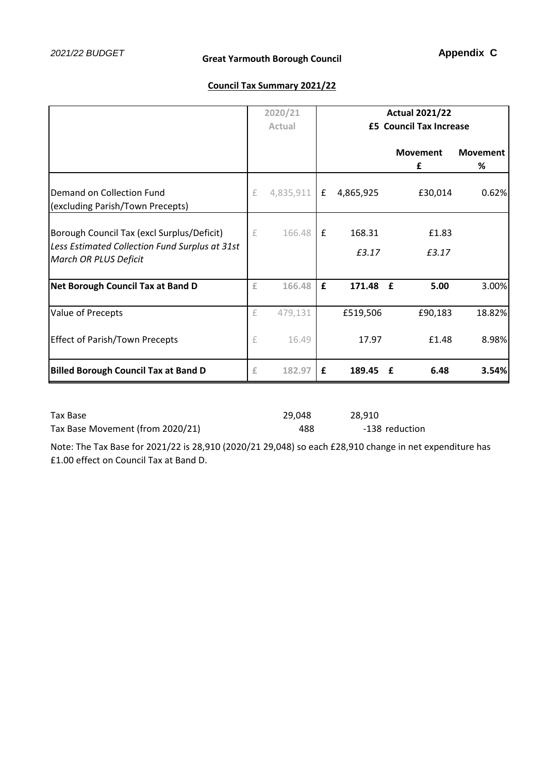# **Council Tax Summary 2021/22**

|                                                                                                                       |   | 2020/21   | <b>Actual 2021/22</b>   |                 |                      |                      |  |
|-----------------------------------------------------------------------------------------------------------------------|---|-----------|-------------------------|-----------------|----------------------|----------------------|--|
|                                                                                                                       |   | Actual    | £5 Council Tax Increase |                 |                      |                      |  |
|                                                                                                                       |   |           |                         |                 | <b>Movement</b><br>£ | <b>Movement</b><br>% |  |
| Demand on Collection Fund<br>(excluding Parish/Town Precepts)                                                         | £ | 4,835,911 | £                       | 4,865,925       | £30,014              | 0.62%                |  |
| Borough Council Tax (excl Surplus/Deficit)<br>Less Estimated Collection Fund Surplus at 31st<br>March OR PLUS Deficit | £ | 166.48    | £                       | 168.31<br>£3.17 | £1.83<br>£3.17       |                      |  |
| <b>Net Borough Council Tax at Band D</b>                                                                              | £ | 166.48    | £                       | 171.48          | $\mathbf{f}$<br>5.00 | 3.00%                |  |
| Value of Precepts                                                                                                     | £ | 479,131   |                         | £519,506        | £90,183              | 18.82%               |  |
| <b>Effect of Parish/Town Precepts</b>                                                                                 | £ | 16.49     |                         | 17.97           | £1.48                | 8.98%                |  |
| <b>Billed Borough Council Tax at Band D</b>                                                                           | £ | 182.97    | £                       | 189.45          | 6.48<br>£            | 3.54%                |  |

| Tax Base                         | 29.048 | 28.910         |
|----------------------------------|--------|----------------|
| Tax Base Movement (from 2020/21) | 488    | -138 reduction |

Note: The Tax Base for 2021/22 is 28,910 (2020/21 29,048) so each £28,910 change in net expenditure has £1.00 effect on Council Tax at Band D.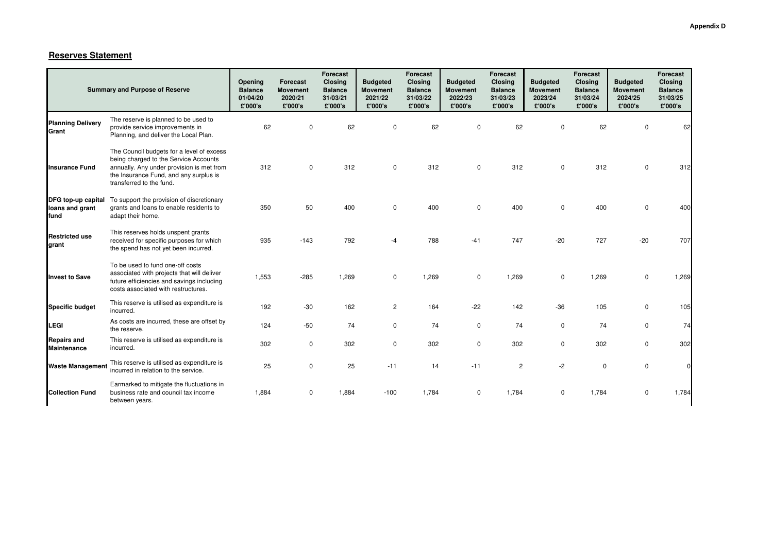# **Reserves Statement**

|                                               | <b>Summary and Purpose of Reserve</b>                                                                                                                                                                 | Opening<br><b>Balance</b><br>01/04/20<br>£'000's | <b>Forecast</b><br><b>Movement</b><br>2020/21<br>£'000's | Forecast<br><b>Closing</b><br><b>Balance</b><br>31/03/21<br>£'000's | <b>Budgeted</b><br><b>Movement</b><br>2021/22<br>£'000's | Forecast<br><b>Closing</b><br><b>Balance</b><br>31/03/22<br>£'000's | <b>Budgeted</b><br><b>Movement</b><br>2022/23<br>£'000's | Forecast<br><b>Closing</b><br><b>Balance</b><br>31/03/23<br>£'000's | <b>Budgeted</b><br><b>Movement</b><br>2023/24<br>£'000's | Forecast<br>Closing<br><b>Balance</b><br>31/03/24<br>£'000's | <b>Budgeted</b><br><b>Movement</b><br>2024/25<br>£'000's | Forecast<br><b>Closing</b><br><b>Balance</b><br>31/03/25<br>£'000's |
|-----------------------------------------------|-------------------------------------------------------------------------------------------------------------------------------------------------------------------------------------------------------|--------------------------------------------------|----------------------------------------------------------|---------------------------------------------------------------------|----------------------------------------------------------|---------------------------------------------------------------------|----------------------------------------------------------|---------------------------------------------------------------------|----------------------------------------------------------|--------------------------------------------------------------|----------------------------------------------------------|---------------------------------------------------------------------|
| <b>Planning Delivery</b><br>Grant             | The reserve is planned to be used to<br>provide service improvements in<br>Planning, and deliver the Local Plan.                                                                                      | 62                                               | $\Omega$                                                 | 62                                                                  | $\mathbf 0$                                              | 62                                                                  | $\mathbf 0$                                              | 62                                                                  | $\mathbf 0$                                              | 62                                                           | $\Omega$                                                 | 62                                                                  |
| <b>Insurance Fund</b>                         | The Council budgets for a level of excess<br>being charged to the Service Accounts<br>annually. Any under provision is met from<br>the Insurance Fund, and any surplus is<br>transferred to the fund. | 312                                              | $\mathbf 0$                                              | 312                                                                 | $\mathbf 0$                                              | 312                                                                 | $\mathbf 0$                                              | 312                                                                 | $\mathbf 0$                                              | 312                                                          | $\Omega$                                                 | 312                                                                 |
| DFG top-up capital<br>loans and grant<br>fund | To support the provision of discretionary<br>grants and loans to enable residents to<br>adapt their home.                                                                                             | 350                                              | 50                                                       | 400                                                                 | $\Omega$                                                 | 400                                                                 | $\mathbf 0$                                              | 400                                                                 | $\mathbf 0$                                              | 400                                                          | $\mathbf 0$                                              | 400                                                                 |
| <b>Restricted use</b><br>grant                | This reserves holds unspent grants<br>received for specific purposes for which<br>the spend has not yet been incurred.                                                                                | 935                                              | $-143$                                                   | 792                                                                 | -4                                                       | 788                                                                 | $-41$                                                    | 747                                                                 | $-20$                                                    | 727                                                          | $-20$                                                    | 707                                                                 |
| <b>Invest to Save</b>                         | To be used to fund one-off costs<br>associated with projects that will deliver<br>future efficiencies and savings including<br>costs associated with restructures.                                    | 1,553                                            | $-285$                                                   | 1,269                                                               | $\mathbf 0$                                              | 1,269                                                               | 0                                                        | 1,269                                                               | $\mathbf 0$                                              | 1,269                                                        | $\Omega$                                                 | 1,269                                                               |
| <b>Specific budget</b>                        | This reserve is utilised as expenditure is<br>incurred.                                                                                                                                               | 192                                              | $-30$                                                    | 162                                                                 | $\overline{c}$                                           | 164                                                                 | $-22$                                                    | 142                                                                 | $-36$                                                    | 105                                                          | 0                                                        | 105                                                                 |
| <b>LEGI</b>                                   | As costs are incurred, these are offset by<br>the reserve.                                                                                                                                            | 124                                              | $-50$                                                    | 74                                                                  | $\mathbf 0$                                              | 74                                                                  | $\mathbf 0$                                              | 74                                                                  | $\mathbf 0$                                              | 74                                                           | 0                                                        | 74                                                                  |
| <b>Repairs and</b><br><b>Maintenance</b>      | This reserve is utilised as expenditure is<br>incurred.                                                                                                                                               | 302                                              | $\mathbf 0$                                              | 302                                                                 | $\mathbf 0$                                              | 302                                                                 | $\mathbf 0$                                              | 302                                                                 | $\mathbf 0$                                              | 302                                                          | $\mathbf 0$                                              | 302                                                                 |
| <b>Waste Management</b>                       | This reserve is utilised as expenditure is<br>incurred in relation to the service.                                                                                                                    | 25                                               | $\mathbf 0$                                              | 25                                                                  | $-11$                                                    | 14                                                                  | $-11$                                                    | $\overline{2}$                                                      | $-2$                                                     | $\mathbf 0$                                                  | $\mathbf 0$                                              | $\Omega$                                                            |
| <b>Collection Fund</b>                        | Earmarked to mitigate the fluctuations in<br>business rate and council tax income<br>between years.                                                                                                   | 1,884                                            | $\Omega$                                                 | 1,884                                                               | $-100$                                                   | 1,784                                                               | 0                                                        | 1,784                                                               | $\Omega$                                                 | 1,784                                                        | $\Omega$                                                 | 1,784                                                               |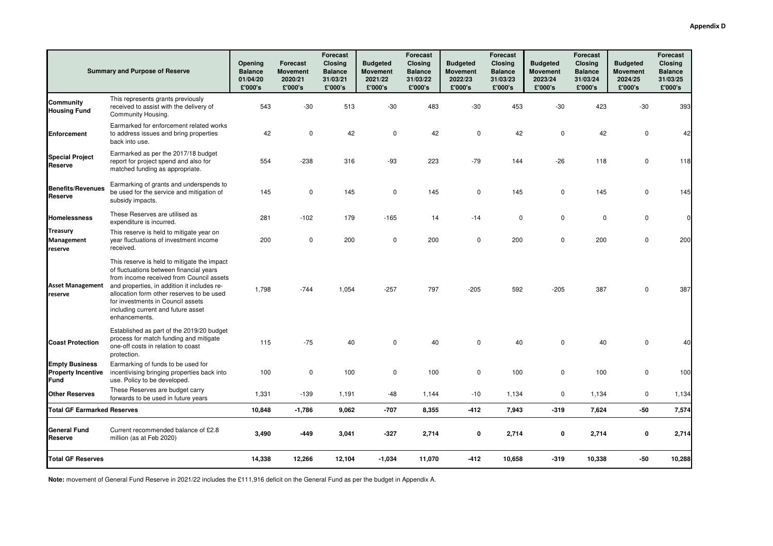|                                                                   | <b>Summary and Purpose of Reserve</b>                                                                                                                                                                                                                                                                                      | Opening<br><b>Balance</b><br>01/04/20<br>£'000's | <b>Forecast</b><br><b>Movement</b><br>2020/21<br>£'000's | <b>Forecast</b><br><b>Closing</b><br><b>Balance</b><br>31/03/21<br>£'000's | <b>Budgeted</b><br><b>Movement</b><br>2021/22<br>£'000's | <b>Forecast</b><br><b>Closing</b><br><b>Balance</b><br>31/03/22<br>£'000's | <b>Budgeted</b><br><b>Movement</b><br>2022/23<br>£'000's | <b>Forecast</b><br><b>Closing</b><br><b>Balance</b><br>31/03/23<br>£'000's | <b>Budgeted</b><br><b>Movement</b><br>2023/24<br>£'000's | <b>Forecast</b><br><b>Closing</b><br><b>Balance</b><br>31/03/24<br>£'000's | <b>Budgeted</b><br><b>Movement</b><br>2024/25<br>£'000's | <b>Forecast</b><br><b>Closing</b><br><b>Balance</b><br>31/03/25<br>£'000's |
|-------------------------------------------------------------------|----------------------------------------------------------------------------------------------------------------------------------------------------------------------------------------------------------------------------------------------------------------------------------------------------------------------------|--------------------------------------------------|----------------------------------------------------------|----------------------------------------------------------------------------|----------------------------------------------------------|----------------------------------------------------------------------------|----------------------------------------------------------|----------------------------------------------------------------------------|----------------------------------------------------------|----------------------------------------------------------------------------|----------------------------------------------------------|----------------------------------------------------------------------------|
| Community<br><b>Housing Fund</b>                                  | This represents grants previously<br>received to assist with the delivery of<br>Community Housing.                                                                                                                                                                                                                         | 543                                              | $-30$                                                    | 513                                                                        | $-30$                                                    | 483                                                                        | $-30$                                                    | 453                                                                        | $-30$                                                    | 423                                                                        | $-30$                                                    | 393                                                                        |
| <b>Enforcement</b>                                                | Earmarked for enforcement related works<br>to address issues and bring properties<br>back into use.                                                                                                                                                                                                                        | 42                                               | $\mathbf 0$                                              | 42                                                                         | $\mathbf 0$                                              | 42                                                                         | $\mathbf 0$                                              | 42                                                                         | $\mathbf 0$                                              | 42                                                                         | 0                                                        | 42                                                                         |
| <b>Special Project</b><br>Reserve                                 | Earmarked as per the 2017/18 budget<br>report for project spend and also for<br>matched funding as appropriate.                                                                                                                                                                                                            | 554                                              | -238                                                     | 316                                                                        | $-93$                                                    | 223                                                                        | $-79$                                                    | 144                                                                        | $-26$                                                    | 118                                                                        | 0                                                        | 118                                                                        |
| <b>Benefits/Revenues</b><br>Reserve                               | Earmarking of grants and underspends to<br>be used for the service and mitigation of<br>subsidy impacts.                                                                                                                                                                                                                   | 145                                              | $\mathbf 0$                                              | 145                                                                        | $\mathbf 0$                                              | 145                                                                        | $\mathbf 0$                                              | 145                                                                        | $\pmb{0}$                                                | 145                                                                        | 0                                                        | 145                                                                        |
| <b>Homelessness</b>                                               | These Reserves are utilised as<br>expenditure is incurred.                                                                                                                                                                                                                                                                 | 281                                              | $-102$                                                   | 179                                                                        | $-165$                                                   | 14                                                                         | $-14$                                                    | 0                                                                          | $\pmb{0}$                                                | $\mathbf 0$                                                                | 0                                                        | $\overline{0}$                                                             |
| <b>Treasury</b><br>Management<br>reserve                          | This reserve is held to mitigate year on<br>year fluctuations of investment income<br>received.                                                                                                                                                                                                                            | 200                                              | 0                                                        | 200                                                                        | $\mathbf 0$                                              | 200                                                                        | $\Omega$                                                 | 200                                                                        | $\mathbf 0$                                              | 200                                                                        | 0                                                        | 200                                                                        |
| <b>Asset Management</b><br>reserve                                | This reserve is held to mitigate the impact<br>of fluctuations between financial years<br>from income received from Council assets<br>and properties, in addition it includes re-<br>allocation form other reserves to be used<br>for investments in Council assets<br>including current and future asset<br>enhancements. | 1,798                                            | $-744$                                                   | 1,054                                                                      | $-257$                                                   | 797                                                                        | $-205$                                                   | 592                                                                        | $-205$                                                   | 387                                                                        | 0                                                        | 387                                                                        |
| <b>Coast Protection</b>                                           | Established as part of the 2019/20 budget<br>process for match funding and mitigate<br>one-off costs in relation to coast<br>protection.                                                                                                                                                                                   | 115                                              | $-75$                                                    | 40                                                                         | 0                                                        | 40                                                                         | $\mathbf 0$                                              | 40                                                                         | $\mathbf 0$                                              | 40                                                                         | $\mathbf 0$                                              | 40                                                                         |
| <b>Empty Business</b><br><b>Property Incentive</b><br><b>Fund</b> | Earmarking of funds to be used for<br>incentivising bringing properties back into<br>use. Policy to be developed.                                                                                                                                                                                                          | 100                                              | $\mathbf 0$                                              | 100                                                                        | $\mathbf 0$                                              | 100                                                                        | 0                                                        | 100                                                                        | $\pmb{0}$                                                | 100                                                                        | $\mathbf 0$                                              | 100                                                                        |
| <b>Other Reserves</b>                                             | These Reserves are budget carry<br>forwards to be used in future years                                                                                                                                                                                                                                                     | 1,331                                            | $-139$                                                   | 1,191                                                                      | $-48$                                                    | 1,144                                                                      | $-10$                                                    | 1,134                                                                      | $\mathbf 0$                                              | 1,134                                                                      | $\mathbf 0$                                              | 1,134                                                                      |
| <b>Total GF Earmarked Reserves</b>                                |                                                                                                                                                                                                                                                                                                                            | 10,848                                           | $-1,786$                                                 | 9,062                                                                      | $-707$                                                   | 8,355                                                                      | $-412$                                                   | 7,943                                                                      | -319                                                     | 7,624                                                                      | -50                                                      | 7,574                                                                      |
| <b>General Fund</b><br>Reserve                                    | Current recommended balance of £2.8<br>million (as at Feb 2020)                                                                                                                                                                                                                                                            | 3,490                                            | $-449$                                                   | 3,041                                                                      | $-327$                                                   | 2,714                                                                      | 0                                                        | 2,714                                                                      | 0                                                        | 2,714                                                                      | 0                                                        | 2,714                                                                      |
| <b>Total GF Reserves</b>                                          | 14,338                                                                                                                                                                                                                                                                                                                     | 12,266                                           | 12,104                                                   | $-1,034$                                                                   | 11,070                                                   | $-412$                                                                     | 10,658                                                   | $-319$                                                                     | 10,338                                                   | $-50$                                                                      | 10,288                                                   |                                                                            |

**Note:** movement of General Fund Reserve in 2021/22 includes the £111,916 deficit on the General Fund as per the budget in Appendix A.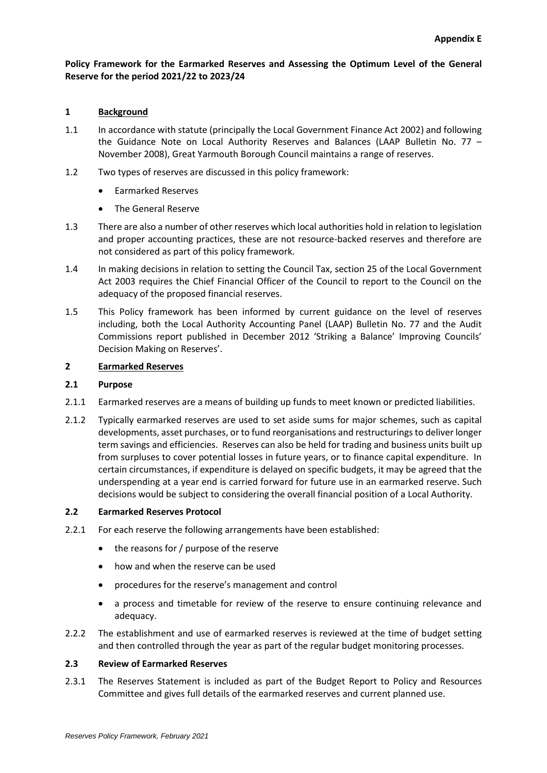# **Policy Framework for the Earmarked Reserves and Assessing the Optimum Level of the General Reserve for the period 2021/22 to 2023/24**

# **1 Background**

- 1.1 In accordance with statute (principally the Local Government Finance Act 2002) and following the Guidance Note on Local Authority Reserves and Balances (LAAP Bulletin No. 77 – November 2008), Great Yarmouth Borough Council maintains a range of reserves.
- 1.2 Two types of reserves are discussed in this policy framework:
	- Earmarked Reserves
	- The General Reserve
- 1.3 There are also a number of other reserves which local authorities hold in relation to legislation and proper accounting practices, these are not resource-backed reserves and therefore are not considered as part of this policy framework.
- 1.4 In making decisions in relation to setting the Council Tax, section 25 of the Local Government Act 2003 requires the Chief Financial Officer of the Council to report to the Council on the adequacy of the proposed financial reserves.
- 1.5 This Policy framework has been informed by current guidance on the level of reserves including, both the Local Authority Accounting Panel (LAAP) Bulletin No. 77 and the Audit Commissions report published in December 2012 'Striking a Balance' Improving Councils' Decision Making on Reserves'.

# **2 Earmarked Reserves**

# **2.1 Purpose**

- 2.1.1 Earmarked reserves are a means of building up funds to meet known or predicted liabilities.
- 2.1.2 Typically earmarked reserves are used to set aside sums for major schemes, such as capital developments, asset purchases, or to fund reorganisations and restructurings to deliver longer term savings and efficiencies. Reserves can also be held for trading and business units built up from surpluses to cover potential losses in future years, or to finance capital expenditure. In certain circumstances, if expenditure is delayed on specific budgets, it may be agreed that the underspending at a year end is carried forward for future use in an earmarked reserve. Such decisions would be subject to considering the overall financial position of a Local Authority.

# **2.2 Earmarked Reserves Protocol**

- 2.2.1 For each reserve the following arrangements have been established:
	- the reasons for / purpose of the reserve
	- how and when the reserve can be used
	- procedures for the reserve's management and control
	- a process and timetable for review of the reserve to ensure continuing relevance and adequacy.
- 2.2.2 The establishment and use of earmarked reserves is reviewed at the time of budget setting and then controlled through the year as part of the regular budget monitoring processes.

# **2.3 Review of Earmarked Reserves**

2.3.1 The Reserves Statement is included as part of the Budget Report to Policy and Resources Committee and gives full details of the earmarked reserves and current planned use.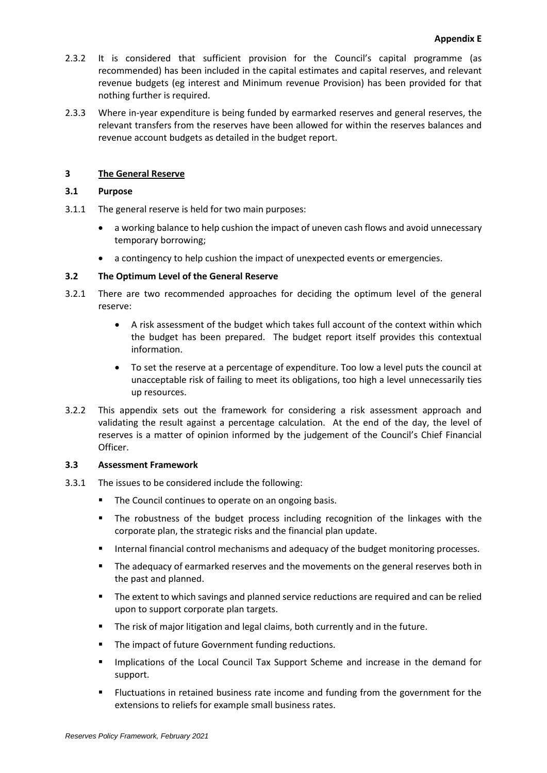- 2.3.2 It is considered that sufficient provision for the Council's capital programme (as recommended) has been included in the capital estimates and capital reserves, and relevant revenue budgets (eg interest and Minimum revenue Provision) has been provided for that nothing further is required.
- 2.3.3 Where in-year expenditure is being funded by earmarked reserves and general reserves, the relevant transfers from the reserves have been allowed for within the reserves balances and revenue account budgets as detailed in the budget report.

# **3 The General Reserve**

# **3.1 Purpose**

- 3.1.1 The general reserve is held for two main purposes:
	- a working balance to help cushion the impact of uneven cash flows and avoid unnecessary temporary borrowing;
	- a contingency to help cushion the impact of unexpected events or emergencies.

# **3.2 The Optimum Level of the General Reserve**

- 3.2.1 There are two recommended approaches for deciding the optimum level of the general reserve:
	- A risk assessment of the budget which takes full account of the context within which the budget has been prepared. The budget report itself provides this contextual information.
	- To set the reserve at a percentage of expenditure. Too low a level puts the council at unacceptable risk of failing to meet its obligations, too high a level unnecessarily ties up resources.
- 3.2.2 This appendix sets out the framework for considering a risk assessment approach and validating the result against a percentage calculation. At the end of the day, the level of reserves is a matter of opinion informed by the judgement of the Council's Chief Financial Officer.

# **3.3 Assessment Framework**

- 3.3.1 The issues to be considered include the following:
	- The Council continues to operate on an ongoing basis.
	- The robustness of the budget process including recognition of the linkages with the corporate plan, the strategic risks and the financial plan update.
	- **■** Internal financial control mechanisms and adequacy of the budget monitoring processes.
	- **•** The adequacy of earmarked reserves and the movements on the general reserves both in the past and planned.
	- **■** The extent to which savings and planned service reductions are required and can be relied upon to support corporate plan targets.
	- The risk of major litigation and legal claims, both currently and in the future.
	- The impact of future Government funding reductions.
	- **■** Implications of the Local Council Tax Support Scheme and increase in the demand for support.
	- Fluctuations in retained business rate income and funding from the government for the extensions to reliefs for example small business rates.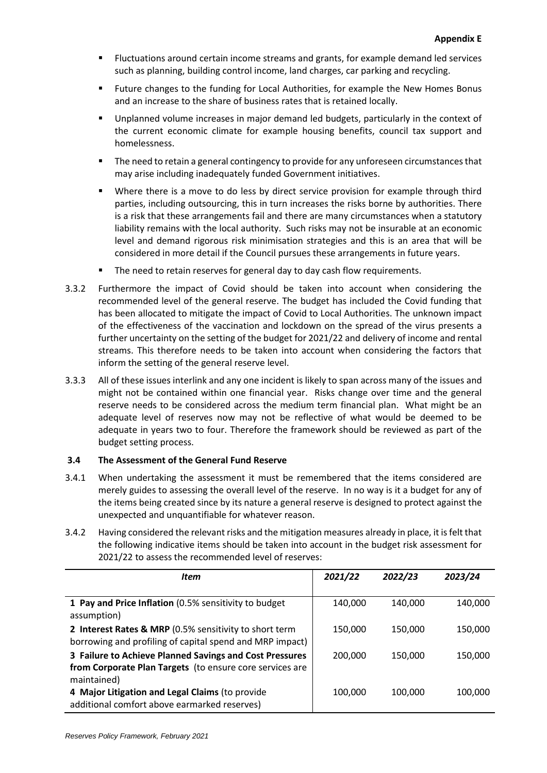- **EXECT** Fluctuations around certain income streams and grants, for example demand led services such as planning, building control income, land charges, car parking and recycling.
- Future changes to the funding for Local Authorities, for example the New Homes Bonus and an increase to the share of business rates that is retained locally.
- Unplanned volume increases in major demand led budgets, particularly in the context of the current economic climate for example housing benefits, council tax support and homelessness.
- **■** The need to retain a general contingency to provide for any unforeseen circumstances that may arise including inadequately funded Government initiatives.
- Where there is a move to do less by direct service provision for example through third parties, including outsourcing, this in turn increases the risks borne by authorities. There is a risk that these arrangements fail and there are many circumstances when a statutory liability remains with the local authority. Such risks may not be insurable at an economic level and demand rigorous risk minimisation strategies and this is an area that will be considered in more detail if the Council pursues these arrangements in future years.
- The need to retain reserves for general day to day cash flow requirements.
- 3.3.2 Furthermore the impact of Covid should be taken into account when considering the recommended level of the general reserve. The budget has included the Covid funding that has been allocated to mitigate the impact of Covid to Local Authorities. The unknown impact of the effectiveness of the vaccination and lockdown on the spread of the virus presents a further uncertainty on the setting of the budget for 2021/22 and delivery of income and rental streams. This therefore needs to be taken into account when considering the factors that inform the setting of the general reserve level.
- 3.3.3 All of these issues interlink and any one incident is likely to span across many of the issues and might not be contained within one financial year. Risks change over time and the general reserve needs to be considered across the medium term financial plan. What might be an adequate level of reserves now may not be reflective of what would be deemed to be adequate in years two to four. Therefore the framework should be reviewed as part of the budget setting process.

# **3.4 The Assessment of the General Fund Reserve**

- 3.4.1 When undertaking the assessment it must be remembered that the items considered are merely guides to assessing the overall level of the reserve. In no way is it a budget for any of the items being created since by its nature a general reserve is designed to protect against the unexpected and unquantifiable for whatever reason.
- 3.4.2 Having considered the relevant risks and the mitigation measures already in place, it is felt that the following indicative items should be taken into account in the budget risk assessment for 2021/22 to assess the recommended level of reserves:

| Item                                                                                                                               | 2021/22 | 2022/23 | 2023/24 |
|------------------------------------------------------------------------------------------------------------------------------------|---------|---------|---------|
|                                                                                                                                    |         |         |         |
| 1 Pay and Price Inflation (0.5% sensitivity to budget<br>assumption)                                                               | 140,000 | 140,000 | 140,000 |
| 2 Interest Rates & MRP (0.5% sensitivity to short term<br>borrowing and profiling of capital spend and MRP impact)                 | 150,000 | 150,000 | 150,000 |
| 3 Failure to Achieve Planned Savings and Cost Pressures<br>from Corporate Plan Targets (to ensure core services are<br>maintained) | 200,000 | 150,000 | 150,000 |
| 4 Major Litigation and Legal Claims (to provide<br>additional comfort above earmarked reserves)                                    | 100,000 | 100,000 | 100,000 |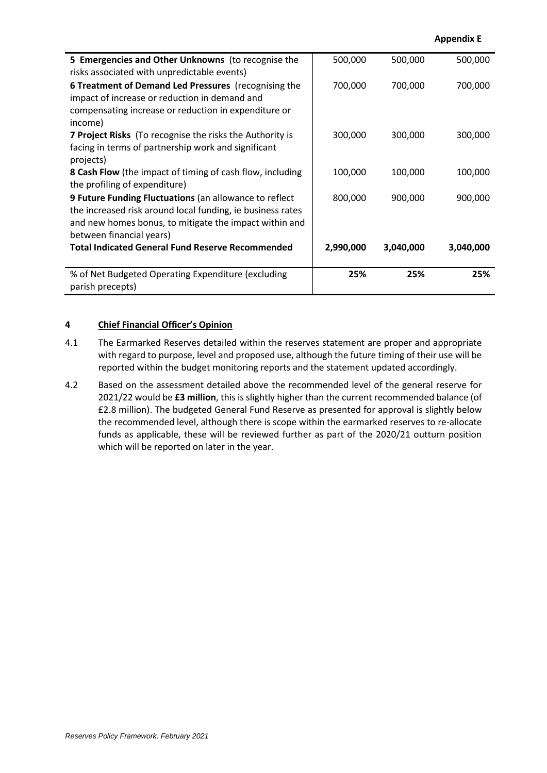**Appendix E**

| 5 Emergencies and Other Unknowns (to recognise the         | 500,000   | 500,000   | 500,000   |
|------------------------------------------------------------|-----------|-----------|-----------|
| risks associated with unpredictable events)                |           |           |           |
| 6 Treatment of Demand Led Pressures (recognising the       | 700,000   | 700,000   | 700,000   |
| impact of increase or reduction in demand and              |           |           |           |
| compensating increase or reduction in expenditure or       |           |           |           |
| income)                                                    |           |           |           |
| 7 Project Risks (To recognise the risks the Authority is   | 300,000   | 300,000   | 300,000   |
| facing in terms of partnership work and significant        |           |           |           |
| projects)                                                  |           |           |           |
| 8 Cash Flow (the impact of timing of cash flow, including  | 100,000   | 100,000   | 100,000   |
| the profiling of expenditure)                              |           |           |           |
| 9 Future Funding Fluctuations (an allowance to reflect     | 800,000   | 900,000   | 900,000   |
| the increased risk around local funding, ie business rates |           |           |           |
| and new homes bonus, to mitigate the impact within and     |           |           |           |
| between financial years)                                   |           |           |           |
| <b>Total Indicated General Fund Reserve Recommended</b>    | 2,990,000 | 3,040,000 | 3,040,000 |
|                                                            |           |           |           |
| % of Net Budgeted Operating Expenditure (excluding         | 25%       | 25%       | 25%       |
| parish precepts)                                           |           |           |           |
|                                                            |           |           |           |

# **4 Chief Financial Officer's Opinion**

- 4.1 The Earmarked Reserves detailed within the reserves statement are proper and appropriate with regard to purpose, level and proposed use, although the future timing of their use will be reported within the budget monitoring reports and the statement updated accordingly.
- 4.2 Based on the assessment detailed above the recommended level of the general reserve for 2021/22 would be **£3 million**, this is slightly higher than the current recommended balance (of £2.8 million). The budgeted General Fund Reserve as presented for approval is slightly below the recommended level, although there is scope within the earmarked reserves to re-allocate funds as applicable, these will be reviewed further as part of the 2020/21 outturn position which will be reported on later in the year.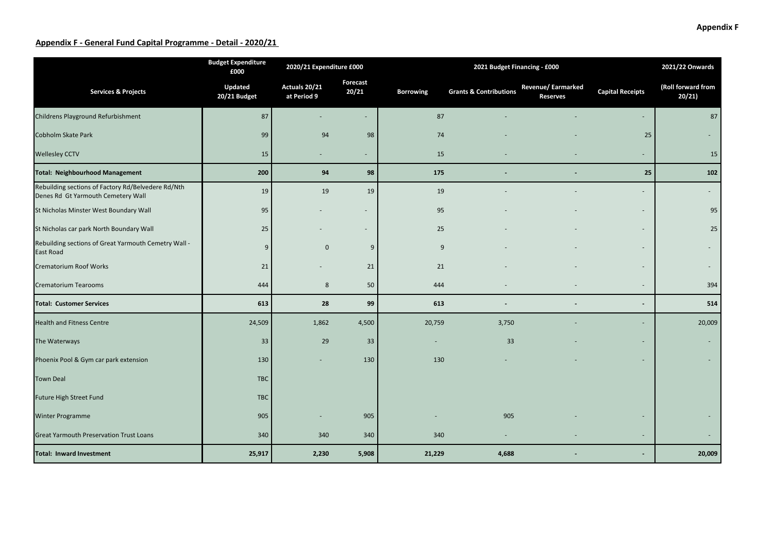# **Appendix F ‐ General Fund Capital Programme ‐ Detail ‐ 2020/21**

|                                                                                          | <b>Budget Expenditure</b><br>£000 | 2020/21 Expenditure £000     |                          |                  |                                   | 2021/22 Onwards                             |                          |                             |
|------------------------------------------------------------------------------------------|-----------------------------------|------------------------------|--------------------------|------------------|-----------------------------------|---------------------------------------------|--------------------------|-----------------------------|
| <b>Services &amp; Projects</b>                                                           | Updated<br>20/21 Budget           | Actuals 20/21<br>at Period 9 | Forecast<br>20/21        | <b>Borrowing</b> | <b>Grants &amp; Contributions</b> | <b>Revenue/Earmarked</b><br><b>Reserves</b> | <b>Capital Receipts</b>  | (Roll forward from<br>20/21 |
| Childrens Playground Refurbishment                                                       | 87                                |                              | $\sim$                   | 87               |                                   |                                             |                          | 87                          |
| Cobholm Skate Park                                                                       | 99                                | 94                           | 98                       | 74               |                                   |                                             | 25                       |                             |
| <b>Wellesley CCTV</b>                                                                    | 15                                |                              |                          | 15               |                                   |                                             |                          | 15                          |
| <b>Total: Neighbourhood Management</b>                                                   | 200                               | 94                           | 98                       | 175              |                                   |                                             | 25                       | 102                         |
| Rebuilding sections of Factory Rd/Belvedere Rd/Nth<br>Denes Rd Gt Yarmouth Cemetery Wall | 19                                | 19                           | 19                       | 19               |                                   |                                             |                          | $\overline{\phantom{a}}$    |
| St Nicholas Minster West Boundary Wall                                                   | 95                                |                              | $\overline{\phantom{a}}$ | 95               |                                   |                                             | $\overline{\phantom{a}}$ | 95                          |
| St Nicholas car park North Boundary Wall                                                 | 25                                |                              | $\overline{\phantom{a}}$ | 25               |                                   |                                             |                          | 25                          |
| Rebuilding sections of Great Yarmouth Cemetry Wall -<br>East Road                        | 9                                 | $\mathbf{0}$                 | 9                        | $9\,$            |                                   |                                             |                          |                             |
| <b>Crematorium Roof Works</b>                                                            | 21                                |                              | 21                       | 21               |                                   |                                             |                          |                             |
| <b>Crematorium Tearooms</b>                                                              | 444                               | 8                            | 50                       | 444              |                                   |                                             | $\sim$                   | 394                         |
| <b>Total: Customer Services</b>                                                          | 613                               | 28                           | 99                       | 613              | $\overline{\phantom{a}}$          |                                             | $\overline{\phantom{a}}$ | 514                         |
| <b>Health and Fitness Centre</b>                                                         | 24,509                            | 1,862                        | 4,500                    | 20,759           | 3,750                             |                                             |                          | 20,009                      |
| The Waterways                                                                            | 33                                | 29                           | 33                       |                  | 33                                |                                             | $\sim$                   | $\overline{\phantom{0}}$    |
| Phoenix Pool & Gym car park extension                                                    | 130                               |                              | 130                      | 130              |                                   |                                             |                          |                             |
| <b>Town Deal</b>                                                                         | <b>TBC</b>                        |                              |                          |                  |                                   |                                             |                          |                             |
| Future High Street Fund                                                                  | <b>TBC</b>                        |                              |                          |                  |                                   |                                             |                          |                             |
| <b>Winter Programme</b>                                                                  | 905                               |                              | 905                      |                  | 905                               |                                             |                          |                             |
| <b>Great Yarmouth Preservation Trust Loans</b>                                           | 340                               | 340                          | 340                      | 340              | ٠                                 |                                             | $\sim$                   |                             |
| <b>Total: Inward Investment</b>                                                          | 25,917                            | 2,230                        | 5,908                    | 21,229           | 4,688                             |                                             |                          | 20,009                      |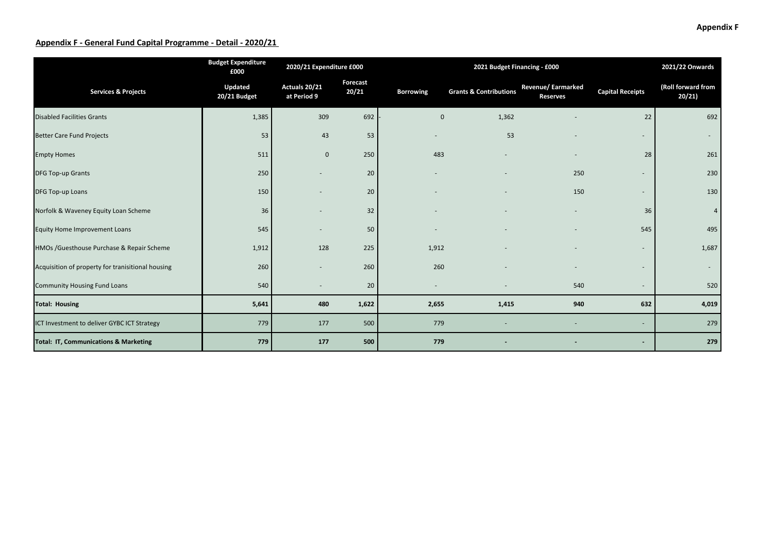# **Appendix F ‐ General Fund Capital Programme ‐ Detail ‐ 2020/21**

|                                                   | <b>Budget Expenditure</b><br>£000 | 2020/21 Expenditure £000     |                   |                  | 2021/22 Onwards                   |                                      |                          |                             |
|---------------------------------------------------|-----------------------------------|------------------------------|-------------------|------------------|-----------------------------------|--------------------------------------|--------------------------|-----------------------------|
| <b>Services &amp; Projects</b>                    | Updated<br>20/21 Budget           | Actuals 20/21<br>at Period 9 | Forecast<br>20/21 | <b>Borrowing</b> | <b>Grants &amp; Contributions</b> | Revenue/Earmarked<br><b>Reserves</b> | <b>Capital Receipts</b>  | (Roll forward from<br>20/21 |
| <b>Disabled Facilities Grants</b>                 | 1,385                             | 309                          | 692               | $\overline{0}$   | 1,362                             |                                      | 22                       | 692                         |
| <b>Better Care Fund Projects</b>                  | 53                                | 43                           | 53                |                  | 53                                |                                      | $\overline{\phantom{a}}$ | $\overline{\phantom{a}}$    |
| <b>Empty Homes</b>                                | 511                               | $\pmb{0}$                    | 250               | 483              |                                   |                                      | 28                       | 261                         |
| <b>DFG Top-up Grants</b>                          | 250                               |                              | 20                |                  |                                   | 250                                  | $\overline{\phantom{a}}$ | 230                         |
| DFG Top-up Loans                                  | 150                               |                              | 20                |                  |                                   | 150                                  | $\overline{\phantom{a}}$ | 130                         |
| Norfolk & Waveney Equity Loan Scheme              | 36                                |                              | 32                |                  |                                   |                                      | 36                       | 4                           |
| Equity Home Improvement Loans                     | 545                               |                              | 50                |                  |                                   |                                      | 545                      | 495                         |
| HMOs /Guesthouse Purchase & Repair Scheme         | 1,912                             | 128                          | 225               | 1,912            |                                   |                                      | $\overline{\phantom{a}}$ | 1,687                       |
| Acquisition of property for tranisitional housing | 260                               |                              | 260               | 260              |                                   |                                      | $\overline{\phantom{a}}$ | $\sim$                      |
| <b>Community Housing Fund Loans</b>               | 540                               |                              | 20                |                  |                                   | 540                                  | $\overline{\phantom{a}}$ | 520                         |
| <b>Total: Housing</b>                             | 5,641                             | 480                          | 1,622             | 2,655            | 1,415                             | 940                                  | 632                      | 4,019                       |
| ICT Investment to deliver GYBC ICT Strategy       | 779                               | 177                          | 500               | 779              |                                   |                                      | $\sim$                   | 279                         |
| <b>Total: IT, Communications &amp; Marketing</b>  | 779                               | 177                          | 500               | 779              |                                   |                                      | $\overline{\phantom{a}}$ | 279                         |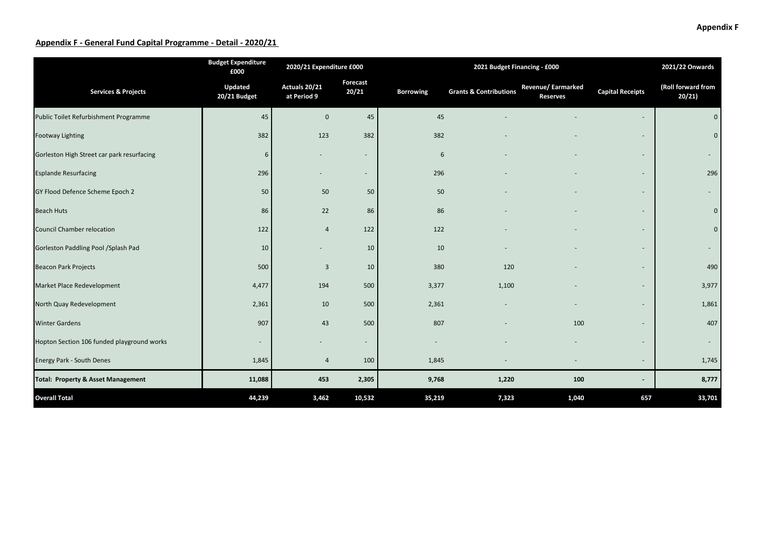# **Appendix F ‐ General Fund Capital Programme ‐ Detail ‐ 2020/21**

|                                               | <b>Budget Expenditure</b><br>£000 | 2020/21 Expenditure £000     |                          |                  | 2021 Budget Financing - £000      |                                             |                          |                             |  |  |  |  |
|-----------------------------------------------|-----------------------------------|------------------------------|--------------------------|------------------|-----------------------------------|---------------------------------------------|--------------------------|-----------------------------|--|--|--|--|
| <b>Services &amp; Projects</b>                | Updated<br>20/21 Budget           | Actuals 20/21<br>at Period 9 | <b>Forecast</b><br>20/21 | <b>Borrowing</b> | <b>Grants &amp; Contributions</b> | <b>Revenue/Earmarked</b><br><b>Reserves</b> | <b>Capital Receipts</b>  | (Roll forward from<br>20/21 |  |  |  |  |
| Public Toilet Refurbishment Programme         | 45                                | $\mathbf 0$                  | 45                       | 45               |                                   |                                             |                          | $\mathbf 0$                 |  |  |  |  |
| <b>Footway Lighting</b>                       | 382                               | 123                          | 382                      | 382              |                                   |                                             |                          | $\mathbf 0$                 |  |  |  |  |
| Gorleston High Street car park resurfacing    | 6                                 |                              | $\overline{\phantom{a}}$ | 6                |                                   |                                             |                          | $\overline{\phantom{a}}$    |  |  |  |  |
| <b>Esplande Resurfacing</b>                   | 296                               |                              | $\overline{\phantom{a}}$ | 296              |                                   |                                             |                          | 296                         |  |  |  |  |
| GY Flood Defence Scheme Epoch 2               | 50                                | 50                           | 50                       | 50               |                                   |                                             | $\sim$                   | $\overline{\phantom{a}}$    |  |  |  |  |
| <b>Beach Huts</b>                             | 86                                | 22                           | 86                       | 86               |                                   |                                             |                          | $\mathbf 0$                 |  |  |  |  |
| <b>Council Chamber relocation</b>             | 122                               | $\overline{4}$               | 122                      | 122              |                                   |                                             | $\overline{\phantom{a}}$ | $\mathbf 0$                 |  |  |  |  |
| Gorleston Paddling Pool /Splash Pad           | 10                                |                              | 10                       | 10               |                                   |                                             |                          | $\overline{\phantom{a}}$    |  |  |  |  |
| <b>Beacon Park Projects</b>                   | 500                               | $\overline{3}$               | 10                       | 380              | 120                               |                                             | $\overline{\phantom{a}}$ | 490                         |  |  |  |  |
| Market Place Redevelopment                    | 4,477                             | 194                          | 500                      | 3,377            | 1,100                             |                                             |                          | 3,977                       |  |  |  |  |
| North Quay Redevelopment                      | 2,361                             | 10                           | 500                      | 2,361            |                                   |                                             | $\sim$                   | 1,861                       |  |  |  |  |
| <b>Winter Gardens</b>                         | 907                               | 43                           | 500                      | 807              |                                   | 100                                         | $\sim$                   | 407                         |  |  |  |  |
| Hopton Section 106 funded playground works    |                                   |                              | $\sim$                   |                  |                                   |                                             | $\overline{\phantom{a}}$ | $\overline{\phantom{a}}$    |  |  |  |  |
| <b>Energy Park - South Denes</b>              | 1,845                             | $\overline{4}$               | 100                      | 1,845            |                                   |                                             | $\overline{\phantom{a}}$ | 1,745                       |  |  |  |  |
| <b>Total: Property &amp; Asset Management</b> | 11,088                            | 453                          | 2,305                    | 9,768            | 1,220                             | 100                                         | $\overline{\phantom{a}}$ | 8,777                       |  |  |  |  |
| <b>Overall Total</b>                          | 44,239                            | 3,462                        | 10,532                   | 35,219           | 7,323                             | 1,040                                       | 657                      | 33,701                      |  |  |  |  |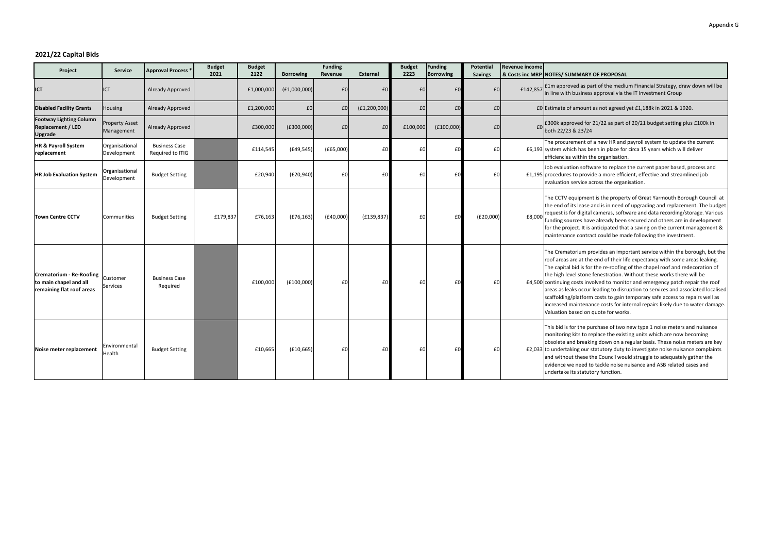#### **2021/22 Capital Bids**

| Project                                                                         | <b>Service</b>                      | <b>Approval Process</b> <sup>*</sup>     | <b>Budget</b><br>2021 | <b>Budget</b><br>2122 | <b>Borrowing</b> | <b>Funding</b><br>Revenue | <b>External</b> | <b>Budget</b><br>2223 | <b>Funding</b><br><b>Borrowing</b> | <b>Potential</b><br><b>Savings</b> | <b>Revenue income</b> | & Costs inc MRP NOTES/ SUMMARY OF PROPOSAL                                                                                                                                                                                                                                                                                                                                                                                                                                                                                                                                                                                                                                                   |
|---------------------------------------------------------------------------------|-------------------------------------|------------------------------------------|-----------------------|-----------------------|------------------|---------------------------|-----------------|-----------------------|------------------------------------|------------------------------------|-----------------------|----------------------------------------------------------------------------------------------------------------------------------------------------------------------------------------------------------------------------------------------------------------------------------------------------------------------------------------------------------------------------------------------------------------------------------------------------------------------------------------------------------------------------------------------------------------------------------------------------------------------------------------------------------------------------------------------|
| ICT                                                                             | <b>ICT</b>                          | Already Approved                         |                       | £1,000,000            | (E1,000,000)     | £0                        | £0              | £0                    | £0                                 | £0                                 | £142,857              | £1m approved as part of the medium Financial Strategy, draw down will be<br>in line with business approval via the IT Investment Group                                                                                                                                                                                                                                                                                                                                                                                                                                                                                                                                                       |
| <b>Disabled Facility Grants</b>                                                 | Housing                             | Already Approved                         |                       | £1,200,000            | £0               | £0                        | (E1, 200, 000)  | £0                    | £0                                 | £0                                 |                       | £0 Estimate of amount as not agreed yet £1,188k in 2021 & 1920.                                                                                                                                                                                                                                                                                                                                                                                                                                                                                                                                                                                                                              |
| <b>Footway Lighting Column</b><br><b>Replacement / LED</b><br><b>Upgrade</b>    | <b>Property Asset</b><br>Management | Already Approved                         |                       | £300,000              | (E300,000)       | £0                        | £0              | £100,000              | (E100,000)                         | £0                                 | £0                    | £300k approved for 21/22 as part of 20/21 budget setting plus £100k in<br>both 22/23 & 23/24                                                                                                                                                                                                                                                                                                                                                                                                                                                                                                                                                                                                 |
| HR & Payroll System<br>replacement                                              | Organisational<br>Development       | <b>Business Case</b><br>Required to ITIG |                       | £114,545              | (E49, 545)       | (E65,000)                 | £0              | £0                    | £0                                 | £0                                 |                       | The procurement of a new HR and payroll system to update the current<br>£6,193 system which has been in place for circa 15 years which will deliver<br>efficiencies within the organisation.                                                                                                                                                                                                                                                                                                                                                                                                                                                                                                 |
| <b>HR Job Evaluation System</b>                                                 | Organisational<br>Development       | <b>Budget Setting</b>                    |                       | £20,940               | (£20,940)        | £0                        | £0              | £0                    | £0                                 | £                                  |                       | Job evaluation software to replace the current paper based, process and<br>£1,195 procedures to provide a more efficient, effective and streamlined job<br>evaluation service across the organisation.                                                                                                                                                                                                                                                                                                                                                                                                                                                                                       |
| <b>Town Centre CCTV</b>                                                         | Communities                         | <b>Budget Setting</b>                    | £179,837              | £76,163               | (E76, 163)       | (E40,000)                 | (£139,837)      | £0                    | £0                                 | (E20,000)                          | £8,000                | The CCTV equipment is the property of Great Yarmouth Borough Council at<br>the end of its lease and is in need of upgrading and replacement. The budget<br>request is for digital cameras, software and data recording/storage. Various<br>funding sources have already been secured and others are in development<br>for the project. It is anticipated that a saving on the current management &<br>maintenance contract could be made following the investment.                                                                                                                                                                                                                           |
| Crematorium - Re-Roofing<br>to main chapel and all<br>remaining flat roof areas | Customer<br>Services                | <b>Business Case</b><br>Required         |                       | £100,000              | (f100,000)       | £0                        | £0              | £0                    | £0                                 | £0                                 |                       | The Crematorium provides an important service within the borough, but the<br>roof areas are at the end of their life expectancy with some areas leaking.<br>The capital bid is for the re-roofing of the chapel roof and redecoration of<br>the high level stone fenestration. Without these works there will be<br>£4,500 continuing costs involved to monitor and emergency patch repair the roof<br>areas as leaks occur leading to disruption to services and associated localised<br>scaffolding/platform costs to gain temporary safe access to repairs well as<br>increased maintenance costs for internal repairs likely due to water damage.<br>Valuation based on quote for works. |
| Noise meter replacement                                                         | Environmental<br>Health             | <b>Budget Setting</b>                    |                       | £10,665               | (E10, 665)       | £0                        | £0              | £0                    | £0                                 | £0                                 |                       | This bid is for the purchase of two new type 1 noise meters and nuisance<br>monitoring kits to replace the existing units which are now becoming<br>obsolete and breaking down on a regular basis. These noise meters are key<br>£2,033 to undertaking our statutory duty to investigate noise nuisance complaints<br>and without these the Council would struggle to adequately gather the<br>evidence we need to tackle noise nuisance and ASB related cases and<br>undertake its statutory function.                                                                                                                                                                                      |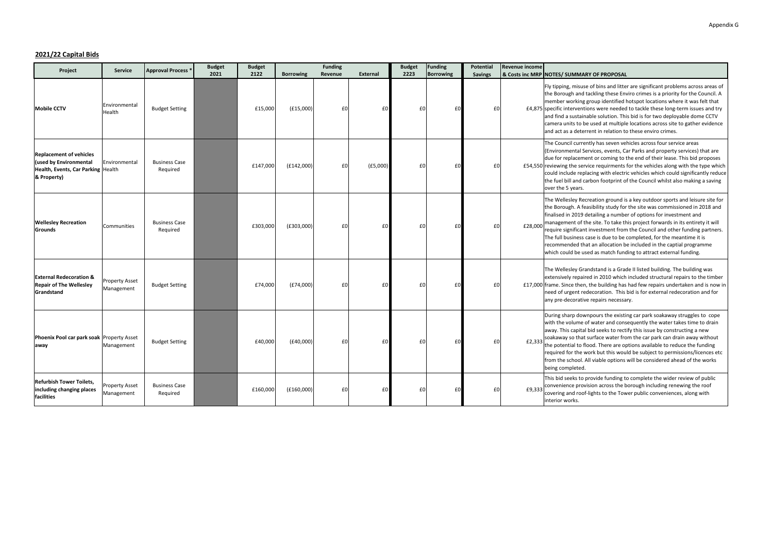#### **2021/22 Capital Bids**

| Project                                                                                                              | <b>Service</b>                      | <b>Approval Process</b>          | <b>Budget</b><br>2021 | <b>Budget</b><br>2122 | <b>Borrowing</b> | <b>Funding</b><br>Revenue | <b>External</b> | <b>Budget</b><br>2223 | <b>Funding</b><br><b>Borrowing</b> | <b>Potential</b><br><b>Savings</b> | <b>Revenue income</b> | & Costs inc MRP NOTES/ SUMMARY OF PROPOSAL                                                                                                                                                                                                                                                                                                                                                                                                                                                                                                                                                                            |
|----------------------------------------------------------------------------------------------------------------------|-------------------------------------|----------------------------------|-----------------------|-----------------------|------------------|---------------------------|-----------------|-----------------------|------------------------------------|------------------------------------|-----------------------|-----------------------------------------------------------------------------------------------------------------------------------------------------------------------------------------------------------------------------------------------------------------------------------------------------------------------------------------------------------------------------------------------------------------------------------------------------------------------------------------------------------------------------------------------------------------------------------------------------------------------|
| <b>Mobile CCTV</b>                                                                                                   | Environmental<br>Health             | <b>Budget Setting</b>            |                       | £15,000               | (E15,000)        | £0                        | £0              | £0                    | £0                                 | £0                                 |                       | Fly tipping, misuse of bins and litter are significant problems across areas of<br>the Borough and tackling these Enviro crimes is a priority for the Council. A<br>member working group identified hotspot locations where it was felt that<br>£4,875 specific interventions were needed to tackle these long-term issues and try<br>and find a sustainable solution. This bid is for two deployable dome CCTV<br>camera units to be used at multiple locations across site to gather evidence<br>and act as a deterrent in relation to these enviro crimes.                                                         |
| <b>Replacement of vehicles</b><br><b>(used by Environmental</b><br>Health, Events, Car Parking Health<br>& Property) | Environmental                       | <b>Business Case</b><br>Required |                       | £147,000              | (E142,000)       | £0                        | (E5,000)        | £0                    | £0                                 | £0                                 |                       | The Council currently has seven vehicles across four service areas<br>(Environmental Services, events, Car Parks and property services) that are<br>due for replacement or coming to the end of their lease. This bid proposes<br>£54,550 reviewing the service requirments for the vehicles along with the type which<br>could include replacing with electric vehicles which could significantly reduce<br>the fuel bill and carbon footprint of the Council whilst also making a saving<br>over the 5 years.                                                                                                       |
| <b>Wellesley Recreation</b><br><b>Grounds</b>                                                                        | Communities                         | <b>Business Case</b><br>Required |                       | £303,000              | (E303,000)       | £0                        | £0              | £0                    | £0                                 | £0                                 | £28,000               | The Wellesley Recreation ground is a key outdoor sports and leisure site for<br>the Borough. A feasibility study for the site was commissioned in 2018 and<br>finalised in 2019 detailing a number of options for investment and<br>management of the site. To take this project forwards in its entirety it will<br>require significant investment from the Council and other funding partners.<br>The full business case is due to be completed, for the meantime it is<br>recommended that an allocation be included in the captial programme<br>which could be used as match funding to attract external funding. |
| <b>External Redecoration &amp;</b><br><b>Repair of The Wellesley</b><br>Grandstand                                   | <b>Property Asset</b><br>Management | <b>Budget Setting</b>            |                       | £74,000               | (E74,000)        | £0                        | E <sub>0</sub>  | f                     | £0                                 | £0                                 |                       | The Wellesley Grandstand is a Grade II listed building. The building was<br>extensively repaired in 2010 which included structural repairs to the timber<br>£17,000 frame. Since then, the building has had few repairs undertaken and is now in<br>need of urgent redecoration. This bid is for external redecoration and for<br>any pre-decorative repairs necessary.                                                                                                                                                                                                                                               |
| Phoenix Pool car park soak Property Asset<br>away                                                                    | Management                          | <b>Budget Setting</b>            |                       | £40,000               | (E40,000)        | £0                        | £0              | f                     | £0                                 | £0                                 | £2,333                | During sharp downpours the existing car park soakaway struggles to cope<br>with the volume of water and consequently the water takes time to drain<br>away. This capital bid seeks to rectify this issue by constructing a new<br>soakaway so that surface water from the car park can drain away without<br>the potential to flood. There are options available to reduce the funding<br>required for the work but this would be subject to permissions/licences etc<br>from the school. All viable options will be considered ahead of the works<br>being completed.                                                |
| <b>Refurbish Tower Toilets,</b><br>including changing places<br>facilities                                           | Property Asset<br>Management        | <b>Business Case</b><br>Required |                       | £160,000              | (E160,000)       | £0                        | £0              | £0                    | £0                                 | £0                                 | £9,333                | This bid seeks to provide funding to complete the wider review of public<br>convenience provision across the borough including renewing the roof<br>covering and roof-lights to the Tower public conveniences, along with<br>interior works.                                                                                                                                                                                                                                                                                                                                                                          |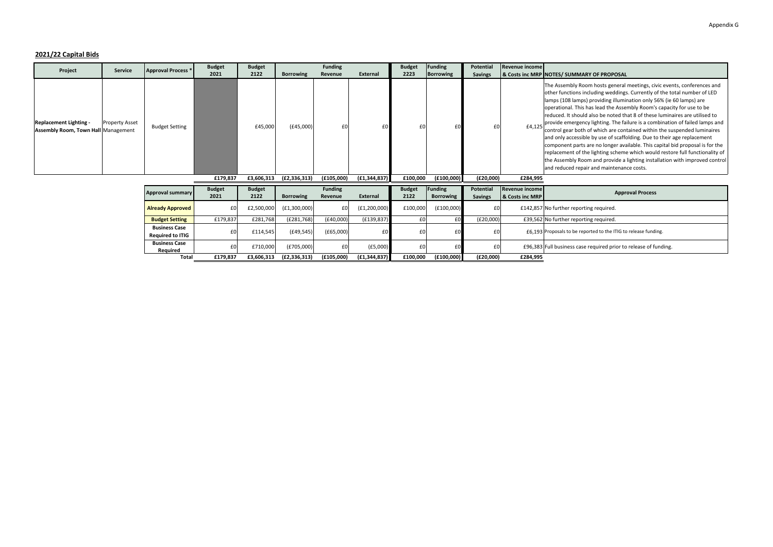#### **2021/22 Capital Bids**

| Project                                                                     | <b>Service</b>        | <b>Approval Process *</b>                       | <b>Budget</b>         | <b>Budget</b>         |                  | <b>Funding</b>            |                | <b>Budget</b>         | <b>Funding</b>                     | Potential                          | <b>Revenue income</b>                    |                                                                                                                                                                                                                                                                                                                                                                                                                                                                                                                                                                                                                                                                                                                                                                                                                                                                                                                        |
|-----------------------------------------------------------------------------|-----------------------|-------------------------------------------------|-----------------------|-----------------------|------------------|---------------------------|----------------|-----------------------|------------------------------------|------------------------------------|------------------------------------------|------------------------------------------------------------------------------------------------------------------------------------------------------------------------------------------------------------------------------------------------------------------------------------------------------------------------------------------------------------------------------------------------------------------------------------------------------------------------------------------------------------------------------------------------------------------------------------------------------------------------------------------------------------------------------------------------------------------------------------------------------------------------------------------------------------------------------------------------------------------------------------------------------------------------|
|                                                                             |                       |                                                 | 2021                  | 2122                  | <b>Borrowing</b> | Revenue                   | External       | 2223                  | <b>Borrowing</b>                   | <b>Savings</b>                     |                                          | & Costs inc MRP NOTES/ SUMMARY OF PROPOSAL                                                                                                                                                                                                                                                                                                                                                                                                                                                                                                                                                                                                                                                                                                                                                                                                                                                                             |
| <b>Replacement Lighting -</b><br><b>Assembly Room, Town Hall Management</b> | <b>Property Asset</b> | <b>Budget Setting</b>                           |                       | £45,000               | (E45,000)        | £0                        |                |                       |                                    | £0                                 | £4,125                                   | The Assembly Room hosts general meetings, civic events, conferences and<br>other functions including weddings. Currently of the total number of LED<br>lamps (108 lamps) providing illumination only 56% (ie 60 lamps) are<br>operational. This has lead the Assembly Room's capacity for use to be<br>reduced. It should also be noted that 8 of these luminaires are utilised to<br>provide emergency lighting. The failure is a combination of failed lamps and<br>control gear both of which are contained within the suspended luminaires<br>and only accessible by use of scaffolding. Due to their age replacement<br>component parts are no longer available. This capital bid proposal is for the<br>replacement of the lighting scheme which would restore full functionality of<br>the Assembly Room and provide a lighting installation with improved control<br>and reduced repair and maintenance costs. |
|                                                                             |                       |                                                 | £179,837              | £3,606,313            | (E2, 336, 313)   | (£105,000)                | (E1, 344, 837) | £100,000              | (E100,000)                         | (E20,000)                          | £284,995                                 |                                                                                                                                                                                                                                                                                                                                                                                                                                                                                                                                                                                                                                                                                                                                                                                                                                                                                                                        |
|                                                                             |                       | <b>Approval summary</b>                         | <b>Budget</b><br>2021 | <b>Budget</b><br>2122 | <b>Borrowing</b> | <b>Funding</b><br>Revenue | External       | <b>Budget</b><br>2122 | <b>Funding</b><br><b>Borrowing</b> | <b>Potential</b><br><b>Savings</b> | <b>Revenue income</b><br>& Costs inc MRP | <b>Approval Process</b>                                                                                                                                                                                                                                                                                                                                                                                                                                                                                                                                                                                                                                                                                                                                                                                                                                                                                                |
|                                                                             |                       | <b>Already Approved</b>                         | £0                    | £2,500,000            | (E1,300,000)     | £0                        | (E1, 200, 000) | £100,000              | (E100,000)                         | £0                                 |                                          | £142,857 No further reporting required.                                                                                                                                                                                                                                                                                                                                                                                                                                                                                                                                                                                                                                                                                                                                                                                                                                                                                |
|                                                                             |                       | <b>Budget Setting</b>                           | £179,837              | £281,768              | (E281,768)       | (E40,000)                 | (E139, 837)    | fn                    | fſ                                 | (E20,000)                          |                                          | £39,562 No further reporting required.                                                                                                                                                                                                                                                                                                                                                                                                                                                                                                                                                                                                                                                                                                                                                                                                                                                                                 |
|                                                                             |                       | <b>Business Case</b><br><b>Required to ITIG</b> | £0                    | £114,545              | (E49, 545)       | (E65,000)                 |                |                       |                                    |                                    |                                          | £6.193 Proposals to be reported to the ITIG to release funding.                                                                                                                                                                                                                                                                                                                                                                                                                                                                                                                                                                                                                                                                                                                                                                                                                                                        |
|                                                                             |                       | <b>Business Case</b><br>Required                | £0                    | £710,000              | (E705,000)       | £0                        | (E5,000)       | £0                    |                                    | £0                                 |                                          | £96,383 Full business case required prior to release of funding.                                                                                                                                                                                                                                                                                                                                                                                                                                                                                                                                                                                                                                                                                                                                                                                                                                                       |
|                                                                             |                       | Total                                           | £179,837              | £3,606,313            | (E2, 336, 313)   | (E105,000)                | (E1, 344, 837) | £100,000              | (E100,000)                         | (E20,000)                          | £284,995                                 |                                                                                                                                                                                                                                                                                                                                                                                                                                                                                                                                                                                                                                                                                                                                                                                                                                                                                                                        |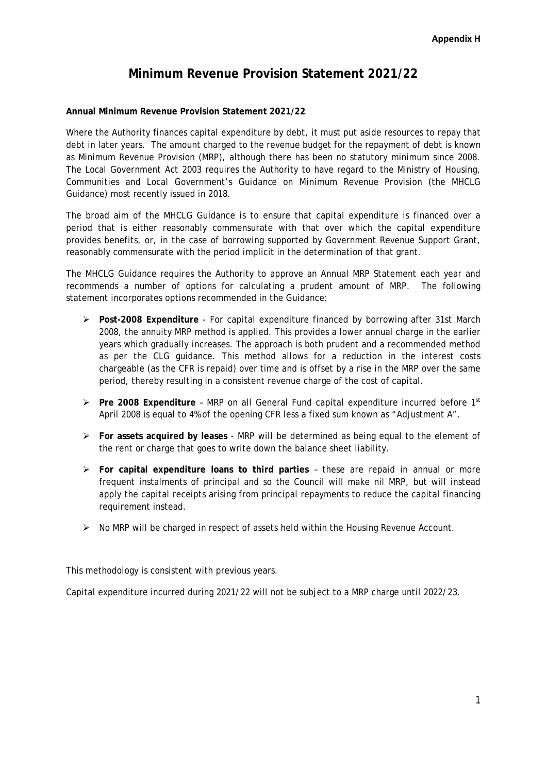# **Minimum Revenue Provision Statement 2021/22**

# **Annual Minimum Revenue Provision Statement 2021/22**

Where the Authority finances capital expenditure by debt, it must put aside resources to repay that debt in later years. The amount charged to the revenue budget for the repayment of debt is known as Minimum Revenue Provision (MRP), although there has been no statutory minimum since 2008. The *Local Government Act 2003* requires the Authority to have regard to the Ministry of Housing, Communities and Local Government's *Guidance on Minimum Revenue Provision* (the MHCLG Guidance) most recently issued in 2018.

The broad aim of the MHCLG Guidance is to ensure that capital expenditure is financed over a period that is either reasonably commensurate with that over which the capital expenditure provides benefits, or, in the case of borrowing supported by Government Revenue Support Grant, reasonably commensurate with the period implicit in the determination of that grant.

The MHCLG Guidance requires the Authority to approve an Annual MRP Statement each year and recommends a number of options for calculating a prudent amount of MRP. The following statement incorporates options recommended in the Guidance:

- **Post-2008 Expenditure** For capital expenditure financed by borrowing after 31st March 2008, the annuity MRP method is applied. This provides a lower annual charge in the earlier years which gradually increases. The approach is both prudent and a recommended method as per the CLG guidance. This method allows for a reduction in the interest costs chargeable (as the CFR is repaid) over time and is offset by a rise in the MRP over the same period, thereby resulting in a consistent revenue charge of the cost of capital.
- **Pre 2008 Expenditure** MRP on all General Fund capital expenditure incurred before 1<sup>st</sup> April 2008 is equal to 4% of the opening CFR less a fixed sum known as "Adjustment A".
- **For assets acquired by leases** MRP will be determined as being equal to the element of the rent or charge that goes to write down the balance sheet liability.
- **For capital expenditure loans to third parties** these are repaid in annual or more frequent instalments of principal and so the Council will make nil MRP, but will instead apply the capital receipts arising from principal repayments to reduce the capital financing requirement instead.
- $\triangleright$  No MRP will be charged in respect of assets held within the Housing Revenue Account.

This methodology is consistent with previous years.

Capital expenditure incurred during 2021/22 will not be subject to a MRP charge until 2022/23.